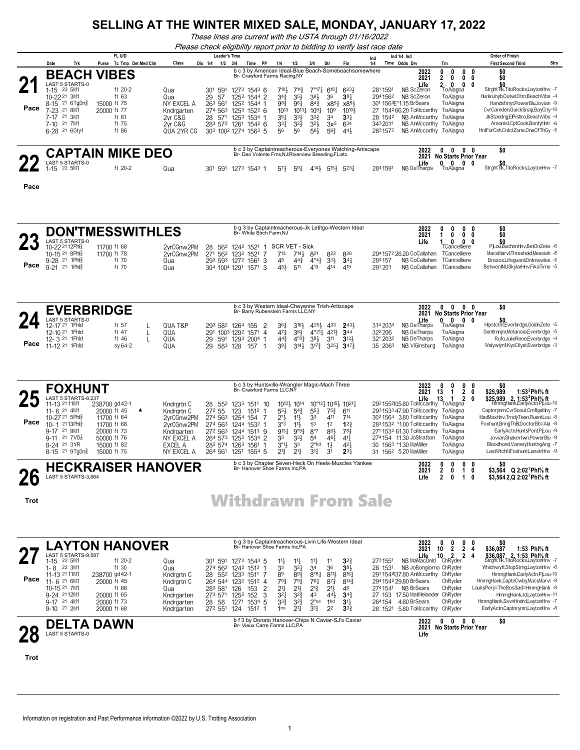*These lines are current with the USTA through 01/16/2022*

*Please check eligibility report prior to bidding to verify last race date*

|                |                                            |     |             | FL U/D             |                       |         |                      | <b>Leader's Time</b> |                                      |                                   |    |                                                   |                             |                        |                                    |                                                          | Ind |                    | Ind $1/4$ Ind                                      |                             | <b>Order of Finish</b>                                             |      |
|----------------|--------------------------------------------|-----|-------------|--------------------|-----------------------|---------|----------------------|----------------------|--------------------------------------|-----------------------------------|----|---------------------------------------------------|-----------------------------|------------------------|------------------------------------|----------------------------------------------------------|-----|--------------------|----------------------------------------------------|-----------------------------|--------------------------------------------------------------------|------|
|                | Date                                       | Trk | Purse       | Tc Tmp Det Med Clm | Class                 | Dis 1/4 |                      | 1/2                  | 3/4                                  | Time                              | PP | 1/4                                               | 1/2                         | 3/4                    | Str                                | Fin                                                      | 1/4 |                    | Time Odds Drv                                      | Trn                         | <b>First Second Third</b>                                          | Strs |
|                | <b>BEACH</b>                               |     |             | <b>VIBES</b>       |                       |         |                      |                      |                                      |                                   |    | Br- Crawford Farms Racing, NY                     |                             |                        |                                    | b c 3 by American Ideal-Blue Beach-Somebeachsomewhere    |     |                    | 2022<br>2021                                       |                             | \$0                                                                |      |
| 2 <sub>1</sub> | <b>LAST 5 STARTS-0</b><br>22 5M1<br>1-15   |     |             | ft 20-2            | Qua                   |         | 301                  | 591                  | 1273                                 | $154^3$ 6                         |    | 7101,                                             | 7113                        | $7^{\circ}17^{\circ}$  | 618 <sup>1</sup>                   | 6231                                                     |     | 2811591            | Life<br>NB ScZeron                                 | 0<br>ToAlagna               | StrghtTlk,TitoRocks,LaytonHnv -7                                   |      |
|                | 10-22 21 3M1<br>8-15 21 6 TgDng            |     | 15000 ft 75 | ft $63$            | Qua<br>NY EXCEL A     |         | 29<br>-57<br>263 561 |                      | 1252<br>$125^2$ $-$                  | 1544 2<br>1544                    |    | 34}<br>98}                                        | 35}<br>961                  | 36}<br>84 <sup>3</sup> | 36<br>x8 <sup>51</sup>             | $38\frac{1}{4}$<br>x8 <sup>91</sup>                      |     | 2941562            | NR ScZeron<br>301 1563 E*1.15 BrSears              | ToAlagna<br>ToAlagna        | HurknJnvb.OutwtOtrn.BeachVibs -4<br>Handsfmyt,PowerBlu,Jovian -9   |      |
| Pace           | 21 8M1<br>$7-23$<br>21 3M1<br>7-17         |     | 20000 ft 77 | ft 81              | Kndraarten<br>2vr C&G |         | 274 563<br>28 571    |                      | 125 <sup>3</sup><br>125 <sup>3</sup> | $152^2$ 6<br>1534                 |    | 1013<br>351                                       | $10^{13}\frac{1}{4}$<br>331 | $10^{9}$<br>$3^{3}$    | 109<br>34                          | 1010}<br>$33\frac{1}{4}$                                 |     | 28 1542            | 27 1542 66.20 ToMccarthy<br>NB AnMccarthy ToAlagna | ToAlagna                    | CvrCamden,QuickSnap,BayCity-10<br>JkStandng.ElPistlro.BeachVibs -4 |      |
|                | 21 7M1<br>7-10<br>6-28 <sup>21</sup> 6Gty1 |     |             | ft 75<br>ft 86     | 2vr C&G<br>QUA 2YR CG |         | 283 572              |                      | 1261                                 | $154^2$ 6<br>303 1002 1274 1563 5 |    | $3^{3}$<br>56                                     | 3 <sup>2</sup><br>56        | 32}<br>$56\frac{1}{2}$ | 3x <sup>5</sup><br>56 <sup>3</sup> | 634<br>441                                               |     | 3432011<br>2821572 | NB AnMccarthy ToAlagna<br>NB AnMccarthy ToAlagna   |                             | Arsonist,CptCook,BontyHntr -6<br>HntForCsh.CntctZone.OneOfThGv -5  |      |
|                |                                            |     |             |                    |                       |         |                      |                      |                                      |                                   |    |                                                   |                             |                        |                                    |                                                          |     |                    |                                                    |                             |                                                                    |      |
| ŋг             |                                            |     |             | CAPTAIN MIKE DEO   |                       |         |                      |                      |                                      |                                   |    | Br- Deo Volente Fms.NJ:Riverview Breeding.FL:etc. |                             |                        |                                    | b c 3 by Captaintreacherous-Everyones Watching-Artiscape |     |                    | 2022<br>2021                                       | <b>No Starts Prior Year</b> | \$0                                                                |      |
|                | LAST 5 STARTS-0<br>22 5M1<br>1-15          |     |             | ft 20-2            | Qua                   |         | 301                  | 591                  | 1273                                 | 1543 1                            |    | 57}                                               | $59\frac{1}{4}$             | 4141                   | $5^{15}$                           | $5^{23}\frac{1}{4}$                                      |     | 2841591            | Life<br>NB DeTharps                                | 0<br>ToAlagna               | StrahtTlk,TitoRocksLavtonHnv -7                                    |      |

**Pace**

|             |                                                                                                                                                                                     |                                                                                                                         | <b>DON'TMESSWITHLES</b>                                                                                                       | Br- White Birch Farm.NJ                                                                                                                                                                                                                 | b g 3 by Captaintreacherous-Jk Letitgo-Western Ideal                                                                                                                                                                                                                                                                                                                                                                                                                                                                                     | 2022<br>0<br>0<br>$\mathbf{0}$<br>2021<br>$\mathbf{1}$<br>0                                                                                                                                                                                                                                                                                                            | 0<br>\$0<br>\$O<br>0 <sub>0</sub>                                                                                                                                                                                                                                                                                                                         |
|-------------|-------------------------------------------------------------------------------------------------------------------------------------------------------------------------------------|-------------------------------------------------------------------------------------------------------------------------|-------------------------------------------------------------------------------------------------------------------------------|-----------------------------------------------------------------------------------------------------------------------------------------------------------------------------------------------------------------------------------------|------------------------------------------------------------------------------------------------------------------------------------------------------------------------------------------------------------------------------------------------------------------------------------------------------------------------------------------------------------------------------------------------------------------------------------------------------------------------------------------------------------------------------------------|------------------------------------------------------------------------------------------------------------------------------------------------------------------------------------------------------------------------------------------------------------------------------------------------------------------------------------------------------------------------|-----------------------------------------------------------------------------------------------------------------------------------------------------------------------------------------------------------------------------------------------------------------------------------------------------------------------------------------------------------|
| Pace        | LAST 5 STARTS-0<br>10-22 2112Phlg<br>10-15 21 8Phls<br>9-28 <sup>21</sup> 1Phls<br>9-21 <sup>21</sup> 1Phls                                                                         | 11700 ft 68<br>11700 ft 78<br>ft 70<br>ft 70                                                                            | 2vrCGnw2PM<br>2yrCGnw2PM<br>Qua<br>Qua                                                                                        | 28 562 1242 1521 1 SCR VET - Sick<br>271 562 1232 1521<br>7<br>293 593 1272 1561<br>3<br>304 1004 1291 1571<br>3                                                                                                                        | 713<br>$7^{14}$<br>822<br>826<br>821<br>45<br>$44\frac{3}{4}$<br>$4^{\circ}4\frac{1}{2}$<br>$3^{3}\frac{1}{2}$<br>$34\frac{1}{4}$<br>413<br>414<br>454<br>511<br>419                                                                                                                                                                                                                                                                                                                                                                     | Life<br>$\mathbf{0}$<br>1<br>0<br>TCancelliere<br>294 1572 26.20 CoCallahan<br>TCancelliere<br>284157<br>NB CoCallahan<br>TCancelliere<br>291 201<br>NB CoCallahan<br>TCancelliere                                                                                                                                                                                     | 0<br>\$0<br>PiLouBuchnnHnv.BetOnZete -6<br>MacsMarvl, Threshold, Messiah -8<br>Brazos, Lifeguard, Dntmswles -5<br>BetwenINU, Skylar Hnv, Fika Time - 5                                                                                                                                                                                                    |
| Pace        | <b>EVERBRIDGE</b><br>LAST 5 STARTS-0<br>12-17 21 1Fhld<br>12-10 21 1Fhld<br>12-3 <sup>21</sup> 1 Fhld<br>11-12 <sup>21</sup> 1 Fhid                                                 | ft $57$<br>ft 47<br>ft $46$<br>sy 64-2                                                                                  | QUA T&P<br>L<br>QUA<br>L<br>QUA<br>L<br>QUA                                                                                   | 293 582 1264 155<br>$\overline{2}$<br>291 1003 1292 1571 4<br>29<br>591<br>1293 2004 1<br>29<br>583 128<br>157<br>$\mathbf 1$                                                                                                           | b c 3 by Western Ideal-Cheyenne Trish-Artiscape<br>Br- Barry Rubenstein Farms LLC,NY<br>3164<br>4254 433<br>2431<br>$36\frac{3}{4}$<br>47 <sup>3</sup><br>384<br>$4^{\circ}21\frac{1}{4}$<br>421}<br>344<br>$4^{08}\frac{3}{4}$<br>$3^{13}$<br>$44\frac{3}{4}$<br>383<br>311<br>39 <sub>1</sub><br>$3^{14}\frac{1}{2}$<br>$3^{17}\frac{3}{4}$<br>$3^{25}\frac{1}{2}$ 347 $\frac{3}{4}$                                                                                                                                                   | 2022<br>$\mathbf{0}$<br>$\mathbf 0$<br>2021<br><b>No Starts Prior Year</b><br>$0\quad 0\quad 0\quad 0$<br>Life<br>NB DeTharps<br>314 2033<br>ToAlagna<br>322206<br>NB DeTharps<br>ToAlagna<br>321 2032<br>NB DeTharps<br>ToAlagna<br>35 2063<br>NB ViGinsburg<br>ToAlagna                                                                                              | \$0<br>$0\quad 0$<br>\$0<br>Hipstctnt,Everbrdge,GoldnZete -5<br>GentImnjm,Metanoia,Everbrdge -5<br>Rufo,JulieRene,Everbrdge -4<br>Walywlynf,KysCtlyst,Everbrdge -3                                                                                                                                                                                        |
|             | <b>FOXHUNT</b>                                                                                                                                                                      |                                                                                                                         |                                                                                                                               | Br- Crawford Farms LLC,NY                                                                                                                                                                                                               | b c 3 by Huntsville-Wrangler Magic-Mach Three                                                                                                                                                                                                                                                                                                                                                                                                                                                                                            | 2022<br>0<br>$\mathbf{0}$<br>0<br>2021<br>13<br>$\overline{2}$<br>1                                                                                                                                                                                                                                                                                                    | \$0<br>0<br>\$25,989<br>1:53 <sup>2</sup> Phl% ft<br>0                                                                                                                                                                                                                                                                                                    |
| Pace        | LAST 5 STARTS-8,237<br>11-13 21 11M1<br>11-6 21 4M1<br>10-27 <sup>21</sup> 5Phlg<br>10-1 2113Phlg<br>9-17 21 9M1<br>$9-11$ 21 $7VD_8^7$<br>8-24 21 3YR<br>8-15 <sup>21</sup> 9TgDng | 238700 gd 42-1<br>20000 ft 45<br>11700 ft 64<br>11700 ft 68<br>20000 ft 73<br>50000 ft 76<br>15000 ft 82<br>15000 ft 75 | Kndrartn C<br>$\blacktriangle$<br>Kndrgrtn C<br>2yrCGnw2PM<br>2yrCGnw2PM<br>Kndrgarten<br>NY EXCEL A<br>EXCEL A<br>NY EXCEL A | 28 552<br>1233 1511 10<br>272 55<br>123<br>1512<br>$\mathbf 1$<br>274 563<br>1254 154<br>7<br>274 563 1244 1532 1<br>272 563<br>1244 1513 9<br>1252 1534 2<br>264 573<br>282 574<br>1263 1561<br>$\mathbf{1}$<br>264 561<br>1251 1554 5 | 10°121 10153 10211<br>1012} 1014<br>$55\frac{1}{2}$<br>$5^{4}$<br>$55\frac{1}{4}$<br>$75\frac{3}{4}$<br>$6^{11}$<br>$2^{\circ}$<br>33<br>411<br>$11\frac{1}{2}$<br>714<br>3°3<br>$11\frac{1}{2}$<br>13<br>12<br>$1^{22}$<br>9131<br>$9^{\circ}9^{\frac{3}{4}}$<br>$8^{\circ}7$<br>86}<br>$78\frac{3}{4}$<br>33<br>33}<br>5 <sup>4</sup><br>461<br>$4^{11}$<br>$3^{\circ}1\frac{1}{2}$<br>2 <sup>ohd</sup><br>33<br>$1\frac{1}{2}$<br>42 <sup>1</sup><br>$2^{11}$<br>3 <sup>11</sup><br>$2^{3}$<br>$2^{13}$<br>3 <sup>1</sup>             | 13<br>$\overline{2}$<br>Life 13 1 2<br>2921552105.80 ToMccarthy ToAlagna<br>293153347.90 ToMccarthy<br>ToAlagna<br>30 <sup>2</sup> 1564 3.80 ToMccarthy<br>ToAlagna<br>2831532 *1.00 ToMccarthy<br>ToAlagna<br>271 1532 61.30 ToMccarthy<br>ToAlagna<br>274154 11.30 JoStratton<br>ToAlagna<br>30 1563 *1.30 MaMiller<br>ToAlagna<br>31 1562 5.20 MaMiller<br>ToAlagna | \$25,989 2, 1:53 <sup>2</sup> Phl <sup>5</sup> / <sub>8</sub> ft<br>0<br>HmrngHank,EarlyActn,PjLou-10<br>Captnrynm,CvrScout,CmflgeMny -7<br>MadMaxHnv,TrndyTeen,FluentLou -8<br>Foxhunt,BringThBl,DoctorBb=Ala -8<br>EarlyActn,HuntsPont,PjLou -9<br>Jovian, Shakertwn, PowerBlu -9<br>Bloodhond, Varney, Huntng Ang -7<br>LastWtchH.Foxhunt.LanstrHnv -9 |
|             | LAST 5 STARTS-3,564                                                                                                                                                                 |                                                                                                                         | <b>HECKRAISER HANOVER</b>                                                                                                     |                                                                                                                                                                                                                                         | b c 3 by Chapter Seven-Heck On Heels-Muscles Yankee<br>Br- Hanover Shoe Farms Inc, PA                                                                                                                                                                                                                                                                                                                                                                                                                                                    | 2022<br>0<br>0<br>2021<br>$\mathbf{2}$<br>0<br>$\mathbf{1}$<br>Life<br>$\mathbf{2}$<br>$\mathbf{1}$<br>0                                                                                                                                                                                                                                                               | $0\quad 0$<br>\$0<br>0<br>\$3,564 Q 2:02 <sup>1</sup> Phl <sup>5</sup> / <sub>8</sub> ft<br>0<br>\$3,564 2,Q 2:02 Phl% ft                                                                                                                                                                                                                                 |
| <b>Trot</b> |                                                                                                                                                                                     |                                                                                                                         |                                                                                                                               |                                                                                                                                                                                                                                         | <b>Withdrawn From Sale</b>                                                                                                                                                                                                                                                                                                                                                                                                                                                                                                               |                                                                                                                                                                                                                                                                                                                                                                        |                                                                                                                                                                                                                                                                                                                                                           |
|             | <b>LAYTON HANOVER</b>                                                                                                                                                               |                                                                                                                         |                                                                                                                               | Br- Hanover Shoe Farms Inc, PA                                                                                                                                                                                                          | b g 3 by Captaintreacherous-Livin Life-Western Ideal                                                                                                                                                                                                                                                                                                                                                                                                                                                                                     | 2022<br>0<br>$\mathbf{0}$<br>$\mathbf{0}$<br>10<br>$\mathbf{2}$<br>$\mathbf{2}$<br>2021                                                                                                                                                                                                                                                                                | \$0<br>0<br>\$36.087<br>1:53 Phl% ft<br>4                                                                                                                                                                                                                                                                                                                 |
| Pace        | LAST 5 STARTS-9.587<br>1-15 22 5M1<br>1-8 22 3M1<br>11-13 21 11M1<br>11-6 21 6M1<br>10-15 21 7M1<br>9-24 2112M1<br>9-17 21 4M1<br>9-10 <sup>21</sup> 2M1                            | ft 20-2<br>ft 30<br>238700 gd 42-1<br>20000 ft 45<br>ft 66<br>20000 ft 65<br>20000 ft 73<br>20000 ft 68                 | Qua<br>Qua<br>Kndrgrtn C<br>Kndrartn C<br>Qua<br>Kndrgarten<br>Kndrgarten<br>Kndrgarten                                       | 301 591<br>1273 1543 5<br>274 562 1242 1513<br>$\mathbf{1}$<br>28 552 1233 1511 7<br>264 544 1232 1512 4<br>$\overline{2}$<br>283 581<br>126<br>153<br>3<br>273 571<br>1252 152<br>28 58<br>1271 1534 5<br>272 551<br>124<br>$151^2$ 1  | $3^{2}$<br>14<br>$11\frac{1}{4}$<br>$11\frac{1}{4}$<br>11<br>33<br>$3^{21}$<br>36<br>34<br>38}<br>$8^{\circ}8\frac{1}{4}$<br>8111<br>89<br>891<br>8161<br>793<br>791<br>$76\frac{1}{4}$<br>$8^{73}$<br>$8^{14}\frac{3}{4}$<br>$21\frac{1}{2}$<br>$2^{13}$<br>$21\frac{1}{2}$<br>213<br>46<br>$3^{2}\frac{3}{4}$<br>43<br>$3^{2}$<br>443<br>$34\frac{3}{4}$<br>$3^{3}\frac{3}{4}$<br>$3^{2}\frac{3}{4}$<br>$2^{\circ}$ ns<br>3 <sup>11</sup><br>1hd<br>$3^{11}$<br>$21\frac{1}{4}$<br>2 <sup>2</sup><br>3 <sup>3</sup><br>1 <sub>ns</sub> | $2^2$<br>10<br>Life<br>NB MaMacDnld<br><b>ChRyder</b><br>2731551<br>28 1531<br>NB JoBongiorno ChRyder<br>291 154437.80 AnMccarthy ChRyder<br>294 1542 29.80 BrSears<br>ChRyder<br><b>NB BrSears</b><br>ChRyder<br>2741541<br>27 153 17.50 MatMelander ChRyder<br>ChRyder<br>4.80 BrSears<br>264154<br>5.80 ToMccarthy ChRyder<br>28 1521                               | \$36,087 2, 1:53 Phl <sup>5</sup> / <sub>8</sub> ft<br>Strght Tlk, TitoRocks, Layton Hnv -7<br>4<br>Whichwytt,StopStrng,LaytonHnv -6<br>HmrngHank,EarlyActn,PjLou-10<br>HmrngHank,CaptnCwby,MacsMarvl -8<br>LouksPery=TheBosSad=HmrngHank -8<br>HmrngHank, Jd, LaytonHnv-11<br>HmrngHank,SsvnHndrd,LaytonHnv -7<br>EarlyActn,Captnrynm,LaytonHnv -8       |
|             | <b>DELTA DAWN</b><br>LAST 5 STARTS-0                                                                                                                                                |                                                                                                                         |                                                                                                                               | Br- Vieux Carre Farms LLC,PA                                                                                                                                                                                                            | b f 3 by Donato Hanover-Chips N Caviar-SJ's Caviar                                                                                                                                                                                                                                                                                                                                                                                                                                                                                       | 0<br>2022<br>$\mathbf{0}$<br>2021<br>No Starts Prior Year<br>Life                                                                                                                                                                                                                                                                                                      | 0 <sub>0</sub><br>\$0                                                                                                                                                                                                                                                                                                                                     |
| Trot        |                                                                                                                                                                                     |                                                                                                                         |                                                                                                                               |                                                                                                                                                                                                                                         |                                                                                                                                                                                                                                                                                                                                                                                                                                                                                                                                          |                                                                                                                                                                                                                                                                                                                                                                        |                                                                                                                                                                                                                                                                                                                                                           |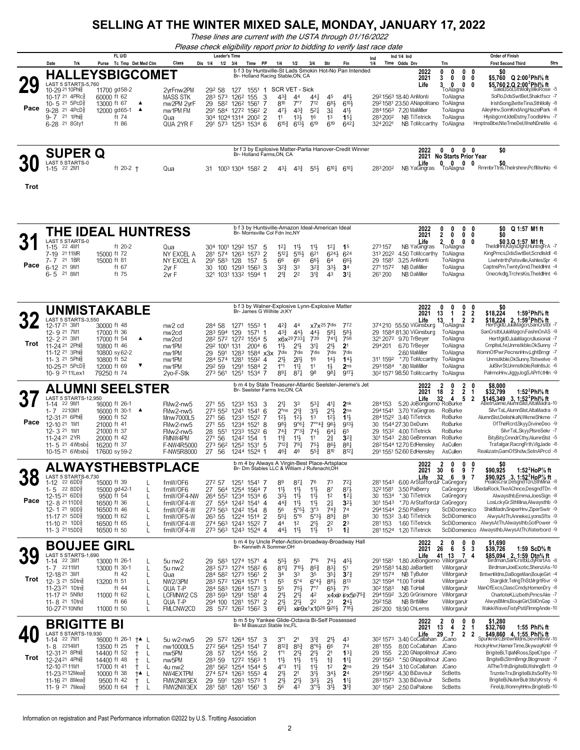*These lines are current with the USTA through 01/16/2022*

|      |                                                                                           |                                                                                                                                                                                 |                                                                                                                                 |                                                                                |                                                |                                                                                                                                                                                                                     |                                |                                                                                                                                                           |                                                          |                                                                             |                                                                        | Please check eligibility report prior to bidding to verify last race date |                                                                                                                                                      |                                                                                                                  |                                                                                                                                                                                                                                                                                                                                                          |
|------|-------------------------------------------------------------------------------------------|---------------------------------------------------------------------------------------------------------------------------------------------------------------------------------|---------------------------------------------------------------------------------------------------------------------------------|--------------------------------------------------------------------------------|------------------------------------------------|---------------------------------------------------------------------------------------------------------------------------------------------------------------------------------------------------------------------|--------------------------------|-----------------------------------------------------------------------------------------------------------------------------------------------------------|----------------------------------------------------------|-----------------------------------------------------------------------------|------------------------------------------------------------------------|---------------------------------------------------------------------------|------------------------------------------------------------------------------------------------------------------------------------------------------|------------------------------------------------------------------------------------------------------------------|----------------------------------------------------------------------------------------------------------------------------------------------------------------------------------------------------------------------------------------------------------------------------------------------------------------------------------------------------------|
|      |                                                                                           |                                                                                                                                                                                 | FL U/D                                                                                                                          |                                                                                | <b>Leader's Time</b>                           |                                                                                                                                                                                                                     |                                |                                                                                                                                                           |                                                          |                                                                             |                                                                        | Ind                                                                       | Ind $1/4$ Ind                                                                                                                                        |                                                                                                                  | <b>Order of Finish</b>                                                                                                                                                                                                                                                                                                                                   |
|      | Date                                                                                      | Trk                                                                                                                                                                             | Purse Tc Tmp Det Med Clm                                                                                                        | Class                                                                          | Dis 1/4<br>$1/2$ $3/4$                         |                                                                                                                                                                                                                     | Time PP                        | 1/4<br>1/2                                                                                                                                                | 3/4                                                      | Str                                                                         | Fin                                                                    | 1/4                                                                       | Time Odds Drv                                                                                                                                        | Trn                                                                                                              | <b>First Second Third</b><br>Strs                                                                                                                                                                                                                                                                                                                        |
| Pace |                                                                                           | LAST 5 STARTS-5,760<br>10-29 21 10 Phls<br>10-17 21 4PRcs<br>10-5 $21$ 5PcD <sup>5</sup><br>9-28 <sup>21</sup> 4PcD <sup>3</sup><br>$9 - 7$ 21 1 Ph<br>6-28 <sup>21</sup> 8Gty1 | <b>HALLEYSBIGCOMET</b><br>11700 gd58-2<br>60000 ft 62<br>13000 ft 67<br>▲<br>$\blacktriangle$<br>12000 gd65-1<br>ft 74<br>ft 86 | 2vrFnw2PM<br><b>MASS STK</b><br>nw2PM 2yrF<br>nw1PM FM<br>Qua<br>QUA 2YR F     | 292 58<br>283 573                              | b f 3 by Huntsville-St Lads Smokin Hot-No Pan Intended<br>Br- Holland Racing Stable, ON, CA<br>1551<br>127<br>1262<br>155<br>29 582 1262 1561<br>291 584 1272 1562 2<br>304 1024 1314 2002 2<br>291 573 1253 1534 6 | 1<br>3<br>7                    | SCR VET - Sick<br>$4^{3}\frac{3}{4}$<br>44<br>810<br>7°7<br>471<br>$4^{3}\frac{3}{4}$<br>11<br>$13\frac{1}{2}$<br>$6^{15\frac{3}{4}}$ $6^{13\frac{1}{2}}$ | 441<br>712<br>$5^{21}$<br>16<br>619                      | 45<br>683<br>3 <sup>1</sup><br>1 <sup>3</sup><br>619                        | 481<br>6101<br>$4^{11}$<br>$15\frac{1}{4}$<br>642 <sup>1</sup>         | 283 2002<br>3242021                                                       | 2022<br>2021<br>Life<br>2921563 18.40 AnMonti<br>2921581 23.50 ANapolitano ToAlagna<br>2841563 7.20 MaMiller<br><b>NB TiTetrick</b><br>NB ToMccarthy | 0<br>0<br>0<br>0<br>3<br>0<br>3<br>$\mathbf{0}$<br>0<br>ToAlagna<br>ToAlagna<br>ToAlagna<br>ToAlagna<br>ToAlagna | \$0<br>0<br>\$5,760 Q 2:00 <sup>2</sup> Phl% ft<br>0<br>$\mathbf{0}$<br>\$5,760 2,Q 2:00 <sup>2</sup> Phl <sup>5</sup> / <sub>8</sub> ft<br>SaleElSol,SthMolly,MikiRose -5<br>SoFlo.DdsSwtBet.Shaktfscr -7<br>IrishSong,BetteTina,SthMolly -8<br>AileyHnv,SomKndAng,HazelPark -8<br>Hlysbgcmt,IdelDstny,ToodlsHnv -7<br>HmptnsBbe.NteTmeDel.WneNDneMe -6 |
|      |                                                                                           | <b>SUPER Q</b>                                                                                                                                                                  |                                                                                                                                 |                                                                                |                                                | br f 3 by Explosive Matter-Parlia Hanover-Credit Winner<br>Br- Holland Farms, ON, CA                                                                                                                                |                                |                                                                                                                                                           |                                                          |                                                                             |                                                                        |                                                                           | 2022                                                                                                                                                 | $0\quad 0$                                                                                                       | \$0<br>$0\quad 0$                                                                                                                                                                                                                                                                                                                                        |
|      | $1 - 15$                                                                                  | LAST 5 STARTS-0<br>22 2M1                                                                                                                                                       | ft $20-2$ +                                                                                                                     | Qua                                                                            | 31                                             | 1003 1304 1582 2                                                                                                                                                                                                    |                                | 431<br>$4^{3}\frac{3}{4}$                                                                                                                                 | $55\frac{1}{2}$                                          | $6^{10}$                                                                    | $6^{10}$                                                               | 2832002                                                                   | 2021<br>Life<br>NB YaGingras                                                                                                                         | <b>No Starts Prior Year</b><br>$\mathbf{0}$<br>0<br>ToAlagna                                                     | 0 <sub>0</sub><br>\$0<br>RmmbrTtns,TheIrshmn,PcflMsnNo -6                                                                                                                                                                                                                                                                                                |
| Trot |                                                                                           |                                                                                                                                                                                 |                                                                                                                                 |                                                                                |                                                |                                                                                                                                                                                                                     |                                |                                                                                                                                                           |                                                          |                                                                             |                                                                        |                                                                           |                                                                                                                                                      |                                                                                                                  |                                                                                                                                                                                                                                                                                                                                                          |
|      |                                                                                           | <b>LAST 5 STARTS-0</b>                                                                                                                                                          | THE IDEAL HUNTRESS                                                                                                              |                                                                                |                                                | b f 3 by Huntsville-Amazon Ideal-American Ideal<br>Br- Morrisville Col Fdn Inc.NY                                                                                                                                   |                                |                                                                                                                                                           |                                                          |                                                                             |                                                                        |                                                                           | 2022<br>2021                                                                                                                                         | 0<br>0<br>$\mathbf{0}$<br>$\mathbf{2}$<br>0<br>0<br>0                                                            | \$0<br>Q 1:57 M1 ft<br>0<br>0<br>\$0                                                                                                                                                                                                                                                                                                                     |
| Pace | $1 - 15$<br>7-19 21 11MR<br>7-7 21 1BR<br>6-12 <sup>21</sup> 9M1<br>6-5 <sup>21</sup> 8M1 | 22 4M1                                                                                                                                                                          | ft 20-2<br>15000 ft 72<br>15000 ft 81<br>ft 67<br>ft 75                                                                         | Qua<br>NY EXCEL A<br>NY EXCEL A<br>2vr F<br>2vr F                              | 291 583 128<br>30                              | 304 1001 1292 157<br>281 574 1263 1573 2<br>157<br>100 1293 1563 3<br>321 1031 1332 1594 1                                                                                                                          | 5<br>5                         | 12 <sup>1</sup><br>$11\frac{1}{2}$<br>$5^{12}$<br>$5^{15}$<br>66<br>66<br>$3^{2}\frac{3}{4}$<br>33<br>2 <sup>2</sup><br>$2^{13}$                          | $11\frac{1}{2}$<br>621<br>661<br>$3^{2^{3}}$<br>$3^{13}$ | 12 <sup>1</sup><br>$6^{24}$<br>64<br>$3^{3}\frac{1}{2}$<br>43               | 1 <sup>5</sup><br>$6^{24}$<br>661<br>3 <sup>4</sup><br>3 <sup>11</sup> | 273157<br>313 2022<br>29 1581<br>2711572<br>261 200                       | Life<br>NB YaGingras<br>4.50 ToMccarthy<br>3.25 AnMonti<br><b>NB DaMiller</b><br><b>NB DaMiller</b>                                                  | 2<br>$\mathbf{0}$<br>ToAlagna<br>ToAlagna<br>ToAlagna<br>ToAlagna<br>ToAlagna                                    | 0<br>\$03,Q 1:57 M1 ft<br>TheIdlHnt,KáysDlght,HuntngFrA -7<br>KingPrncs,DdsSwtBet,ScndlsIdl -6<br>Liwhntrth,Patsville,AshlesSpr -6<br>CaptnsPrn,TwntyGrnd,TheIdlHnt -4<br>Onecrkdlg,TrchrsKis,TheIdlHnt -6                                                                                                                                               |
|      |                                                                                           |                                                                                                                                                                                 | <b>UNMISTAKABLE</b>                                                                                                             |                                                                                |                                                | b f 3 by Walner-Explosive Lynn-Explosive Matter<br>Br- James G Wilhite Jr, KY                                                                                                                                       |                                |                                                                                                                                                           |                                                          |                                                                             |                                                                        |                                                                           | 2022<br>2021                                                                                                                                         | 0<br>0<br>0<br>$\overline{2}$<br>13<br>-1                                                                        | \$0<br>0<br>$\overline{2}$<br>\$18,224<br>1:59 <sup>2</sup> Phl% ft                                                                                                                                                                                                                                                                                      |
| Trot | 12-17 21 3M1<br>12-9 21 7M1<br>12-2 <sup>21</sup> 3M1                                     | LAST 5 STARTS-3,550<br>11-24 <sup>21</sup> 2Phls<br>11-12 <sup>21</sup> 3Phlg                                                                                                   | 30000 ft 48<br>17000 ft 36<br>17000 ft 54<br>▲<br>10800 ft 46<br>10800 sy 62-2                                                  | nw <sub>2</sub> cd<br>nw <sub>2cd</sub><br>nw <sub>2cd</sub><br>nw1PM<br>nw1PM | 284 58<br>283 594<br>292 1001 131<br>29<br>591 | 1271 1553 1<br>129<br>1571<br>282 572 1272 1554 5<br>1283                                                                                                                                                           | -1<br>$2004$ 6<br>$1584$ $x3x$ | $4^{2}3$<br>44<br>$43\frac{3}{7}$<br>$44\frac{1}{2}$<br>x6x <sup>20</sup> 7331<br>$21\frac{1}{2}$<br>$11\frac{1}{2}$<br>7dis<br>7dis                      | 441<br>739<br>34<br>7dis                                 | x7x <sup>25</sup> 7dis<br>581<br>$741\frac{1}{4}$<br>2 <sup>1</sup><br>7dis | 772<br>581<br>758<br>2 <sup>1</sup><br>7dis                            | 294 201                                                                   | Life<br>374 210 55.50 ViGinsburg<br>29 1584 81.30 ViGinsburg<br>321 2072 9.70 TrBeyer<br>6.70 TrBeyer<br>2.60 MaMiller                               | 13<br>$\mathbf{1}$<br>$\overline{2}$<br>ToAlagna<br>ToAlagna<br>ToAlagna<br>ToAlagna<br>ToAlagna                 | \$18,224 2, 1:59 <sup>2</sup> Phl <sup>5</sup> / <sub>8</sub> ft<br>HertfgldD,JulaMagcn,SanCrstbl -7<br>-2<br>SanCrstbl,JulaMagcn,FashnOnAS -9<br>HertfgldD,JulaMagcn,Ilusional -7<br>CmplteLfe,Unmstkble,OkSunny -7<br>WomnOfPwr,PecnsnHnv,LghtBrngr -7                                                                                                 |
|      |                                                                                           | 11-3 21 5Phlg<br>10-25 21 5PcD}<br>10-9 21 11 Lex1                                                                                                                              | 10800 ft 52<br>12000 ft 69<br>▼<br>79250 ft 74                                                                                  | nw1PM<br>nw1PM<br>2vo-F-Stk                                                    | 284 574 1281<br>292 59<br>273 561              | 1584 2<br>1291<br>1534 7<br>1251                                                                                                                                                                                    | 1592 4                         | $21\frac{1}{2}$<br>$2i\frac{11}{2}$<br>$1^{\circ}1$<br>$11\frac{1}{4}$<br>891<br>$8^{71}$                                                                 | 16<br>11<br>98                                           | 14 <sup>1</sup><br>$1\frac{1}{2}$<br>981                                    | $14\frac{1}{2}$<br>2 <sub>ns</sub><br>9174                             |                                                                           | 311 1592 *.70 ToMccarthy<br>2931584 *.80 MaMiller<br>302 1571 98.50 ToMccarthy                                                                       | ToAlagna<br>ToAlagna<br>ToAlagna                                                                                 | Unmstkble, OkSunny, Tbtwelve -8<br>JulSIvrSt.Unmstkble.ReIntIsJc -6<br>PalrmoHnv, JiggyJogS, APrfctHn -9                                                                                                                                                                                                                                                 |
|      |                                                                                           | LAST 5 STARTS-12,950                                                                                                                                                            | <b>ALUMNI SEELSTER</b>                                                                                                          |                                                                                |                                                | b m 4 by State Treasurer-Atlantic Seelster-Jereme's Jet<br>Br- Seelster Farms Inc, ON, CA                                                                                                                           |                                |                                                                                                                                                           |                                                          |                                                                             |                                                                        |                                                                           | 2022<br>2021<br>Life                                                                                                                                 | 2<br>2<br>0<br>$\overline{2}$<br>18<br>$\mathbf{2}$<br>32<br>4 5                                                 | 0<br>\$8.000<br>\$32,799<br>1:52 $^2$ Phl $\%$ ft<br>-1<br>$\overline{2}$<br>\$145,349 3, 1:52 <sup>2</sup> Phl <sup>5</sup> / <sub>8</sub> ft                                                                                                                                                                                                           |
|      | 1-14 22 9M1<br>1 7 2210M1                                                                 |                                                                                                                                                                                 | 16000 ft 26-1<br>$16000 + 30 - 1$<br>- 4                                                                                        | FMw2-nw5<br>EMM2                                                               |                                                | 271 55 1233 153 3<br>$273$ 552 1241 1541 6                                                                                                                                                                          |                                | $2^{11}$<br>33<br>$2^{\circ}$ ns $2^{13}$                                                                                                                 | $53\frac{1}{4}$<br>211                                   | 41<br>211                                                                   | 2 <sub>nk</sub><br>2nS                                                 | 284153                                                                    | 5.20 JoBongiorno RoBurke<br>2041541 3.70 YaGingras RoBurke                                                                                           |                                                                                                                  | ABetrGame, AlumnSist, AltaMadra-10<br>SilvrTal AlumnSlst AltaMadra -9                                                                                                                                                                                                                                                                                    |

| J.<br>Pace | LAST 5 STARTS-12.950<br>1-14 22 9M1<br>2210M1<br>$1 - 7$<br>12-31 <sup>21</sup> 6Phlg<br>12-10 21 1M1<br>12-3 21 1M1<br>11-24 21 2YR<br>11- 5 <sup>21</sup> 4Wbsb <sup>7</sup> <sub>8</sub><br>10-15 <sup>21</sup> 6Wbsb <sup>7</sup>                             | 16000 ft 26-1<br>16000 ft 30-1 ▲<br>9900 ft 52<br>21000 ft 41<br>21000 ft 37<br>20000 ft 42<br>16200 ft 37<br>17600 sy 59-2 | FMw2-nw5<br>FMw2-nw5<br>Mnw7000L5<br>FMw2-nw5<br>FMw2-nw5<br>FMNW4PM<br>F-NW4R5000<br><b>F-NW5R8000</b> | 271 55<br>273 552 1241 1541 6<br>271 56<br>27 <sup>1</sup> 55<br>28<br>551<br>271 56<br>273 562 1252 1531 5<br>56<br>27                                           | 1233 153 3<br>1233 1522 7<br>1242 154<br>1244 1524 1 | 1234 1521 8<br>1233 1522 6 | 2 <sup>11</sup><br>$2^{\circ}$ ns<br>12 <sup>1</sup><br>98}<br>$74\frac{3}{4}$<br>$11\frac{3}{4}$<br>712 <sup>3</sup><br>$46\frac{3}{4}$ | 33<br>$2^{13}$<br>12 <sup>1</sup><br>9°61<br>$7^{\circ}3^3$<br>$11\frac{1}{2}$<br>791<br>46                               | $53\frac{1}{4}$<br>31}<br>13<br>$7^{\circ 4}$ <sup>3</sup><br>74}<br>75}<br>$55\frac{3}{4}$          | 411<br>$21\frac{1}{2}$<br>12 <sup>1</sup><br>96}<br>$64\frac{1}{4}$<br>21<br>86}<br>810                    | 2nk<br>2 <sub>ns</sub><br>11<br>9134<br>65<br>$3^{2}$<br>881<br>8121                                    | 284153<br>2941541                                                                    | Life<br>5.20 JoBongiorno RoBurke<br>3.70 YaGingras<br>2841522 3.40 TiTetrick<br>30 1544 27.30 DeDunn<br>29 1532 4.00 TiTetrick<br>301 1543 2.80 GeBrennan<br>2821544 12.70 EdHensley<br>291 1551 52.60 EdHensley | 32<br>5<br>4<br>RoBurke<br>RoBurke<br>RoBurke<br>RoBurke<br>RoBurke<br>AsCullen<br>AsCullen                         | -2                       | \$145,349 3, 1:52 <sup>2</sup> Phl <sup>5</sup> / <sub>8</sub> ft<br>ABetrGame.AlumnSist.AltaMadra-10<br>SilvrTaL.AlumnSlst.AltaMadra -9<br>AlumnSlst,DelishkaN,WkmeShkme -7<br>OfTheRcrd,Skyy,DivineDeo -9<br>SilvrTaL,Skyy,PlsreSekr -7<br>BityBity,CmndrCthy,AlumnSlst -5<br>Trafalgar, Racng Frth, Vig Jade -8<br>Realizatn.GamOfShdw.SetnAPrcd -8 |
|------------|-------------------------------------------------------------------------------------------------------------------------------------------------------------------------------------------------------------------------------------------------------------------|-----------------------------------------------------------------------------------------------------------------------------|---------------------------------------------------------------------------------------------------------|-------------------------------------------------------------------------------------------------------------------------------------------------------------------|------------------------------------------------------|----------------------------|------------------------------------------------------------------------------------------------------------------------------------------|---------------------------------------------------------------------------------------------------------------------------|------------------------------------------------------------------------------------------------------|------------------------------------------------------------------------------------------------------------|---------------------------------------------------------------------------------------------------------|--------------------------------------------------------------------------------------|------------------------------------------------------------------------------------------------------------------------------------------------------------------------------------------------------------------|---------------------------------------------------------------------------------------------------------------------|--------------------------|--------------------------------------------------------------------------------------------------------------------------------------------------------------------------------------------------------------------------------------------------------------------------------------------------------------------------------------------------------|
|            |                                                                                                                                                                                                                                                                   | ALWAYSTHEBSTPLACE                                                                                                           |                                                                                                         |                                                                                                                                                                   |                                                      |                            | b m 4 by Always A Virgin-Best Place-Artsplace<br>Br- Dm Stables LLC & William J Rufenacht.OH                                             |                                                                                                                           |                                                                                                      |                                                                                                            |                                                                                                         |                                                                                      | 2022<br>2021                                                                                                                                                                                                     | 2<br>0<br>0<br>30<br>6<br>9                                                                                         | SO.<br>- 0<br>\$90,925   | 1:52 $^2$ HoP $\%$ ft                                                                                                                                                                                                                                                                                                                                  |
| 38<br>Pace | LAST 5 STARTS-6,730<br>22 6DD <sub>8</sub><br>1-12<br>$22$ 8DD $\frac{5}{8}$<br>$1 - 5$<br>12-15 <sup>21</sup> 6DD <sup>§</sup><br>12-8 21 11DD <sub>8</sub><br>12-1 21 9DD <sub>3</sub><br>11-17 21 5DD <sub>8</sub><br>11-10 21 1DD <sub>8</sub><br>11-3 2115DD | 15000 ft 39<br>15000 gd 42-1<br>9500 ft 54<br>16500 ft 36<br>16500 ft 46<br>19000 ft 62<br>16500 ft 65<br>16500 ft 50       | fmW/OF6<br>fmW/OF6<br>fmW/OF4-NW<br>fmW/OF4-W<br>fmW/OF4-W<br>fmW/OF5-W<br>fmW/OF4-W<br>fmW/OF4-W       | 272 57<br>27 564 1254 1564 7<br>264 552 1234 1534 6<br>27 554 1242 1541 4<br>273 563 1242 154<br>263 55 1224 1514 2<br>274 563 1243 1522 7<br>273 563 1243 1524 4 | 1251                                                 | 1541<br>-8                 | 89<br>11号<br>$3^{3}\frac{1}{2}$<br>$44\frac{3}{4}$<br>56<br>$55\frac{1}{4}$<br>44<br>443                                                 | 871<br>$11\frac{1}{2}$<br>$11\frac{1}{2}$<br>$11\frac{1}{2}$<br>5°5 <sup>3</sup><br>$5^{\circ}6$<br>12<br>$11\frac{1}{2}$ | 76<br>$11\frac{1}{2}$<br>$11\frac{1}{2}$<br>$11\frac{1}{2}$<br>3°3<br>$5°3\frac{1}{2}$<br>21}<br>11} | 73<br>87<br>1 <sup>2</sup><br>2 <sup>1</sup><br>$74\frac{3}{4}$<br>891<br>2 <sup>2</sup><br>1 <sup>3</sup> | $72\frac{1}{4}$<br>$8^{7}\frac{1}{2}$<br>$12\frac{1}{4}$<br>$3^{2}$<br>74<br>88<br>23<br>$1\frac{3}{4}$ | 2811543<br>3221581<br>30 1534<br>301 1543<br>2941544<br>30 1532<br>281153<br>2811524 | Life<br>6.00 ArStaffordJr CaGregory<br>3.50 PaBerry<br>*.30 TiTetrick<br>*.70 ArStaffordJr<br>2.50 PaBerry<br>3.40 TiTetrick<br>1.60 TiTetrick<br>1.20 TiTetrick                                                 | 32<br>9<br>6<br>CaGregory<br>CaGregory<br>CaGregory<br>ScDiDomenico<br>ScDiDomenico<br>ScDiDomenico<br>ScDiDomenico |                          | $$90,925$ 3, 1:52 <sup>2</sup> HoP <sup>7</sup> / <sub>8</sub> ft PeaksCrsr, DesgndTDn, SthMina -8<br>UBedaRock, TkeAChnce, DesgndTDn -8<br>Alwaysthb, Emma, JoesSign -8<br>LosLckvGr.SthMina.Alwaysthb -9<br>ShildMadn.SniperHnv.ZiperSwtr -9<br>AlwysAtTh,Anneke,LyonsSfts -9<br>AlwysAtTh,Alwaysthb,GotPower -9<br>Alwaysthb,AlwysAtTh,Waterbord -9 |
|            | <b>BOUJEE GIRL</b>                                                                                                                                                                                                                                                |                                                                                                                             |                                                                                                         |                                                                                                                                                                   |                                                      |                            | Br- Kenneth A Sommer, OH                                                                                                                 |                                                                                                                           |                                                                                                      |                                                                                                            | b m 4 by Uncle Peter-Action-broadway-Broadway Hall                                                      |                                                                                      | 2022<br>2021                                                                                                                                                                                                     | 0<br>26<br>6<br>5                                                                                                   | \$1.690<br>\$39,726<br>3 | 1:59 ScD% ft                                                                                                                                                                                                                                                                                                                                           |
| 39<br>Trot | LAST 5 STARTS-1,690<br>22 3M1<br>1-14<br>2211M1<br>$1 - 7$<br>12-18 21 3M1<br>12- 3 <sup>21</sup> 5 Dtn <sup>5</sup>                                                                                                                                              | 13000 ft 26-1<br>13000 ft 30-1<br>ft $42$<br>13200 ft 51<br>ft 44                                                           | 5u nw <sub>2</sub><br>5u nw2<br>Qua<br><b>NW2/3PM</b>                                                   | 29 583 1274 1571 4<br>283 573 1274 1582 6<br>284 582 1273 1561 2<br>283 572 1264 1571                                                                             |                                                      |                            | $55\frac{1}{2}$<br>$8^{11}\frac{1}{4}$<br>34<br>55                                                                                       | 55<br>7104<br>33<br>$5^{\circ}4$                                                                                          | 7°6<br>$85\frac{3}{4}$<br>35<br>6°4 <sup>3</sup>                                                     | 741<br>$8^{31}$<br>$35\frac{1}{4}$<br>883                                                                  | 451<br>5 <sup>1</sup><br>$3^{7}$<br>813                                                                 | 2911581<br>291 1574<br>321 1594                                                      | Life<br>1.80 JoBongiorno<br>293158314.80 JaBartlett<br>NB TyButer<br>*1.00 ToHall<br>NB ToHall                                                                                                                   | 13<br>41<br>ViMorganJr<br>ViMorganJr<br>ViMorganJr<br>ViMorganJr                                                    | 4                        | \$85,094 2, 1:59 Dtn <sup>5</sup> / <sub>8</sub> ft<br>Birdman,SanCrstbl,LdyRsrtAs -8<br>Birdman.JoeExotic.ShenziAs-10<br>BntwnMdns,DaBogeMan,BoujeGirl -4<br>Starglidr, Telng ThSt, MrgrtRivr -9<br>ManOfExcs,ClascCmdy,HomenDry -8                                                                                                                   |
|            | 11-23 <sup>21</sup> 1 Dtn <sup>5</sup><br>11-17 21 5Nfld<br>11-8 $^{21}$ 1Dtns                                                                                                                                                                                    | 11000 ft 62<br>ft 66                                                                                                        | QUA T-P<br><b>LCFMNW2 CS</b><br>QUA T-P                                                                 | 284 583 1264 1573 3<br>283 593<br>294 100                                                                                                                         | 1291<br>1281                                         | 1581 4<br>1571 2           | 55<br>2 <sup>1</sup><br>2 <sup>1</sup>                                                                                                   | $75\frac{1}{2}$<br>$21\frac{1}{2}$<br>$21\frac{1}{2}$                                                                     | 7°7<br>42<br>22                                                                                      | 65}<br>23                                                                                                  | 75<br>$x4$ xip ip $x5p753$<br>$24\frac{1}{2}$                                                           | 3021583<br>2941592<br>292158                                                         | 3.20 GrGrismore<br><b>NB BrtMiller</b>                                                                                                                                                                           | ViMorganJr<br>ViMorganJr<br>ViMorganJr                                                                              |                          | CharloteK.Lizbeth.PrncsAlie -7<br>AlwysBMmi,BoujeGirl,StilOnGap -3                                                                                                                                                                                                                                                                                     |

|            | 10-27 21 10Nfld                                                                                          | 11000 ft 50                                                               |                      | FMLCNW2CD                                                                                | 572<br>28                | 126 <sup>2</sup> 156 <sup>2</sup> 3                                                 | 681                                                                |                                                        | xip9x <sup>1</sup> x10 <sup>26</sup> 9 <sup>201</sup> <sub>7</sub> <sup>181</sup> } |                                         |                                                                   |                             | 28 <sup>2</sup> 200 18.90 ChLems                                                                                                                 | ViMorganJr                                         |   | WakkiWave,FistyPstl,FlmngAnde-10                                                                                                                                                                                  |
|------------|----------------------------------------------------------------------------------------------------------|---------------------------------------------------------------------------|----------------------|------------------------------------------------------------------------------------------|--------------------------|-------------------------------------------------------------------------------------|--------------------------------------------------------------------|--------------------------------------------------------|-------------------------------------------------------------------------------------|-----------------------------------------|-------------------------------------------------------------------|-----------------------------|--------------------------------------------------------------------------------------------------------------------------------------------------|----------------------------------------------------|---|-------------------------------------------------------------------------------------------------------------------------------------------------------------------------------------------------------------------|
|            | <b>BRIGITTE BI</b>                                                                                       |                                                                           |                      |                                                                                          |                          | b m 5 by Yankee Glide-Octavia Bi-Self Possessed<br>Br- M Biasuzzi Stable Inc.FL     |                                                                    |                                                        |                                                                                     |                                         |                                                                   |                             | 2022<br>2021                                                                                                                                     | 13                                                 | 0 | \$1.280<br>1:55 Phl% ft<br>\$32,760                                                                                                                                                                               |
| ፈՐ<br>Trot | LAST 5 STARTS-19,930<br>22 7M1<br>1-14<br>2214M1<br>1- 8<br>12-31 21 8Ph<br>12-2421 4Ph<br>12-10 21 11M1 | 16000 ft 26-1<br>13500 ft 25<br>14400 ft 52<br>14400 ft 48<br>17000 ft 41 | $+$ $\blacktriangle$ | 5u w2-nw5<br>nw10000L5<br>nw <sub>5</sub> PM<br>nw <sub>5</sub> PM<br>4u nw <sub>2</sub> | 29<br>28 57<br>283 59    | 572 1264 157<br>272 564 1253 1541<br>1254 155<br>1272 1563 1<br>281 562 1254 1544 5 | $3^{\circ}1$<br>$8^{12}$<br>1°1<br>$11\frac{1}{2}$<br>$4^{\circ}3$ | 21<br>853<br>$21\frac{1}{2}$<br>111<br>11 <sup>1</sup> | 31.7<br>$8°6\frac{1}{2}$<br>21}<br>$11\frac{1}{2}$<br>$11\frac{1}{2}$               | 21}<br>66<br>2 <sup>1</sup><br>17<br>12 | 43<br>74<br>13 <sup>1</sup><br>$11\frac{1}{2}$<br>2 <sub>ns</sub> | 281155<br>29 155<br>2911563 | Life<br>30 <sup>2</sup> 1573 3.40 CoCallahan<br>8.00 CoCallahan<br>2.20 GNapolitnoJr JCano<br>*.50 GNapolitnoJr JCano<br>29 1544 3.10 CoCallahan | 29<br><b>JCano</b><br>JCano<br>JCano               |   | \$49,860<br>4. 1:55 Phl% ft<br>Spunknśrc, BntwnMdns, SevnNtnAr-10<br>HockyHnvr,HamerTime,SkywayKnM -9<br>BrigiteBi,TqlaNRoss,SpelCtype -7<br>BrigiteBi,StrmBrngr,Blogmastr -7<br>AlTheTrth,BrigiteBi,WshngBrft -9 |
|            | 11-23 2112Mea<br>11-16 <sup>21</sup> 8 Mea <sub>8</sub><br>11- 9 $21$ 7Mea $\frac{5}{8}$                 | 10000 ft $38$<br>9500 ft 42<br>9500 ft 64                                 | $+$ $\blacktriangle$ | NW4FXTPM<br>FMW2NW3FX<br>FMW2NW3EX                                                       | 591<br>29.<br>281<br>581 | 274 574 1263 1553 4<br>1283 1573 1<br>1561<br>1261                                  | 211,<br>$21\frac{1}{2}$<br>56                                      | 2 <sup>1</sup><br>$21\frac{1}{2}$<br>43                | $31\frac{1}{2}$<br>$3^{2}$<br>$3^{01}$                                              | 341<br>2}<br>31,                        | 2 <sup>4</sup><br>$11\frac{1}{2}$<br>3 <sup>1</sup>               |                             | 2931562 4.30 BiDavisJr<br>2831573 3.30 BiDavisJr<br>301 1563 2.50 DaPalone                                                                       | <b>ScBetts</b><br><b>ScBetts</b><br><b>ScBetts</b> |   | TnznteTrx,BrigiteBi,ItsSoFIfy-10<br>BrigiteBi,NuterButr,MstyKrsty -6<br>FireUp, WonmyhHnv, BrigiteBi-10                                                                                                           |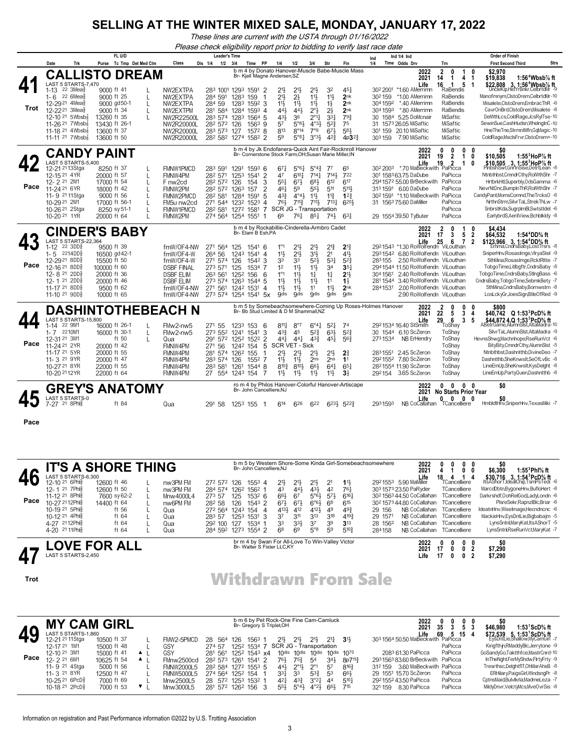*These lines are current with the USTA through 01/16/2022*

*Please check eligibility report prior to bidding to verify last race date*

|      |                                                                                                                                                                                                                                                                                        |                                                   | FL U/D                                                                                                                |              |                                                                                                                               | <b>Leader's Time</b>                                                                  |                                                                                                                          |                                                             |                                                                                                               |                                                                                                                 |                                                                                                                                                        |                                                                                                     |                                                                                                                                 | Ind 1/4 Ind<br>Ind                                                                                                                                                                                                                                                                                                                     |                                                                                                                                                                                            | <b>Order of Finish</b>                                                                                                                                                                                                                                                                                                                                                                                                                       |
|------|----------------------------------------------------------------------------------------------------------------------------------------------------------------------------------------------------------------------------------------------------------------------------------------|---------------------------------------------------|-----------------------------------------------------------------------------------------------------------------------|--------------|-------------------------------------------------------------------------------------------------------------------------------|---------------------------------------------------------------------------------------|--------------------------------------------------------------------------------------------------------------------------|-------------------------------------------------------------|---------------------------------------------------------------------------------------------------------------|-----------------------------------------------------------------------------------------------------------------|--------------------------------------------------------------------------------------------------------------------------------------------------------|-----------------------------------------------------------------------------------------------------|---------------------------------------------------------------------------------------------------------------------------------|----------------------------------------------------------------------------------------------------------------------------------------------------------------------------------------------------------------------------------------------------------------------------------------------------------------------------------------|--------------------------------------------------------------------------------------------------------------------------------------------------------------------------------------------|----------------------------------------------------------------------------------------------------------------------------------------------------------------------------------------------------------------------------------------------------------------------------------------------------------------------------------------------------------------------------------------------------------------------------------------------|
|      | Date                                                                                                                                                                                                                                                                                   | Trk                                               | Tc Tmp Det Med Clm<br>Purse                                                                                           |              | Class                                                                                                                         | Dis 1/4                                                                               | $1/2$ $3/4$<br>Time                                                                                                      | PP                                                          | 1/4                                                                                                           | 1/2                                                                                                             | 3/4                                                                                                                                                    | Str                                                                                                 | Fin                                                                                                                             | 1/4<br>Time Odds Drv<br>Trn                                                                                                                                                                                                                                                                                                            |                                                                                                                                                                                            | <b>First Second Third</b><br><b>Strs</b>                                                                                                                                                                                                                                                                                                                                                                                                     |
| Trot | $1 - 13$<br>1-6 $22 \text{ 6}$ Mea $\frac{5}{8}$<br>12-29 <sup>21</sup> 4Mea <sup>§</sup><br>12-22 <sup>21</sup> 3Mea <sup>§</sup><br>12-10 <sup>21</sup> 5Wbsb $\frac{7}{8}$<br>11-26 <sup>21</sup> 7Wbsb $\frac{7}{8}$<br>11-18 <sup>21</sup> 4Wbsb $\frac{7}{8}$<br>11-11 21 7Wbsbg | <b>CALLISTO</b><br>LAST 5 STARTS-7.470<br>22 3Mea | 9000 ft 41<br>9000 ft 25<br>9000 gd50-1<br>9000 ft 34<br>13260 ft 35<br>13430 ft 26-1<br>13600 ft 37<br>13600 ft 50   | <b>DREAM</b> | NW2EXTPA<br>NW2EXTPA<br>NW2FXTPA<br>NW2EXTPM<br>NW2R22500L<br>NW2R20000L<br>NW2R20000L<br>NW2R20000L                          | 284 591<br>284 59<br>281 584 1284<br>283 574 1283<br>282 572 126<br>283 573 127       | Br- Kjell Magne Andersen, SZ<br>283 1001 1293 1591<br>1283<br>159<br>1283<br>282 582 1274 1582 2                         | 2<br>1592 3<br>1593 4<br>1564 5<br>$1563$ 9<br>1572 8       | 21}<br>$21\frac{1}{2}$<br>11}<br>441<br>431<br>57<br>813<br>59                                                | 213<br>$2\frac{1}{2}$<br>$11\frac{1}{2}$<br>441<br>36<br>5°8 <sup>1</sup><br>$8^{\circ}14$<br>$5^{\circ}81$     | $21\frac{1}{2}$<br>$11\frac{1}{2}$<br>$11\frac{1}{2}$<br>$2^{\circ}3$<br>$2^{\circ}1\frac{1}{4}$<br>$4^{\circ}3\frac{1}{2}$<br>7°9<br>3°3 <sup>3</sup> | 32<br>$11\frac{1}{2}$<br>$1\frac{1}{2}$<br>$2\frac{1}{2}$<br>$3^{3}$<br>$5^{2}3$<br>673<br>$4^{2}3$ | b m 4 by Donato Hanover-Muscle Babe-Muscle Mass<br>$45\frac{1}{4}$<br>2nk<br>2nk<br>2nk<br>793<br>75<br>583<br>4p3 <sup>2</sup> | 2022<br>$\overline{2}$<br>2021<br>14<br>16<br>Life<br>30 <sup>2</sup> 2001<br>*1.60 AMerrimn<br>*1.00 AMerrimn<br>302159<br>304 1592<br>*.40 AMerrimn<br>304 1593<br>*.80 AMerrimn<br>30 1584 5.25 DoMcnair<br>31 1573 26.05 MiSaftic<br>301 159 20.10 MiSaftic<br>303 159 7.90 MiSaftic                                               | $\mathbf{1}$<br>0<br>$\mathbf 1$<br>4 1<br>5<br>$\overline{1}$<br>RaBendis<br>RaBendis<br>RaBendis<br>RaBendis<br><b>MiSaftic</b><br><b>MiSaftic</b><br><b>MiSaftic</b><br><b>MiSaftic</b> | \$2.970<br>0<br>1:56 $4$ Wbsb $\%$ ft<br>\$19,838<br>\$22,808 3, 1:56 <sup>4</sup> Wbsb <sup>7</sup> / <sub>8</sub> ft<br>$\overline{\mathbf{1}}$<br>UncleKip,HidYrBnkr,CelbrtdMr -9<br>Manofmnym,CIstoDrem,CelbrtdMr-10<br>Misalete,ClstoDrem,EmbracThR -6<br>CavrOnBrd.ClstoDrem.Misalete -8<br>DelWthLcs,ColdRage,JcsRylTse-10<br>SewinSue,CashHudsn,WhelngInC-10<br>HneTheTne,StrmntMfn,GqMagic-10<br>ColdRage, MsclsFrvr, ClstoDrem+-10 |
|      |                                                                                                                                                                                                                                                                                        |                                                   | <b>CANDY PAINT</b>                                                                                                    |              |                                                                                                                               |                                                                                       | Br- Cornerstone Stock Farm, OH; Susan Marie Miller, IN                                                                   |                                                             |                                                                                                               |                                                                                                                 |                                                                                                                                                        |                                                                                                     | b m 4 by Jk Endofanera-Quick Aint Fair-Rocknroll Hanover                                                                        | 2022<br>0<br>19<br>2021                                                                                                                                                                                                                                                                                                                | $0\quad 0$<br>0<br>$\overline{\mathbf{2}}$<br>$\mathbf{1}$                                                                                                                                 | \$0<br>1:55 $3$ HoP $\%$ ft<br>0<br>\$10,505                                                                                                                                                                                                                                                                                                                                                                                                 |
| Pace | 12-21 2113Stga<br>12-15 21 4YR<br>12-2 21 2M1<br>11-24 <sup>21</sup> 6YR<br>11-9 <sup>21</sup> 11 Stga<br>10-29 21 2M1<br>10-26 <sup>21</sup> 2Stga<br>10-20 21 1YR                                                                                                                    | LAST 5 STARTS-5.400                               | 8250 ft 37<br>20000 ft 57<br>17000 ft 54<br>18000 ft 42<br>9000 ft 56<br>17000 ft 56-1<br>8250 sy 51-1<br>20000 ft 64 | $\mathsf{L}$ | FMNW1PMCD<br>FMNW4PM<br>F nw <sub>2cd</sub><br>FMNW2PM<br>FMNW2PMCD<br>FM5u nw2cd<br>FMNW1PMCD<br>FMNW2PM                     | 283 591<br>282 571<br>282 572 126<br>282 572 1263                                     | 1291<br>1253<br>1541<br>154<br>157<br>282 581 1284 1591<br>271 544 1232 1523 4<br>282 581 1272 1581<br>274 564 1254 1551 | $1593$ 6<br>$\overline{2}$<br>3<br>2<br>5<br>$\overline{7}$ | $67\frac{1}{4}$<br>47<br>$55\frac{1}{4}$<br>461<br>$4^{3}\frac{3}{4}$<br>761<br>SCR JG - Transportation<br>66 | $5^{\circ}6\frac{1}{4}$<br>$6^{10}$<br>$67\frac{1}{2}$<br>59<br>$4^{\circ}4^{\circ}$<br>$711\frac{3}{7}$<br>761 | $5^{\circ}4^{\frac{3}{4}}$<br>7141<br>683<br>55}<br>$11\frac{1}{2}$<br>711,<br>$85\frac{1}{4}$                                                         | 77<br>$714\frac{1}{2}$<br>612<br>511<br>$11\frac{3}{4}$<br>7137<br>$74\frac{1}{2}$                  | 65<br>722<br>617<br>5111<br>$1^{2}$<br>6201<br>$63\frac{1}{4}$                                                                  | Life<br>19<br>30 <sup>2</sup> 200 <sup>3</sup> *.70 MaBeckwith PaPicca<br>301 1583 63.75 DaDube<br>2941572 55.00 BrBeckwith PaPicca<br>313 1591 6.00 DaDube<br>30 <sup>2</sup> 1591 *1.10 MaBeckwith PaPicca<br>31 1563 75.60 DaMiller<br>29 1554 39.50 TyButer                                                                        | $\overline{2}$<br>-1<br>PaPicca<br>PaPicca<br>PaPicca<br>PaPicca<br>PaPicca                                                                                                                | \$10,505 3, 1:553HoP% ft<br>0<br>PinbshSwt.GnrtnSise.DetrtLean -8<br>Ntnbthbst.CmndrCthv.RolWthShr -7<br>HrtbrkHtl,Superbly,OdsGamma -6<br>NevrNtDnc,BumpInThR,RolWthShr -7<br>CandyPant,MomsComnd,TheTrcksO -6<br>NrthnStrm,SilvrTaL,StrekThLw -7<br>SnbrstKda.SugrplmBl.SwtstIdel -6<br>EarlybrdS, AerilView, Bchblkldy -8                                                                                                                 |
|      |                                                                                                                                                                                                                                                                                        |                                                   | <b>CINDER'S BABY</b>                                                                                                  |              |                                                                                                                               |                                                                                       | b m 4 by Rockabillie-Cinderella-Armbro Cadet                                                                             |                                                             |                                                                                                               |                                                                                                                 |                                                                                                                                                        |                                                                                                     |                                                                                                                                 | $\overline{2}$<br>2022                                                                                                                                                                                                                                                                                                                 | 0<br>1                                                                                                                                                                                     | 0<br>\$4.434                                                                                                                                                                                                                                                                                                                                                                                                                                 |
| Pace | $1 - 12$<br>$1 - 5$ 2214DD $\frac{5}{8}$<br>12-29 <sup>21</sup> 8DD<br>12-16 <sup>21</sup> 8DD<br>12-8 <sup>21</sup> 2DD<br>12-1 21 2DD<br>11-17 21 8DD <sub>8</sub><br>11-10 21 9DD\$                                                                                                 | LAST 5 STARTS-22.364<br>22 3DD\$                  | 9500 ft 39<br>16500 gd 42-1<br>15500 ft 50<br>100000 ft 60<br>20000 ft 36<br>20000 ft 46<br>9500 ft 62<br>10000 ft 65 |              | fmW/OF4-NW<br>fmW/OF4-W<br>fmW/OF4-W<br><b>DSBF FINAL</b><br><b>DSBF ELIM</b><br><b>DSBF ELIM</b><br>fmW/OF4-NW<br>fmW/OF4-NW | 271 564 125<br>264 56<br>271 574<br>273 571 125<br>263 561<br>273 574 1263<br>271 561 | Br- Elam B Esh, PA<br>1541<br>124 <sup>3</sup><br>126<br>1534<br>1252<br>156<br>1544<br>1242 1531<br>273 574 1254 1541   | -6<br>1541 4<br>$154^2$ 3<br>6<br>-5<br>4<br>5x             | $1^{\circ}1$<br>11}<br>33<br>12<br>$1^{\circ}1$<br>11}<br>11}<br>gdis                                         | 213<br>213<br>33<br>$11\frac{1}{2}$<br>$11\frac{1}{2}$<br>$11\frac{1}{2}$<br>11}<br><b>gdis</b>                 | $21\frac{1}{2}$<br>31}<br>52 <sub>3</sub><br>$11\frac{1}{2}$<br>$1\frac{1}{4}$<br>$11\frac{1}{2}$<br>11<br><b>gdis</b>                                 | $2^{13}$<br>2 <sup>1</sup><br>$53\frac{1}{4}$<br>34<br>$1\frac{1}{4}$<br>11<br>11}<br><b>O</b> dis  | $2^{13}$<br>41}<br>52 <sup>3</sup><br>$35+$<br>2 <sup>1</sup><br>$1\frac{1}{2}$<br>2 <sub>nk</sub><br><b>Odis</b>               | 17<br>2021<br>25<br>Life<br>2921543 *1.30 RoWolfendn ViLouthan<br>2931542 6.80 RoWolfendn ViLouthan<br>283155<br>2.50 RoWolfendn ViLouthan<br>2941544 11.50 RoWolfendn ViLouthan<br>304 1561<br>2.40 RoWolfendn ViLouthan<br>3.40 RoWolfendn ViLouthan<br>2811544<br>2.00 RoWolfendn ViLouthan<br>2841531<br>2.90 RoWolfendn ViLouthan | 3<br>$5\quad2$<br>$\overline{7}$<br>6                                                                                                                                                      | 1:54 <sup>4</sup> DD% ft<br>\$64,532<br>\$123,966 3, 1:54 <sup>4</sup> DD% ft<br>$\overline{2}$<br>Emma, CndrsBaby, Lost Trsrs -8<br>SniperHnv, RosasImge, VlryaStel -9<br>SthMina, RosasImge, RcktRltte -7<br>TobgoTime.Litlbgftr.CndrsBaby -8<br>TobgoTime,CndrsBaby,StIngBass -6<br>CndrsBaby,TobgoTime,SebmkBety -7<br>SthMina,CndrsBaby,Bornwstrn -8<br>LosLckyGr,JoesSign,BtleOfRed -9                                                 |
|      |                                                                                                                                                                                                                                                                                        |                                                   | <b>DASHINTOTHEBEACH N</b>                                                                                             |              |                                                                                                                               |                                                                                       | Br- Bb Stud Limited & D M Shammall.NZ                                                                                    |                                                             |                                                                                                               |                                                                                                                 |                                                                                                                                                        |                                                                                                     |                                                                                                                                 | b m <sub>-5</sub> by Somebeachsomewhere-Coming Up Roses-Holmes Hanover<br>2022<br>2                                                                                                                                                                                                                                                    | 0<br>0                                                                                                                                                                                     | 0<br>\$800                                                                                                                                                                                                                                                                                                                                                                                                                                   |
| Pace | $1 - 14$<br>1-7 2210M1<br>12-31 21 3M1<br>11-24 21 2YR<br>11-17 21 5YR<br>11- 3 <sup>21</sup> 9YR<br>10-27 21 8 YR<br>10-20 2112YR                                                                                                                                                     | <b>LAST 5 STARTS-15,800</b><br>22 9M1             | 16000 ft 26-1<br>16000 ft 30-1<br>ft $50$<br>20000 ft 42<br>20000 ft 55<br>20000 ft 47<br>22000 ft 55<br>22000 ft 64  | L            | FMw2-nw5<br>FMw2-nw5<br>Qua<br>FMNW4PM<br>FMNW4PM<br>FMNW4PM<br>FMNW4PM<br>FMNW4PM                                            | 271 55<br>273 552 1241<br>291<br>271 56<br>281<br>574<br>283 574 126<br>283 581       | 1233<br>153<br>1541<br>572 1252 1522 2<br>1242 154<br>1262<br>155<br>1261<br>27 554 1243 154 7                           | -6<br>3<br>5<br>1552 7<br>1544 8                            | $811\frac{1}{4}$<br>$43\frac{3}{7}$<br>441<br><b>SCR VET - Sick</b><br>21}<br>11}<br>810}<br>11}              | 8°7<br>45<br>441<br>21}<br>$11\frac{1}{2}$<br>8101<br>11}                                                       | $6^{\circ}4\frac{1}{2}$<br>$5^{2}$<br>$43\frac{3}{4}$<br>$21\frac{1}{2}$<br>2 <sub>ns</sub><br>66}<br>$11\frac{1}{2}$                                  | 52 <sup>1</sup><br>631<br>451<br>2 <sup>11</sup><br>2 <sub>ns</sub><br>64 <sup>1</sup><br>11        | 74<br>$5^{2}$<br>56 <sup>3</sup><br>2 <sup>3</sup><br>1 <sup>1</sup><br>$65\frac{1}{4}$<br>3 <sup>1</sup>                       | 2021<br>22<br>29<br>Life<br>2921534 16.40 StSmith<br>30 1544 6.10 ScZeron<br>ToShay<br>2731534<br>NB ErHendry<br>ToShav<br>2831551 2.45 ScZeron<br>ToShav<br>2921552 7.80 ScZeron<br>ToShav<br>ToShav<br>2821554 11.90 ScZeron<br>292154 3.65 ScZeron<br>ToShav                                                                        | 5<br>3<br>6<br>3<br>ToShav<br>ToShav                                                                                                                                                       | \$40,742 Q 1:53 <sup>3</sup> PcD% ft<br>-4<br>\$44,872 4, Q 1:53 <sup>3</sup> PcD% ft<br>5<br>ABetrGame.AlumnSist.AltaMadra-10<br>SilvrTaL.AlumnSlst.AltaMadra -9<br>HevnsShwg,Machnhope,RseRunVct -6<br>BityBity,CmndrCthy,AlumnSlst -5<br>Ntnbthbst.Dashntthb.DivineDeo -7<br>Dashntthb,SheKnwsIt,SeOfLvBc -8<br>LineEmUp.SheKnwsIt.KysDelaht -8<br>LineEmUp.PartvQuen.Dashntthb -8                                                        |
|      |                                                                                                                                                                                                                                                                                        |                                                   |                                                                                                                       |              |                                                                                                                               |                                                                                       |                                                                                                                          |                                                             |                                                                                                               |                                                                                                                 |                                                                                                                                                        |                                                                                                     | ro m 4 by Philos Hanover-Colorful Hanover-Artiscape                                                                             | 2022                                                                                                                                                                                                                                                                                                                                   | $0\quad 0\quad 0\quad 0$                                                                                                                                                                   | \$0                                                                                                                                                                                                                                                                                                                                                                                                                                          |
|      | <b>LAST 5 STARTS-0</b><br>$7 - 27$                                                                                                                                                                                                                                                     | 21 8Ph服                                           | GREY'S ANATOMY<br>ft 84                                                                                               |              | Qua                                                                                                                           | 291 58                                                                                | Br- John Cancelliere.NJ<br>1253 155 1                                                                                    |                                                             | 614                                                                                                           | 626                                                                                                             | 622                                                                                                                                                    |                                                                                                     | $6^{23}\frac{1}{2}$ $5^{22}\frac{3}{4}$                                                                                         | 2021<br>Life<br>$\mathbf{0}$<br>NB CoCallahan<br>2931593                                                                                                                                                                                                                                                                               | <b>No Starts Prior Year</b><br>$\mathbf{0}$<br>$0\quad 0$<br>TCancelliere                                                                                                                  | \$0<br>HmbldtHnv,SniperHnv,TexasMiki -7                                                                                                                                                                                                                                                                                                                                                                                                      |

**Pace**

|      |                                                          | <b>''S A SHORE THING</b>    |                                   |                              |                          | Br- John Cancelliere.NJ       |                                                                                |                  |                                  |                                             |                      | b m 5 by Western Shore-Some Kinda Girl-Somebeachsomewhere | 2022<br>2021      |                                                                                            |    | 0                                 | \$0<br>\$6,300 |                           | 1:55 $3$ Phl $%$ ft                                                                                                                      |  |  |
|------|----------------------------------------------------------|-----------------------------|-----------------------------------|------------------------------|--------------------------|-------------------------------|--------------------------------------------------------------------------------|------------------|----------------------------------|---------------------------------------------|----------------------|-----------------------------------------------------------|-------------------|--------------------------------------------------------------------------------------------|----|-----------------------------------|----------------|---------------------------|------------------------------------------------------------------------------------------------------------------------------------------|--|--|
|      | LAST 5 STARTS-6.300<br>12-10 21 6Phls<br>12-1 21 7Ph     | 12600 ft 46<br>12600 ft 50  | nw3PM FM                          | 272 572 126<br>284 574       |                          | $155^3$ 4                     |                                                                                | $21\frac{1}{2}$  | $21\frac{1}{2}$                  | $21\frac{1}{2}$<br>431                      | 2 <sup>1</sup><br>42 | $1\frac{11}{2}$<br>761                                    |                   | Life<br>2921553 5.90 MaMiller<br>303 1573 23.50 PaRyder                                    | 18 | 4<br>TCancelliere<br>TCancelliere |                |                           | \$30,716 3, 1:54 <sup>3</sup> PcD <sup>5</sup> / <sub>8</sub> ft<br>ItsAShorT,IdealChip,TsmPsTedi -6<br>MarcdDbtn,BygoneHnv,BufloHert -8 |  |  |
| Pace | 11-12 <sup>21</sup> 8Ph<br>10-27 2112Phlg                | 7600 sy 62-2<br>14400 ft 64 | nw3PM FM<br>Mnw4000L4<br>nw6PM FM | 273 57<br>28 <sup>2</sup> 58 | 1262<br>125<br>126       | 1562<br>$153^2$ 6<br>$1543$ 2 |                                                                                | 43<br>66}<br>67} | 441<br>67<br>673                 | $5°6\frac{1}{2}$<br>$6^{\circ}6\frac{1}{2}$ | $5^{7}$<br>68        | $6^{16}$<br>615                                           |                   | 30 <sup>2</sup> 156 <sup>3</sup> 44.50 CoCallahan<br>30 <sup>2</sup> 1573 44.80 CoCallahan |    | TCancelliere<br>TCancelliere      |                |                           | Darkrshdf.OohRelGodLadvLondn -6<br>PIsreSekr.RapnzIBIc.Briar -6                                                                          |  |  |
|      | $10-19215$ Phls<br>10-12 <sup>21</sup> 4Phl <sup>5</sup> | ft 56<br>ft 64              | Qua<br>Qua                        | 272 564<br>283 57            | 1243<br>125 <sup>3</sup> | 154<br>1531 3                 | 4<br>37                                                                        | 4134             | 412<br>3 <sup>11</sup>           | 4121<br>$3^{13}$                            | 49<br>318            | 49 <sup>3</sup><br>$4^{19}$                               | 29 156<br>29 1571 | NB CoCallahan<br>NR CoCallahan                                                             |    | TCancelliere<br>TCancelliere      |                |                           | IdeatnHnv, WiseImage, Hecndncnc -6<br>MackieHnv,EysDntLie,Bigbabajm -5                                                                   |  |  |
|      | 4-27 2112Ph<br>4-20 21 11 Phis                           | ft 64<br>ft 64              | Qua<br>Qua                        | 292 100<br>284 592 1273      | 127                      | 1534<br>1554 2                | 33                                                                             | 68               | 3 <sup>3</sup><br>6 <sup>9</sup> | 37<br>$5^{\circ}8$                          | 39<br>59             | 3 <sup>13</sup><br>$5^{10}$                               | 28 1562<br>284158 | NB CoCallahan<br>NR CoCallahan                                                             |    | TCancelliere<br>TCancelliere      |                |                           | LynsSntnl,MaryKat,ItsAShorT -5<br>LynsSntnlRseRunVctMarvKat -7                                                                           |  |  |
|      | LAST 5 STARTS-2.450                                      | <b>OVE FOR ALL</b>          |                                   |                              |                          |                               | br m 4 by Swan For All-Love To Win-Valley Victor<br>Br- Walter S Fister LLC.KY |                  |                                  |                                             |                      |                                                           |                   | 2022<br>2021<br>Life                                                                       |    | 0                                 | 0              | \$0<br>\$7,290<br>\$7,290 |                                                                                                                                          |  |  |

# **Trot** Trot **Withdrawn From Sale**

|      | <b>MY CAM GIRL</b>                                                      |                                                           |    |                                                             |                                                               |      |                                  | b m 6 by Pet Rock-One Fine Cam-Camluck<br>Br- Gregory S Triplet, OH |                                       |                                                             |                              |                                         | 2022<br>2021                                                                                                      | 35                 | 0<br>0 | \$46.980 | 1:53 <sup>1</sup> ScD% ft                                                                                                                         |
|------|-------------------------------------------------------------------------|-----------------------------------------------------------|----|-------------------------------------------------------------|---------------------------------------------------------------|------|----------------------------------|---------------------------------------------------------------------|---------------------------------------|-------------------------------------------------------------|------------------------------|-----------------------------------------|-------------------------------------------------------------------------------------------------------------------|--------------------|--------|----------|---------------------------------------------------------------------------------------------------------------------------------------------------|
| 49   | LAST 5 STARTS-1.860<br>12-21 21 11 Stga<br>12-17 21 1M1                 | 10500 ft 37<br>15000 ft 48                                |    | FMW2-5PMCD<br>GSY                                           | 564<br>28.<br>274.57                                          | 126  | 1563<br>1252 1534 7              | 211,<br>SCR JG - Transportation                                     | $21\frac{1}{2}$                       | 21}                                                         | $21\frac{1}{2}$              | $3^{11}$                                | Life<br>303 1564 50.50 MaBeckwith PaPicca                                                                         | 69<br>PaPicca      | 5 15 4 |          | \$72,539 5, 1:53 <sup>1</sup> ScD <sup>5</sup> / <sub>8</sub> ft<br>EysDntLie,Shallow,MyCamGirl -7<br>Kingfthjn, RMaddy Blc, Jerrytone -9         |
| Pace | 12-10 21 3M1<br>12-2 <sup>21</sup> 6M1<br>11-9 21 4Stga<br>11- 3 21 8YR | 15000 ft 41<br>10625 ft 54<br>$5000$ ft 56<br>12500 ft 47 | ▲Ⅰ | GSY<br>FMnw2500cd<br><b>FMNW2000L5</b><br><b>FMNW5000L5</b> | 281 561<br>282 573<br>282 584 1272 1553 5<br>274 564 1252 154 | 1261 | 125 <sup>2</sup> 1543 x4<br>1541 | 761<br>$44\frac{1}{2}$<br>33 <sup>1</sup>                           | 753<br>$2^{\circ}1\frac{1}{2}$<br>-33 | 10dis 10dis 10dis<br>.54<br>$2^{\circ}1$<br>$53\frac{3}{2}$ | 341<br>.57<br>5 <sup>3</sup> | 10dis 1070<br>8p7113<br>$8^{16}$<br>66} | 2083 61.30 PaPicca<br>293156383.60 BrBeckwith PaPicca<br>312 159 3.60 MaBeckwith PaPicca<br>29 1551 15.70 ScZeron | PaPicca<br>PaPicca |        |          | GoSandyGo,Taktthfce,MastrCnrd-10<br>InTheNaht.FerMvShdw.FlrtvFrtv -9<br>Tresrthsc, DelghtflT, OhMarAhsB -8<br>ERHilary, Paigs Girl, Windsng Pr -8 |
|      | 10-25 21 6PcD 3<br>10-18 <sup>21</sup> 2PcD $\frac{5}{8}$               | 7000 ft 69<br>7000 ft 53                                  |    | Mnw2500L5<br>Mnw3000L5                                      | 28 572 1253 1532 1<br>281 572 1262 156                        |      |                                  | $4^{2}$<br>$55\frac{1}{2}$                                          | $4^{3}\}$<br>$5^{\circ}4\frac{1}{2}$  | $3^{\circ}21$<br>$4^{\circ}2\frac{1}{2}$                    | 44<br>66}                    | $5^{10}$<br>715                         | 292155243.50 PaPicca<br>321159 8.30 PaPicca                                                                       | PaPicca<br>PaPicca |        |          | CptnsMaid.Bulvlkrla.MadmeLeza -7<br>MildyDnvr,VelctyMcs,MveOvrSis -8                                                                              |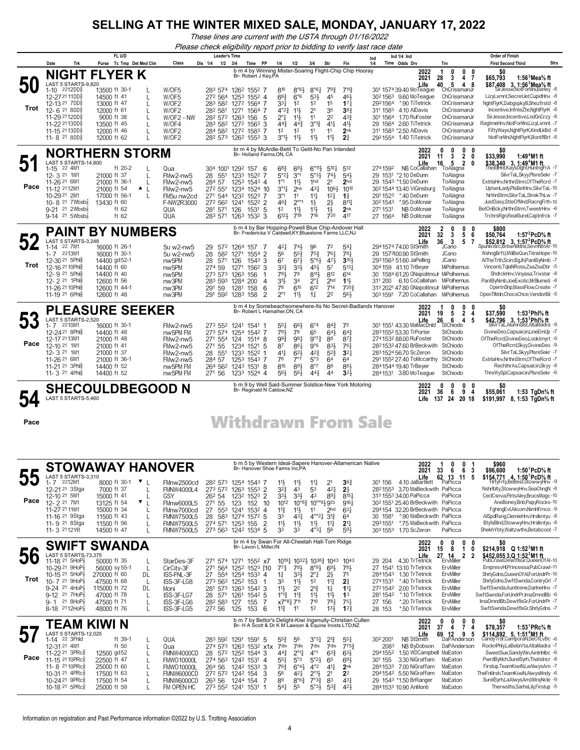*These lines are current with the USTA through 01/16/2022*

*Please check eligibility report prior to bidding to verify last race date*

|                   | Trk<br>Date                                                                                                                                                                                                                                             | FL U/D<br>Purse Tc Tmp Det Med Clm                                                                                                                     | Class                                                                                                                                                                                                                                      | <b>Leader's Time</b><br>Dis 1/4<br>$1/2$ $3/4$                                                                 | PP<br>Time                                                                                                                                                                                                                                                                               | 1/4<br>1/2                                                                                                                                                                                                                                                                                                                            | 3/4                                                                                                                                               | Str<br>Fin                                                                                                                                                                                                                                                | Ind<br>1/4                                                             | Ind 1/4 Ind<br>Time Odds Drv                                                                                                                                                                                                                                                        | Trn                                                                                                                                                                                    | <b>Order of Finish</b><br><b>Strs</b><br><b>First Second Third</b>                                                                                                                                                                                                                                                                                                                                           |
|-------------------|---------------------------------------------------------------------------------------------------------------------------------------------------------------------------------------------------------------------------------------------------------|--------------------------------------------------------------------------------------------------------------------------------------------------------|--------------------------------------------------------------------------------------------------------------------------------------------------------------------------------------------------------------------------------------------|----------------------------------------------------------------------------------------------------------------|------------------------------------------------------------------------------------------------------------------------------------------------------------------------------------------------------------------------------------------------------------------------------------------|---------------------------------------------------------------------------------------------------------------------------------------------------------------------------------------------------------------------------------------------------------------------------------------------------------------------------------------|---------------------------------------------------------------------------------------------------------------------------------------------------|-----------------------------------------------------------------------------------------------------------------------------------------------------------------------------------------------------------------------------------------------------------|------------------------------------------------------------------------|-------------------------------------------------------------------------------------------------------------------------------------------------------------------------------------------------------------------------------------------------------------------------------------|----------------------------------------------------------------------------------------------------------------------------------------------------------------------------------------|--------------------------------------------------------------------------------------------------------------------------------------------------------------------------------------------------------------------------------------------------------------------------------------------------------------------------------------------------------------------------------------------------------------|
| Trot              | <b>NIGHT</b><br>LAST 5 STARTS-9,820<br>$1 - 10$<br>2212DD§<br>12-27 21 11 DD<br>12-13 21 7DD<br>$12 - 6218DD$<br>11-29 2112DD<br>11-22 2113DD§<br>11-15 2113DD <sub>8</sub><br>11-8 <sup>21</sup> 8DD <sup>3</sup>                                      | <b>FLYER K</b><br>13500 ft 30-1<br>14500 ft 41<br>13000 ft 47<br>12000 ft 61<br>9000 ft 38<br>13500 ft 45<br>12000 ft 46<br>12000 ft 62                | W/OF5<br>L<br>W/OF5<br>W/OF2<br>L<br>W/OF2<br>$\mathbf{I}$<br>L<br>W/OF2 - NW<br>W/OF4<br>L<br>W/OF2<br>W/OF2<br>$\mathbf{L}$                                                                                                              | 272 564<br>282 581 1271<br>28 <sup>2</sup> 57 <sup>2</sup> 126 <sup>3</sup> 156                                | b m 4 by Winning Mister-Soaring Flight-Chip Chip Hooray<br>Br- Robert J Key, PA<br>283 574 1262 1552 7<br>1253 1552 4<br>283 582 1272 1564 7<br>1564 7<br>-5<br>283 582 1272 1563<br>-3<br>284 582 1272 1583<br>7<br>28 <sup>2</sup> 57 <sup>3</sup> 126 <sup>2</sup> 155 <sup>3</sup> 3 | 810<br>$8°6\frac{1}{2}$<br>6°6<br>$66\frac{3}{4}$<br>1 <sup>2</sup><br>331<br>$11\frac{1}{2}$<br>$4^{\circ}2^{\frac{3}{2}}$<br>2°‡<br>$11\frac{1}{2}$<br>$44\frac{3}{4}$<br>$4^{4^{3}}$<br>12<br>1 <sup>2</sup><br>$3^{\circ}1\frac{1}{2}$<br>11号                                                                                     | $8^{\circ}6^{\frac{1}{4}}$<br>$5^{31}$<br>1 <sup>2</sup><br>2 <sup>1</sup><br>11<br>$3^{012}$<br>11<br>11                                         | $79\frac{3}{4}$<br>$7^{11}\frac{3}{4}$<br>45<br>461<br>1 <sup>5</sup><br>17 <sup>1</sup><br>383<br>35<br>2 <sup>2</sup><br>$4^{3}\frac{3}{4}$<br>$4^{11}$<br>$4^{11}$<br>11<br>2 <sub>nk</sub><br>2 <sup>3</sup><br>11号                                   | 2921564<br>311 1583<br>301 1564<br>29 1564                             | 2022<br>2021<br>Life<br>301 1574 39.40 MoTeague<br>30 <sup>2</sup> 156 <sup>3</sup> 9.60 MoTeague<br>*.90 TiTetrick<br>4.10 AlDavis<br>1.70 RuFoster<br>2.60 TiTetrick<br>311 1583 *2.50 AlDavis<br>2921554 1.40 TiTetrick                                                          | 0<br>0<br>-1<br>0<br>3<br>28<br>4 7<br>40<br>5<br>48<br>ChCrissmanJr<br>ChCrissmanJr<br>ChCrissmanJr<br>ChCrissmanJr<br>ChCrissmanJr<br>ChCrissmanJr<br>ChCrissmanJr<br>ChCrissmanJr   | \$0<br>1:56 $3$ Mea $\%$ ft<br>\$65,793<br>\$87.408 3. 1:56 <sup>3</sup> Mea <sup>5</sup> / <sub>8</sub> ft<br>SirJesse, NotForMni, Barley -8<br>LizyLxmnt,SecretJet,CupidHnv -8<br>NghtFlyrK,DabgspkyB,Shezfrstd -8<br>Incentive,InfnteZte,NghtFlyrK -8<br>SirJesse, Incentive, LndGnCrzy -8<br>RagtmeHnv, NotForMni, LizyLxmnt -7<br>FiftyWays,NghtFlyrK,KindLkBd -8<br>NotForMni, NghtFlyrK, BontflBrt -8 |
| Pace              | LAST 5 STARTS-14,800<br>22 4M1<br>$1 - 15$<br>12-3 21 1M1<br>11-26 21 6M1<br>11-12 <sup>21</sup> 12M1<br>10-29 21 2M1<br>10-8 $21$ 7Wbsb $\frac{7}{8}$<br>9-21 <sup>21</sup> 2Wbsb <sub>8</sub><br>$9-14$ 21 5Wbsb <sup>2</sup>                         | <b>NORTHERN STORM</b><br>ft 20-2<br>21000 ft 37<br>21000 ft 36-1<br>21000 ft 54<br>17000 ft 56-1<br>13430 ft 60<br>ft $62$<br>ft $62$                  | Qua<br>L<br>L<br>FMw2-nw5<br>L<br>FMw2-nw5<br>▲ L<br>FMw2-nw5<br>$\mathbf{I}$<br>FM5u nw2cd<br>F-NW2R3000<br>QUA<br>QUA                                                                                                                    | 304 1001 1292 157<br>28<br>$55^{1}$<br>284 57<br>272 551<br>271 544 1232 1523<br>272 562<br>281 571<br>283 571 | br m 4 by McArdle-Betit To Getit-No Pan Intended<br>Br- Holland Farms, ON, CA<br>6<br>1233 1522 7<br>1253 1543 4<br>1234 1524 10<br>-7<br>1241 1522 2<br>1531 5<br>126<br>1263 1532 3                                                                                                    | $6^{8}$ <sub>4</sub><br>691<br>5°27<br>$3^{\circ}1$<br>$1^{\circ}1$<br>$11\frac{1}{2}$<br>$3^{01}$<br>2 <sub>ns</sub><br>$3^{\circ}1$<br>11<br>$2^{\circ\circ}1$<br>463<br>1 <sup>2</sup><br>$11\frac{1}{2}$<br>$6^{12}\frac{1}{2}$<br>719                                                                                            | $6^{\circ}11\frac{1}{2}$<br>$5°3\frac{1}{2}$<br>1hd<br>431<br>$11\frac{1}{4}$<br>$1\frac{1}{2}$<br>$11\frac{1}{2}$<br>716                         | $5^{10}$ $\frac{1}{4}$<br>512<br>$74\frac{1}{2}$<br>$54\frac{1}{2}$<br>2 <sup>1</sup><br>2 <sub>hd</sub><br>1063<br>1010<br>12 <sub>1</sub><br>$1\frac{3}{4}$<br>$2\frac{1}{2}$<br>$8^{11}\frac{1}{4}$<br>$1\frac{1}{2}$<br>2 <sub>nk</sub><br>417<br>720 | 2741592<br>29 1531<br>291 1523<br>302 1543<br>271 1531<br>27 1564      | 2022<br>2021<br>Life<br>NB CoCallahan<br>*2.10 DeDunn<br>29 1543 *1.50 DeDunn<br>30 <sup>2</sup> 1544 13.40 ViGinsburg<br>*.40 DeDunn<br>*.95 DoMcnair<br>NB DoMcnair<br><b>NB DoMcnair</b>                                                                                         | $\mathbf 0$<br>0<br>0<br>0<br>$2 \quad 0$<br>3<br>11<br>5<br>$\overline{2}$<br>16<br>0<br>ToAlagna<br>ToAlagna<br>ToAlagna<br>ToAlagna<br>ToAlagna<br>ToAlagna<br>ToAlagna<br>ToAlagna | 50<br>\$33,990<br>1:49 <sup>4</sup> M1 ft<br>\$38,340 3, 1:49 <sup>4</sup> M1 ft<br>TheIdlHnt,KaysDlght,HuntngFrA -7<br>SilvrTaL,Skyy,PlsreSekr -7<br>ExtriaHnv,NrthnStrm,OfTheRcrd -7<br>UptwnLady,PIsBetHnv,SilvrTaL-10<br>NrthnStrm,SilvrTaL,StrekThLw -7<br>JustDasy,StteOfMnd,RacngFrth-10<br>BetOnBcky,NrthnStrm,TweetrHnv -6<br>TrchrsRgn,RealSurel,Captnfrck -7                                      |
| Trot              | LAST 5 STARTS-3,248<br>22 7M1<br>$1 - 14$<br>1-7 2213M1<br>12-30 <sup>21</sup> 5Phlg<br>12-16 21 10Phls<br>12-9 21 5Phlg<br>12-2 <sup>21</sup> 1Phis<br>11-26 21 10 Phil<br>11-19 <sup>21</sup> 6Phlg                                                   | <b>PAINT BY NUMBERS</b><br>16000 ft 26-1<br>16000 ft 30-1<br>14400 gd52-1<br>14400 ft 60<br>14400 ft 40<br>12600 ft 56<br>12600 ft 44-1<br>12600 ft 48 | 5u w2-nw5<br>5u w2-nw5<br>nw <sub>5</sub> PM<br>nw <sub>5</sub> PM<br>nw <sub>5</sub> PM<br>nw3PM<br>nw3PM<br>nw3PM                                                                                                                        | 29<br>572<br>28<br>582<br>28<br>571<br>274 59<br>273 573 1263 156<br>283 593<br>291 59<br>291 592              | b m 4 by Bar Hopping-Powell Blue Chip-Andover Hall<br>Br- Fredericka V Caldwell, KY; Bluestone Farms LLC, NJ<br>1264 157<br>-7<br>1271 1554<br>-2<br>126<br>$154^3$ 3<br>1271<br>1562<br>3<br>-1<br>1284 200<br>4<br>6<br>1281<br>158<br>1283 158<br>2                                   | 421<br>$74\frac{1}{2}$<br>56<br>$55\frac{3}{4}$<br>67<br>$67\frac{1}{2}$<br>$3^{31}$<br>$3^{3}\frac{1}{2}$<br>793<br>78<br>3 <sup>11</sup><br>34<br>610<br>78<br>$2^{\circ}1$<br>$11\frac{1}{2}$                                                                                                                                      | 96<br>$75\frac{3}{4}$<br>$5°5\frac{1}{2}$<br>45}<br>8113<br>$2^{\circ}1$<br>612<br>$1\frac{1}{4}$                                                 | 72<br>$54\frac{1}{4}$<br>761<br>$78\frac{1}{4}$<br>471<br>$3^{10}$<br>5 <sup>7</sup><br>$5^{13}$<br>$8^{12}$<br>614<br>2 <sub>hd</sub><br>$11\frac{1}{2}$<br>714<br>7203<br>2 <sup>2</sup><br>56}                                                         | 311 200                                                                | 2022<br>2021<br>Life<br>294 1574 74.00 StSmith<br>29 1572100.90 StSmith<br>2931563 51.60 JaPelling<br>304 159 41.10 TrBeyer<br>30 1584 61.20 GNapolitnoJr MiPolhemus<br>6.10 CoCallahan MiPolhemus<br>313 2021 47.80 GNapolitnoJr MiPolhemus<br>303 1591 7.20 CoCallahan MiPolhemus | 0<br>2<br>0<br>0<br>32<br>3<br>5<br>6<br>$36JO$ 3<br>5<br>-7<br>JCano<br>JCano<br>MiPolhemus                                                                                           | \$800<br>1:57 $^{2}$ PcD $%$ ft<br>\$50,764<br>\$52,812 3, 1:57 PcD $\frac{1}{2}$ ft<br>Spunknśrc, BntwnMdns, SevnNtnAr-10<br>WshngBrft,UWilBeQun,TitnsHope-10<br>AlTheTrth,ScircBgJh,PantByNmb -7<br>Vincenti,TqlaNRoss,ZsaZsaDbr -5<br>ShdrckHnv, Vinyasa, Trixstar -8<br>PantByNmb,JoeExotic,MrBlumeti -8<br>OpertnShp, MassFlow, Create -7<br>OpenTIMdn,ChocsChce,VendorBil -5                           |
| ეკ<br>Pace        | LAST 5 STARTS-2.520<br>1-7 2210M1<br>12-2421 8Phls<br>12-17 2113M1<br>12-10 <sup>21</sup> 1M1<br>12-3 21 1M1<br>11-26 21 6M1<br>11-21 21 3Phls<br>11- 3 <sup>21</sup> 4Phlg                                                                             | <b>PLEASURE SEEKER</b><br>16000 ft 30-1<br>14400 ft 48<br>21000 ft 48<br>21000 ft 41<br>21000 ft 37<br>21000 ft 36-1<br>14400 ft 52<br>14400 ft 52     | FMw2-nw5<br>nw5PM FM<br>FMw2-nw5<br>FMw2-nw5<br>FMw2-nw5<br>FMw2-nw5<br>nw5PM FM<br>nw5PM FM                                                                                                                                               | 273 552<br>273 574<br>271 554<br>271 55<br>28<br>551<br>284 57<br>264 562<br>271 56                            | Br- Robert L Hamather.ON. CA<br>1241 1541<br>1254 1542 7<br>124<br>15148<br>1234 1521 5<br>1233 1522 1<br>1253 1543 7<br>1243 1531 8<br>1233 1524 4                                                                                                                                      | 551<br>$66\frac{1}{2}$<br>791<br>78<br>991<br>$99\frac{3}{4}$<br>87<br>$86\frac{1}{4}$<br>41<br>$6^{2}$<br>78<br>7°7<br>891<br>815<br>$56\frac{1}{2}$<br>56}                                                                                                                                                                          | $6^{\circ}4$<br>65<br>$9^{07}\frac{3}{4}$<br>9°6<br>$4^{2^{3}}$<br>5°3<br>8°7<br>$44\frac{1}{2}$                                                  | $84\frac{3}{4}$<br>75<br>641<br>$6^{4}$<br>88<br>$8^{7}{}_{2}^{3}$<br>83}<br>$76\frac{1}{4}$<br>$5^{2}\frac{3}{4}$<br>$3^{2}$<br>6 <sup>4</sup><br>6 <sup>4</sup><br>88<br>881<br>3 <sup>2</sup><br>44                                                    | b m 4 by Somebeachsomewhere-Its No Secret-Badlands Hanover             | 2022<br>2021<br>Life<br>301 1551 43.30 MaMacDnld<br>283 1552 53.30 TrPorter<br>2741532 88.00 RuFoster<br>282153247.60 BrBeckwith<br>283152456.70 ScZeron<br>291 1552 27.40 ToMccarthy<br>284154419.40 TrBeyer<br>2841531 3.80 MoTeague                                              | 0<br>0<br>1<br>0<br>$\overline{2}$<br>19<br>5<br>4<br>26<br>6<br>4<br>5<br>StChiodo<br>StChiodo<br>StChiodo<br>StChiodo<br>StChiodo<br>StChiodo<br>StChiodo<br>StChiodo                | \$0<br>\$37,590<br>1:53 $^3$ Phl $\%$ ft<br>\$42,796 3, 1:53 <sup>3</sup> Phl <sup>5</sup> / <sub>8</sub> ft<br>SilvrTaL,AlumnSlst,AltaMadra -9<br>DivineDeo,Capsaicin,LineEmUp -7<br>OfTheRcrd,DivineDeo,Looktmyrt -9<br>OfTheRcrd,Skyy,DivineDeo -9<br>SilvrTaL,Skyy,PlsreSekr -7<br>ExtriaHnv,NrthnStrm,OfTheRcrd -7<br>RechthrAs,Capsaicin,Skyy -8<br>ThreWySpl,Capsaicin,PlsreSekr -6                   |
| Pace              | LAST 5 STARTS-5,460                                                                                                                                                                                                                                     |                                                                                                                                                        | <b>SHECOULDBEGOOD N</b>                                                                                                                                                                                                                    |                                                                                                                | b m 9 by Well Said-Summer Solstice-New York Motoring<br>Br- Reginald N Caldow, NZ                                                                                                                                                                                                        |                                                                                                                                                                                                                                                                                                                                       |                                                                                                                                                   |                                                                                                                                                                                                                                                           | <b>Withdrawn From Sale</b>                                             | 2022<br>2021<br>Life                                                                                                                                                                                                                                                                | 0<br>0<br>0<br>0<br>36<br>6<br>9<br>4<br>137 24 20 18                                                                                                                                  | SO.<br>\$55.061<br>1:53 $TgDn%$ ft<br>\$191,997<br>8, 1:53 TgDn% ft                                                                                                                                                                                                                                                                                                                                          |
| c C<br>UU<br>Pace | LAJ<br>3 3 I AR I<br>1-7 2212M1<br>12-21 <sup>21</sup> 3Stga<br>12-10 21 5M1<br>12-2 <sup>21</sup> 7M1<br>11-27 <sup>21</sup> 11M1<br>11-16 <sup>21</sup> 9Stga<br>11-9 <sup>21</sup> 8 Stga<br>11-3 2112YR                                             | 8000 ft 30-1<br>7000 ft 37<br>15000 ft 41<br>13125 ft 54<br>15000 ft 34<br>11500 ft 43<br>11500 ft 56<br>14500 ft 47                                   | <b>STOWAWAY HANOVER</b><br>$\mathbf{v}_{\perp}$<br>FMnw2500cd<br>$\mathbf{I}$<br><b>FMNW4000L4</b><br>GSY<br>▼ L<br>FMnw6000L5<br>FMnw7000cd<br>L<br>$\mathbf{I}$<br><b>FMNW7500L5</b><br>L<br><b>FMNW7500L5</b><br><b>FMNW7500L5</b><br>L | 262 54<br>27 <sup>1</sup> 55<br>28<br>583<br>274 571                                                           | b m 5 by Western Ideal-Sapere Hanover-Allamerican Native<br>Br- Hanover Shoe Farms Inc, PA<br>282 573 1254 1543 7<br>273 572 1263 1553 2<br>1232 1523 2<br>123<br>152<br>10<br>27 553 1241 1532 4<br>1274 1572 5<br>$\overline{2}$<br>1253 155<br>273 563 1242 1534 5                    | $11\frac{1}{2}$<br>$11\frac{1}{2}$<br>$3^{2}\frac{3}{4}$<br>43<br>33}<br>$3^{3}\frac{1}{2}$<br>1012<br>$10^{8}$<br>$11\frac{3}{4}$<br>$11\frac{1}{2}$<br>33<br>$43\frac{1}{4}$<br>11<br>$11\frac{1}{2}$<br>33<br>33                                                                                                                   | $11\frac{1}{4}$<br>53<br>43<br>$10^{\circ\circ}9\frac{1}{2}913$<br>11<br>$4^{\circ}2^{\frac{1}{4}}$<br>$11\frac{1}{2}$<br>$4^{\circ}3\frac{1}{4}$ | 2 <sup>1</sup><br>$36\frac{3}{4}$<br>$4^{2}$<br>$2\frac{1}{2}$<br>891<br>$8^{15}$<br>9161<br>$63\frac{1}{4}$<br>2 <sub>hd</sub><br>$3^{12}$<br>64<br>2 <sup>11</sup><br>11<br>56<br>$59\frac{1}{2}$                                                       | 301 156<br>30 1581<br>2931551                                          | 2022<br>2021<br>$\blacksquare$<br>4.10 JaBartlett<br>2821553 3.70 MaBeckwith PaPicca<br>313 1553 34.00 PaPicca<br>30 <sup>2</sup> 1551 25.40 BrBeckwith PaPicca<br>294154 32.20 BrBeckwith PaPicca<br>*.90 MaBeckwith PaPicca<br>*.75 MaBeckwith PaPicca<br>303 1553 1.70 ScZeron   | 0<br>0<br>33<br>- 6<br>6<br>- 3<br><b>c</b> ۰<br>42<br>11<br>PaPicca<br>PaPicca<br>PaPicca                                                                                             | \$960<br>1:50 <sup>1</sup> PcD% ft<br>\$96,600<br>\$15<br><b>54,771   4, 1:50<sup>1</sup>PcD% ft</b><br>FirtyFrty,BeBest,Stowwy <del>ll</del> nv -9<br>Nshribity,StowwyHnv,SeaChngN -8<br>CeclCsnva,PirtsAley,BrucsMagc-10<br>AneBoney,Bnb,PapyRocks-10<br>FghtngEvl,Alicorn,NimhFrnco -9<br>AlSpdRsng,ClemieHnv,Hrslkntyu -8<br>BtylsBlnd,StowwyHnv,Hrslkntyu -8<br>ShekhYbty, Waltzwths, Betabcool -7      |
| Trot              | <b>SWIFT</b><br>LAST 5 STARTS-73,375<br>11-18 21 5HoP<br>10-29 21 9HoP3<br>10-15 <sup>21</sup> 5HoP <sub>8</sub><br>10-7 21 9HoP<br>9-24 21 $4HOP_8^7$<br>9-12 21 7HoP $\frac{7}{8}$<br>9-1 $^{21}$ 8HoP <sub>8</sub><br>8-18 2112HoP <sub>8</sub>      | <b>SWANDA</b><br>50000 ft 35<br>56000 sy 55-1<br>270000 ft 60<br>47500 ft 68<br>115000 ft 72<br>47000 ft 78<br>47500 ft 71<br>48000 ft 76              | StarDes-3F<br>L<br>L<br>CirCity-3F<br>DL<br>ISS-FNL-3F<br>ISS-3F-LG8<br>L<br>DL<br>Moni<br>ISS-3F-LG7<br>L<br>ISS-3F-LG6<br>L<br>ISS-3F-LG5<br>L                                                                                           | 271<br>564<br>273 563 1252 153<br>28 571<br>282 583<br>272 56                                                  | br m 4 by Swan For All-Cheetah Hall-Tom Ridge<br>Br- Lavon L Miller.IN<br>271 574 1271 1552 x7<br>1252 1523 [10<br>27 554 1254 1533 4<br>-1<br>281 573 1263 1542 3<br>1542 5<br>1261<br>155<br>7<br>127<br>125<br>153<br>6                                                               | $10^{19}\frac{1}{4}$ 10 <sup>32</sup> / <sub>2</sub> 10 <sup>38</sup> / <sub>2</sub> 10 <sup>43</sup><br>$7^{7\frac{3}{4}}$<br>$78\frac{1}{2}$<br>$3^{3}\frac{1}{2}$<br>$1\frac{1}{4}$<br>33<br>$11\frac{1}{2}$<br>$11\frac{1}{2}$<br>2 <sup>2</sup><br>$1^{\circ}1^{\circ}$<br>$11\frac{3}{4}$<br>x7°81 711<br>$11\frac{3}{4}$<br>11 | $8^{\circ}9\frac{1}{2}$<br>$2^{\circ}1$<br>1 <sup>2</sup><br>$2^{13}$<br>$11\frac{1}{2}$<br>710<br>1 <sup>2</sup>                                 | $10^{43}$<br>$69\frac{1}{2}$<br>781<br>$2\frac{1}{2}$<br>75<br>11<br>21<br>$11\frac{1}{4}$<br>$1\frac{1}{4}$<br>$11\frac{1}{2}$<br>1 <sup>3</sup><br>$78\frac{1}{4}$<br>75 <sub>1</sub><br>$13\frac{1}{2}$<br>$1^{2}3$                                    | 29 204<br>2841543<br>2741531<br>2721542<br>2811542<br>27 156<br>28 153 | 2022<br>2021<br>Life.<br>4.30 TrTetrick<br>27 1541 13.10 TrTetrick<br>1.30 TrTetrick<br>*.40 TrTetrick<br>2.00 TrTetrick<br>*.10 TrTetrick<br>*.20 TrTetrick<br>*.50 TrTetrick                                                                                                      | 0<br>0<br>0<br>0<br>8<br>$\overline{1}$<br>15<br>0<br>27 14<br>ErvMiller<br>2 2<br>ErvMiller<br>ErvMiller<br>ErvMiller<br>ErvMiller<br>ErvMiller<br>ErvMiller<br>ErvMiller             | 50<br>\$214,918 Q 1:52 <sup>3</sup> M1 ft<br>\$452,055 3,Q 1:52 <sup>3</sup> M1 ft<br>PubCrawl,DewtflsGr,QueenOfAl-10<br>EmpresvHl,Princessa,PubCrawl-11<br>ShrlyGdns, Queen Of Al, For UndrPr-10<br>ShrlyGdns,SwftSwnda,ContryGrl -7<br>SwftSwnda,AuntIrene,DarIneHnv -7<br>SwftSwnda.ForUndrPr.ImaDmndBb -6<br>ImaDmndBb,DewtflsGr,ForUndrPr -7<br>SwftSwnda,DewtflsGr,ShrlyGdns -7                        |
| Pace              | TEAM KIWI N<br>LAST 5 STARTS-12,025<br>1-14 22 3Fhld<br>12-31 21 4M1<br>11-22 <sup>21</sup> 3PRc<br>11-15 21 10PRcs<br>11-8 21 10 PR cs<br>10-31 21 4PRc <sup>3</sup><br>10-24 <sup>21</sup> 9PRc <sup>3</sup><br>10-18 <sup>21</sup> 5PRc <sup>3</sup> | ft 39-1<br>ft 50<br>12500 gd52<br>22500 ft 47<br>25000 ft 60<br>17500 ft 63<br>17500 ft 54<br>25000 ft 59                                              | QUA<br>L<br>Qua<br>L<br>L<br>FMNW4000CD<br>L<br><b>FMWO10000L</b><br><b>FMWO10000L</b><br>L<br>L<br>FMNW6000CD<br>FMNW6000CD<br>L<br>FM OPEN HC<br>L                                                                                       | 274 563 1242 1531<br>264 56<br>272 572 1242 154<br>263 56                                                      | b m 7 by Bettor's Delight-Kiwi Ingenuity-Christian Cullen<br>Br- H A Scott & Dr K M Lawson & Equine Invsts LTD, NZ<br>283 592 1291 1591 5<br>274 573 1263 1532 x1x<br>28 572 1252 1544 3<br>-4<br>1242 1533 3<br>3<br>1244 154<br>7<br>273 552 1241 1531<br>-1                           | 55}<br>56<br>7dis<br>7dis<br>$44\frac{3}{4}$<br>$2^{\circ}1\frac{1}{4}$<br>551<br>5°3<br>$76\frac{3}{4}$<br>$6^{\circ}4\frac{1}{2}$<br>56<br>421<br>89<br>$8^{\circ}6^{\frac{3}{4}}$<br>$5^{41}$<br>55                                                                                                                                | 3°3 <sub>7</sub><br>7dis<br>$4^{\circ}1$<br>5°2 <sup>3</sup><br>$4^{\circ}2$<br>$2^{01}\frac{1}{2}$<br>$7^{\circ}3^3_4$<br>$5°3\frac{1}{2}$       | 21}<br>551<br>7dis<br>7753<br>$63\frac{3}{4}$<br>$63\frac{1}{2}$<br>65<br>$69\frac{1}{2}$<br>$4^{11}$<br>2 <sub>nk</sub><br>2 <sup>1</sup><br>2 <sup>2</sup><br>431<br>83<br>$4^{21}$<br>$5^{3}\frac{3}{4}$                                               | 302 2001<br>2083<br>2941552<br>301 155<br>2841533                      | 2022<br>2021<br>Life<br>NB StSmith<br>NB ByDobson<br>1.50 WDCampbell<br>3.30 NiGraffam<br>7.00 NiGraffam<br>2941542 5.50 NiGraffam<br>29 1543 *1.50 BrRanger<br>2841533 10.90 AnMonti                                                                                               | 0<br>0<br>0<br>-0<br>37<br>7<br>4<br>4<br>$69$ 12 $9$ 5<br>DaPAnderson<br>DaPAnderson<br>MaEaton<br>MaEaton<br>MaEaton<br>MaEaton<br>MaEaton<br>MaEaton                                | \$0<br>\$78,357<br>1:53 <sup>1</sup> PRc <sup>5</sup> / <sub>8</sub> ft<br>$$114,892$ 5, $1:514$ M1 ft<br>CandyTrdr,CamporaN,SeOfLvBc -6<br>RocknPhly,LaBelaVta,AltaMadra -7<br>SweetSue,SandyWin,Aintnhlbc -6<br>PwrdByMch,SurelSyrh,ThatsIncr -8<br>Firstup, Team KiwiN, La Alwys Am - 7<br>TheFnMrsh,TeamKiwiN,AlwysMndy -6<br>SurelSyrh,LaAlwysAm,MitnyNcle -9<br>Therwsths,SarhsLily,Firstup -5         |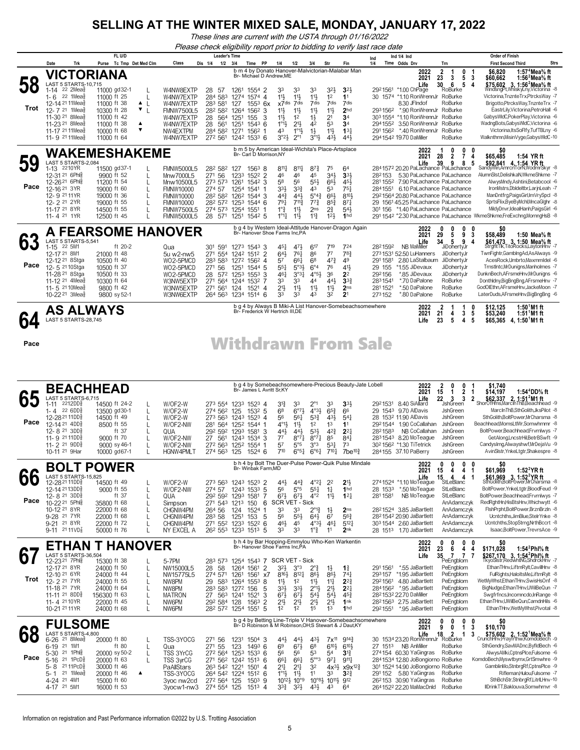*These lines are current with the USTA through 01/16/2022*

*Please check eligibility report prior to bidding to verify last race date*

|            |                                                                                                                                                                                                                                                                                       | FL U/D                                                                                                                |                                                               |                                                                                                                                                    | <b>Leader's Time</b>                                                                                                                                                                     |                                                                                                          |                                                                                                                                           |                                                                                                                                   |                                                                                                                                                                     |                                                                                                                                                                             |                                                                                                                                                             |                                                                                                                                             | Please check eligibility report prior to bidding to verity last race date | Ind 1/4 Ind                                                                                                                                                                                                                                         |                                                                                                                                                                                                                                                                                                                               | <b>Order of Finish</b>                                                                                                                                                                                                                                                                                                                                                                                                                                                                                                               |
|------------|---------------------------------------------------------------------------------------------------------------------------------------------------------------------------------------------------------------------------------------------------------------------------------------|-----------------------------------------------------------------------------------------------------------------------|---------------------------------------------------------------|----------------------------------------------------------------------------------------------------------------------------------------------------|------------------------------------------------------------------------------------------------------------------------------------------------------------------------------------------|----------------------------------------------------------------------------------------------------------|-------------------------------------------------------------------------------------------------------------------------------------------|-----------------------------------------------------------------------------------------------------------------------------------|---------------------------------------------------------------------------------------------------------------------------------------------------------------------|-----------------------------------------------------------------------------------------------------------------------------------------------------------------------------|-------------------------------------------------------------------------------------------------------------------------------------------------------------|---------------------------------------------------------------------------------------------------------------------------------------------|---------------------------------------------------------------------------|-----------------------------------------------------------------------------------------------------------------------------------------------------------------------------------------------------------------------------------------------------|-------------------------------------------------------------------------------------------------------------------------------------------------------------------------------------------------------------------------------------------------------------------------------------------------------------------------------|--------------------------------------------------------------------------------------------------------------------------------------------------------------------------------------------------------------------------------------------------------------------------------------------------------------------------------------------------------------------------------------------------------------------------------------------------------------------------------------------------------------------------------------|
|            | Trk<br>Date                                                                                                                                                                                                                                                                           | Purse Tc Tmp Det Med Clm                                                                                              |                                                               | Class                                                                                                                                              | $1/2$ $3/4$<br>Dis 1/4                                                                                                                                                                   |                                                                                                          | Time PP                                                                                                                                   | 1/4                                                                                                                               | 1/2                                                                                                                                                                 | 3/4                                                                                                                                                                         | Str                                                                                                                                                         | Fin                                                                                                                                         | Ind<br>1/4                                                                | Time Odds Drv                                                                                                                                                                                                                                       | Trn                                                                                                                                                                                                                                                                                                                           | Strs<br><b>First Second Third</b>                                                                                                                                                                                                                                                                                                                                                                                                                                                                                                    |
| 58<br>Trot | VICTORIANA<br>LAST 5 STARTS-10,715<br>$1-14$ 22 2Mea <sup>5</sup><br>$1 - 6$ 22 1 Mea <sub>8</sub><br>12-14 <sup>21</sup> 11Mea $\frac{2}{3}$<br>12-7 <sup>21</sup> 1Mea <sup>5</sup><br>11-30 <sup>21</sup> 8 Meas<br>11-23 <sup>21</sup> 8Mea<br>11-17 21 11 Mea<br>11-9 21 11 Meas | 11000 gd32-1<br>11000 ft 25<br>11000 ft 38<br>10300 ft 28<br>11000 ft 42<br>11000 ft 38<br>10000 ft 68<br>11000 ft 64 | $\blacktriangle$<br>$\perp$<br>$\mathbf{v}_{\perp}$<br>▲<br>▼ | W4NW8EXTP<br>W4NW7EXTP<br>W4NW7EXTP<br><b>FMNW7500L5</b><br>W4NW7EXTP<br>W4NW7EXTP<br>NW4EXTPM<br>W4NW7EXTP                                        | 28<br>-57<br>284 583<br>283 581<br>282 582<br>28<br>28<br>561<br>284 582<br>272 561 1242 1533 6                                                                                          | 1261<br>1274 1574 4<br>127<br>1264<br>564 1251<br>1251<br>1271 1562 1                                    | b m 4 by Donato Hanover-Malvictorian-Malabar Man<br>Br- Michael D Andrew.ME<br>1554 2<br>$155^3$ 6x<br>1562<br>3<br>155<br>3<br>$154^3$ 6 | 33<br>11<br>x7 <sup>dis</sup><br>11}<br>11<br>$1^{\circ}1\frac{1}{2}$<br>43<br>$3°2\frac{1}{2}$                                   | 33<br>$11\frac{1}{2}$<br>7dis<br>11}<br>1 <sup>2</sup><br>$2^{11}$<br>$1^{\circ}1\frac{1}{2}$<br>$2^{\circ}1$                                                       | 33<br>$11\frac{1}{2}$<br>7dis<br>11}<br>$1\frac{1}{2}$<br>42<br>$1\frac{1}{2}$<br>$3^{\circ}1\frac{1}{2}$                                                                   | $3^{2}\frac{1}{2}$<br>1 <sup>2</sup><br>7dis<br>11}<br>2 <sup>1</sup><br>53<br>11}<br>$43\frac{1}{2}$                                                       | $3^{2}$<br>1 <sup>1</sup><br>7dis<br>2 <sub>hd</sub><br>34<br>3 <sup>4</sup><br>$13\frac{1}{4}$<br>443                                      | 2931562                                                                   | 2022<br>2021<br>Life<br>2921561 *1.00 ChPage<br>8.30 JFIndof<br>294 1542 19.70 DaMiller                                                                                                                                                             | $\overline{2}$<br>0<br>$\overline{1}$<br>23<br>5<br>3<br>30<br>6<br>- 5<br>RoBurke<br>30 1574 *1.10 RonWrennJr RoBurke<br>RoBurke<br>*.90 RonWrennJr RoBurke<br>303 1554 *1.10 RonWrennJr RoBurke<br>2941552 3.50 RonWrennJr RoBurke<br>291 1562 *.40 RonWrennJr RoBurke<br>RoBurke                                           | 1:57 <sup>4</sup> Mea <sup>5</sup> / <sub>8</sub> ft<br>\$6,820<br>-1<br>- 3<br>1:56 <sup>2</sup> Mea <sup>5</sup> / <sub>8</sub> ft<br>\$60,662<br>\$75,602 3, 1:56 <sup>2</sup> Mea <sup>5</sup> / <sub>8</sub> ft<br>WindsngPt,WhiskyLny,Victorina -8<br>4<br>Victorina, Tnznte Trx, PtrcksWay -7<br>Brigotto, PtrcksWay, TnznteTrx -7<br>EastrLily, Victorina, PetroHall -6<br>GabysWIdC,PokerPlay,Victorina -6<br>WadngBots,GabysWIdC,Victorina -6<br>Victorina, ItsSoFIfy, TufTBLny -6<br>Walknthmn, Misin Vyge, Gabys WIdC-10 |
|            | WAKEMESHAKEME                                                                                                                                                                                                                                                                         |                                                                                                                       |                                                               |                                                                                                                                                    |                                                                                                                                                                                          |                                                                                                          | b m 5 by American Ideal-Wichita's Place-Artsplace<br>Br- Carl D Morrison.NY                                                               |                                                                                                                                   |                                                                                                                                                                     |                                                                                                                                                                             |                                                                                                                                                             |                                                                                                                                             |                                                                           | 2022                                                                                                                                                                                                                                                | 0<br>$0\quad 0$<br>1                                                                                                                                                                                                                                                                                                          | \$0                                                                                                                                                                                                                                                                                                                                                                                                                                                                                                                                  |
| 59<br>Pace | LAST 5 STARTS-2,084<br>1-13 2210YR<br>12-31 21 6Phls<br>12-26 <sup>21</sup> 6Phlg<br>12-16 21 3YR<br>12-9 21 11 YR<br>12-2 <sup>21</sup> 2YR<br>11-17 21 8YR<br>11-4 21 1YR                                                                                                           | 11500 gd37-1<br>9900 ft 52<br>11200 ft 54<br>19000 ft 60<br>19000 ft 36<br>19000 ft 55<br>14500 ft 55<br>12500 ft 45  | L<br>L<br>L<br>L<br>L                                         | <b>FMNW5000L5</b><br>Mnw7000L5<br>Mnw10500L5<br><b>FMNW10000</b><br><b>FMNW10000</b><br><b>FMNW10000</b><br><b>FMNW7500L5</b><br><b>FMNW5000L5</b> | 282 582<br>271 56<br>273 573<br>274 57<br>282 582<br>282 572 1253 1544 6<br>274 573<br>28 571 1251 1542 5                                                                                | 127<br>1233<br>1261<br>1254<br>1262 1544 3<br>1254 1551 1                                                | $156^3$ 8<br>1522 2<br>1542 3<br>1541                                                                                                     | $8^{11}\frac{1}{4}$<br>46<br>58<br>334<br>$44\frac{3}{4}$<br>791<br>$1^{\circ}$ $\frac{3}{4}$<br>$1^{\circ}1_{4}^{1}$             | $8^{11}\frac{1}{4}$<br>46<br>56<br>$3^{3}$<br>$44\frac{1}{2}$<br>$7^{11}\frac{3}{4}$<br>$11\frac{1}{2}$<br>$11\frac{1}{2}$                                          | $8^{7}\frac{3}{4}$<br>45<br>$55\frac{1}{2}$<br>43<br>$5^{\circ}4^{\frac{3}{4}}$<br>$7^{73}$<br>2 <sub>ns</sub><br>$11\frac{3}{4}$                                           | 75<br>$34\frac{1}{2}$<br>$66\frac{1}{2}$<br>53<br>66}<br>$85\frac{3}{4}$<br>$2\frac{3}{4}$<br>$12\frac{1}{2}$                                               | 64<br>3 <sup>3</sup><br>$45\frac{1}{2}$<br>$75\frac{1}{4}$<br>8101<br>$87\frac{1}{4}$<br>$54\frac{1}{2}$<br>1 <sub>hd</sub>                 | 282153                                                                    | 2021<br>Life                                                                                                                                                                                                                                        | $\overline{7}$<br>28<br>$\overline{2}$<br>39<br>9<br>8<br>2841572 20.20 PaLachance PaLachance<br>5.30 PaLachance PaLachance<br>281 1552 7.90 PaLachance PaLachance<br>2841551 6.10 PaLachance PaLachance<br>2921564 20.80 PaLachance PaLachance<br>29 1561 45.25 PaLachance PaLachance<br>301 156 *1.40 PaLachance PaLachance | \$65,485<br>4<br>1:54 YR ft<br>\$92,841 4, 1:54 YR ft<br>- 5<br>SandyWin,AmrcnTorN,WodmrSkyr -8<br>AlumnSlst,DelishkaN,WkmeShkme -7<br>AlwysMndy,Ashtini,Betabcool -6<br>IronMstrs,Dbldeltbr,LarjnLeah -7<br>ManDntfrg,PaigsGirl,ImVrySpcl -8<br>SprtsFlix,ByeByMchl,MncaGlghr -8<br>MildyDnvr,IdealHanh,PaigsGirl -6<br>291 1542 *2.30 PaLachance PaLachance WkmeShkme,FreExchng,MornngHsB -8                                                                                                                                       |
|            | <b>A FEARSOME HANOVER</b>                                                                                                                                                                                                                                                             |                                                                                                                       |                                                               |                                                                                                                                                    |                                                                                                                                                                                          |                                                                                                          | b g 4 by Western Ideal-Attitude Hanover-Dragon Again<br>Br- Hanover Shoe Farms Inc, PA                                                    |                                                                                                                                   |                                                                                                                                                                     |                                                                                                                                                                             |                                                                                                                                                             |                                                                                                                                             |                                                                           | 2022<br>2021                                                                                                                                                                                                                                        | 0<br>0<br>0<br>29<br>9<br>5                                                                                                                                                                                                                                                                                                   | \$0<br>0<br>\$58,489<br>3<br>1:50 Mea $\%$ ft                                                                                                                                                                                                                                                                                                                                                                                                                                                                                        |
| 63<br>Pace | LAST 5 STARTS-5,541<br>1-15 22 5M1<br>12-17 21 8M1<br>12-12 <sup>21</sup> 8 Stga<br>12- 5 <sup>21</sup> 10 Stga<br>11-28 <sup>21</sup> 8 Stga<br>11-12 <sup>21</sup> 4 Mea<br>11-5 21 10 Meas<br>10-22 <sup>21</sup> 3Mea                                                             | ft 20-2<br>21000 ft 48<br>10500 ft 40<br>10500 ft 37<br>10500 ft 33<br>10300 ft 64<br>9800 ft 42<br>9800 sy 52-1      |                                                               | Qua<br>5u w2-nw5<br>WO2-5PMCD<br>WO2-5PMCD<br>WO2-5PMCD<br>W3NW5EXTP<br>W3NW5EXTP<br>W3NW6EXTP                                                     | 301 591<br>271 554<br>283 583<br>271 56<br>28<br>271 564 1244 1532 7<br>271 561<br>264 563                                                                                               | 1273 1543 3<br>1242 1512 2<br>1272 1562 4<br>1251 1544 5<br>572 1253 1553 3<br>124 1521 4<br>1234 1514 6 |                                                                                                                                           | 45}<br>643<br>57<br>$55\frac{1}{4}$<br>461<br>33<br>21}<br>33                                                                     | 473<br>$76\frac{1}{4}$<br>$66\frac{1}{4}$<br>$5^{\circ}3\frac{1}{2}$<br>$3^{03}$<br>33<br>$11\frac{1}{2}$<br>33                                                     | 617<br>86<br>6 <sup>8</sup><br>$6^{\circ}4$<br>$4^{\circ}5\frac{1}{2}$<br>44<br>$11\frac{1}{2}$<br>43                                                                       | 719<br>7 <sup>7</sup><br>$47\frac{3}{4}$<br>76<br>36<br>441<br>11号<br>32                                                                                    | 724<br>783<br>49<br>41}<br>2 <sup>2</sup><br>3 <sup>3</sup><br>2 <sub>ns</sub><br>2 <sup>1</sup>                                            | 2821592<br>291 1581<br>29 155<br>292156<br>2831541<br>2811521<br>273152   | Life<br><b>NB MaMiller</b><br>2731531 52.50 LuHanners<br>2.80 LaStalbaum<br>*1.55 JiDevaux<br>*.85 JiDevaux<br>*.70 DaPalone<br>*.50 DaPalone<br>*.80 DaPalone                                                                                      | 5<br>9<br>34<br>JiDohertyJr<br>JiDohertyJr<br>JiDohertyJr<br>JiDohertyJr<br>JiDohertyJr<br>RoBurke<br>RoBurke<br>RoBurke                                                                                                                                                                                                      | \$61,473 3, 1:50 Mea <sup>5</sup> / <sub>8</sub> ft<br>StrghtTlk,TitoRocks,LaytonHnv -7<br>4<br>TwnFightr,GamblngAd,AsAlways -9<br>AcesRock,Umbrto,Maxmmldel -6<br>Trnstlntc,MrDunigns,Manholmes -7<br>DunknBech.AFrsmeHnv.MrDunians -6<br>Donthldny,BigBngBng,AFrsmeHnv -7<br>GodOlEthn, AFrsmeHnv, JackeMoon -7<br>LaterDuds, AFrsmeHnv, BigBngBng -6                                                                                                                                                                              |
|            | <b>AS ALWAYS</b>                                                                                                                                                                                                                                                                      |                                                                                                                       |                                                               |                                                                                                                                                    |                                                                                                                                                                                          |                                                                                                          | Br- Frederick W Hertrich III,DE                                                                                                           |                                                                                                                                   |                                                                                                                                                                     |                                                                                                                                                                             |                                                                                                                                                             |                                                                                                                                             | b g 4 by Always B Miki-A List Hanover-Somebeachsomewhere                  | 2022<br>2021                                                                                                                                                                                                                                        | 2<br>1<br>1<br>21<br>3<br>4                                                                                                                                                                                                                                                                                                   | 0<br>\$12,125<br>1:50 M1 ft<br>1:51 <sup>1</sup> M1 ft<br>5<br>\$53,240                                                                                                                                                                                                                                                                                                                                                                                                                                                              |
| 64         | LAST 5 STARTS-28,745                                                                                                                                                                                                                                                                  |                                                                                                                       |                                                               |                                                                                                                                                    |                                                                                                                                                                                          |                                                                                                          |                                                                                                                                           |                                                                                                                                   |                                                                                                                                                                     |                                                                                                                                                                             |                                                                                                                                                             |                                                                                                                                             |                                                                           | Life                                                                                                                                                                                                                                                | 23<br>5<br>4                                                                                                                                                                                                                                                                                                                  | 5<br>\$65,365 4, 1:50 M1 ft                                                                                                                                                                                                                                                                                                                                                                                                                                                                                                          |
| Pace       |                                                                                                                                                                                                                                                                                       |                                                                                                                       |                                                               |                                                                                                                                                    |                                                                                                                                                                                          |                                                                                                          |                                                                                                                                           |                                                                                                                                   |                                                                                                                                                                     |                                                                                                                                                                             |                                                                                                                                                             |                                                                                                                                             | <b>Withdrawn From Sale</b>                                                |                                                                                                                                                                                                                                                     |                                                                                                                                                                                                                                                                                                                               |                                                                                                                                                                                                                                                                                                                                                                                                                                                                                                                                      |
|            | <b>BEACHHEAD</b>                                                                                                                                                                                                                                                                      |                                                                                                                       |                                                               |                                                                                                                                                    |                                                                                                                                                                                          |                                                                                                          | b g 4 by Somebeachsomewhere-Precious Beauty-Jate Lobell<br>Br- James L Avritt Sr, KY                                                      |                                                                                                                                   |                                                                                                                                                                     |                                                                                                                                                                             |                                                                                                                                                             |                                                                                                                                             |                                                                           | 2022<br>2021                                                                                                                                                                                                                                        | 2<br>0<br>0<br>$\overline{2}$<br>15<br>1                                                                                                                                                                                                                                                                                      | \$1,740<br>1<br>1:54 <sup>4</sup> DD% ft<br>\$14,197<br>-1                                                                                                                                                                                                                                                                                                                                                                                                                                                                           |
| 65<br>Pace | LAST 5 STARTS-6,715<br>1-11 2212DD <sub>8</sub><br>$1 - 4$ 22 6DD <sub>8</sub><br>12-28 <sup>21</sup> 11DD <sup>3</sup><br>12-14 <sup>21</sup> 4DD <sup>3</sup><br>12-8 $^{21}$ 3DD $\frac{5}{8}$<br>11-9 2111DD<br>11-2 <sup>21</sup> 9DD <sup>3</sup><br>10-11 21 9Har              | 14500 ft 24-2<br>13500 gd30-1<br>14500 ft 49<br>8500 ft 55<br>ft 37<br>9000 ft 70<br>9000 sy 46-1<br>10000 gd67-1     | L<br>L<br>L<br>$\mathbf{I}$<br>L<br>L<br>L<br>$\mathsf{L}$    | W/OF2-W<br>W/OF2-W<br>W/OF2-W<br>W/OF2-NW<br>QUA<br>W/OF2-NW<br>W/OF2-NW<br><b>HGNW4PMLT</b>                                                       | 273 554 1233 1523 4<br>274 562<br>273 563<br>281 564 1252 1544 1<br>292 592<br>27 561<br>272 563 1252 1554 1<br>274 563 125                                                              | 125<br>1243 1523 4<br>1293<br>1243                                                                       | $153^2$ 5<br>1581 3<br>1534 3<br>1524 6                                                                                                   | 31}<br>68<br>56<br>$4^{\circ}1\frac{1}{2}$<br>443<br>$7^7$<br>5 <sup>7</sup><br>710                                               | 33<br>$6^{97}\frac{1}{2}$<br>$56\frac{1}{4}$<br>$11\frac{1}{2}$<br>443<br>$8^{\circ}7\frac{1}{4}$<br>5°5<br>$6^{\circ 51}$                                          | $2^{\circ}1$<br>$4^{\circ}3\frac{1}{2}$<br>$5^{3}\frac{3}{4}$<br>1 <sup>2</sup><br>$53\frac{1}{2}$<br>$8^{\circ}7\frac{1}{4}$<br>$3^{\circ}3$<br>$6^{\circ}6^{\frac{1}{4}}$ | 33<br>$65\frac{3}{4}$<br>43}<br>1 <sup>3</sup><br>$4^{2}\frac{3}{4}$<br>85<br>$5^{3}$<br>$7^{10\frac{1}{4}}$                                                | 3 <sup>3</sup><br>66<br>$5^{41}$<br>1 <sup>1</sup><br>$2^{2}$<br>$84\frac{1}{4}$<br>7 <sup>3</sup><br>$7$ be $^{10\frac{3}{4}}$             | 2821583                                                                   | Life<br>292 1531 8.40 SiAllard<br>29 1543 9.70 AlDavis<br>28 153 <sup>2</sup> 11.90 AlDavis<br>2921544 1.90 CoCallahan<br>NB CoCallahan<br>2831543 8.20 MoTeague<br>302 1562 *1.30 TiTetrick<br>284155 37.10 PaBerry                                | 3<br>3<br>22<br>JshGreen<br>JshGreen<br><b>JshGreen</b><br>JshGreen<br>JshGreen<br><b>JshGreen</b><br>JshGreen<br>JshGreen                                                                                                                                                                                                    | \$62,337 2, 1:51 <sup>2</sup> M1 ft<br>2<br>ShorOfHms, MarclnThB, Beachhead -9<br>MarcInThB,SthGolith,JksPilot -8<br>SthGolith,BoltPower,MrCharsma -8<br>Beachhead, MomsLtIWr, Somwhrnmr -8<br>BoltPower,Beachhead,Frvmlwys -7<br>GetAlong,LncstrHil,BetrBSwft -9<br>Candyslmg.Alwayshwf.MrDeiaVu -9<br>AvinSlstr, YnkeLtgtr, Shakespre -8                                                                                                                                                                                           |
|            | <b>BOLT POWER</b>                                                                                                                                                                                                                                                                     |                                                                                                                       |                                                               |                                                                                                                                                    |                                                                                                                                                                                          |                                                                                                          | b h 4 by Bolt The Duer-Pulse Power-Quik Pulse Mindale<br>Br- Winbak Farm,MD                                                               |                                                                                                                                   |                                                                                                                                                                     |                                                                                                                                                                             |                                                                                                                                                             |                                                                                                                                             |                                                                           | 2022<br>2021                                                                                                                                                                                                                                        | 0<br>0<br>$0\quad 0$<br>15<br>4<br>4                                                                                                                                                                                                                                                                                          | SO.<br>1:52 $2$ YRft<br>\$61,969<br>-1                                                                                                                                                                                                                                                                                                                                                                                                                                                                                               |
| 00<br>Pace | LAST 5 STARTS-15,825<br>12-282111DD\$<br>12-14 2113DD <sub>8</sub><br>12-8 <sup>21</sup> 3DD <sup>5</sup><br>10-22 <sup>21</sup> 5Phlg<br>10-12 21 8YR<br>9-28 21 7YR<br>9-21 21 8YR<br>$9-11$ 2111VD <sub>8</sub>                                                                    | 14500 ft 49<br>9000 ft 55<br>ft 37<br>35800 ft 68<br>22000 ft 68<br>22000 ft 68<br>22000 ft 72<br>50000 ft 76         | L<br>L<br>L<br>L                                              | W/OF2-W<br>W/OF2-NW<br>QUA<br>Simpson<br>CHGNW4PM<br>CHGNW4PM<br>CHGNW4PM<br>NY EXCEL A                                                            | 273 563 1243 1523 2<br>274 57<br>292 592 1293 1581<br>271 543 1213 150<br>264 56<br>283 58<br>271 552 1233 1522 6<br>26 <sup>2</sup> 55 <sup>3</sup> 123 <sup>3</sup> 151 <sup>3</sup> 5 | 1243 1533 5<br>124<br>1251                                                                               | -7<br>- 6<br>1524 1<br>-5<br>153                                                                                                          | 443<br>56<br>$67\frac{1}{2}$<br>SCR VET - Sick<br>33<br>56<br>46}<br>33                                                           | $44\frac{3}{4}$<br>$5^{\circ}5$<br>$67\frac{1}{2}$<br>33<br>$55\frac{1}{2}$<br>45<br>33                                                                             | $4^{\circ}2^{\frac{1}{4}}$<br>$55\frac{1}{4}$<br>$4^{\circ}2$<br>$2^{\circ}1_{4}^{3}$<br>$64\frac{1}{2}$<br>$4^{\circ}3\frac{1}{2}$<br>$1^{\circ}$ $_{4}^{3}$               | 2 <sup>2</sup><br>$1\frac{1}{4}$<br>11<br>1}<br>67<br>461<br>11                                                                                             | 2 <sup>11</sup><br>1 <sub>hd</sub><br>$12\frac{1}{4}$<br>2 <sub>ns</sub><br>$56\frac{3}{4}$<br>$5^{12}$<br>2 <sub>nk</sub>                  | 28 1533<br>2811581                                                        | Life<br>2741524 *1.10 MoTeague<br>*.50 MoTeague<br>NB MoTeague<br>28 <sup>2</sup> 1524 3.85 JaBartlett<br>2821542 20.90 JaBartlett<br>303 1544 2.60 JaBartlett<br>28 151 <sup>3</sup> 1.70 JaBartlett                                               | $15$ 4 4<br>StLeBlanc<br>StLeBlanc<br>StLeBlanc<br>AnAdamczyk<br>AnAdamczyk<br>AnAdamczyk<br>AnAdamczyk<br>AnAdamczyk                                                                                                                                                                                                         | $$61,969 \t3, 1:52^2$ <b>YR ft</b><br>SthGolith,BoltPower,MrCharsma -8<br>$\mathbf{1}$<br>BoltPower, YnkeLtgtr, BloodFeud -9<br>BoltPower,Beachhead,Frvmlwys -7<br>RedRghtHn,HisBtsHnv,Whichwytt -6<br>FishPrpht,BoltPower,BrznBrzin -8<br>Ucntchths, JimBlue, Stelr Ynke -8<br>Ucntchths,StopStrng,NrthBccrt -8<br>Isaac, BoltPower, TrevrsAce -9                                                                                                                                                                                   |
|            | ETHAN T HANOVER                                                                                                                                                                                                                                                                       |                                                                                                                       |                                                               |                                                                                                                                                    |                                                                                                                                                                                          |                                                                                                          | b h 4 by Bar Hopping-Emmylou Who-Ken Warkentin<br>Br- Hanover Shoe Farms Inc,PA                                                           |                                                                                                                                   |                                                                                                                                                                     |                                                                                                                                                                             |                                                                                                                                                             |                                                                                                                                             |                                                                           | 2022<br>2021                                                                                                                                                                                                                                        | 0<br>0<br>$0\quad 0$<br>23<br>6                                                                                                                                                                                                                                                                                               | \$0<br>1:54 <sup>2</sup> Phl% ft                                                                                                                                                                                                                                                                                                                                                                                                                                                                                                     |
| 6<br>Trot  | LAST 5 STARTS-36,504<br>12-23 <sup>21</sup> 7Phls<br>12-17 21 8YR<br>12-10 21 6YR<br>12-2 <sup>21</sup> 7YR<br>11-18 <sup>21</sup> 7YR<br>$11-11$ 21 8DD <sup>3</sup><br>11-4 21 10 YR<br>10-21 <sup>21</sup> 11 YR                                                                   | 15300 ft 38<br>24000 ft 50<br>24000 ft 44<br>24000 ft 55<br>24000 ft 64<br>156300 ft 63<br>22000 ft 45<br>24000 ft 68 | L<br>L<br>L<br>L<br>L                                         | 5-7PM<br>NW15000L5<br>NW15775L5<br>NW8PM<br>NW8PM<br><b>MATRON</b><br>NW6PM<br>NW6PM                                                               | 283 573 1254 1543 7 SCR VET - Sick<br>28<br>-58<br>274 571<br>29<br>583<br>283 583 1272 156<br>27 563 1241 1521<br>292 584 128<br>28 <sup>2</sup> 57 <sup>2</sup> 1254 1551 5            | 1264 1561 2<br>1264 1553 8                                                                               | 1261 1561 x7<br>-5<br>3<br>$156^3$ 2                                                                                                      | $3^{2}\frac{1}{2}$<br>$8^{16}\frac{1}{2}$<br>$11\frac{1}{2}$<br>$3^{3}\frac{1}{2}$<br>$6^{7}\frac{1}{2}$<br>21}<br>1 <sup>2</sup> | 3°3<br>$8^{12}$<br>1 <sup>2</sup><br>$3^{3}\frac{1}{2}$<br>$6^{7}\frac{1}{2}$<br>$2^{11}$<br>1 <sup>2</sup>                                                         | $2^{\circ}$ $\frac{3}{4}$<br>$86\frac{1}{2}$<br>$11\frac{1}{2}$<br>$2^{\circ}1\frac{1}{2}$<br>$54\frac{1}{2}$<br>2 <sup>1</sup><br>1 <sup>5</sup>                           | $1\frac{1}{2}$<br>$86\frac{1}{2}$<br>$11\frac{1}{4}$<br>2 <sup>1</sup><br>$5^{4}$<br>2 <sup>1</sup><br>1 <sup>3</sup>                                       | $1\frac{3}{4}$<br>$74\frac{1}{4}$<br>$2^{2}\frac{3}{4}$<br>$2^{2}$<br>$45\frac{3}{4}$<br>1 <sup>nk</sup><br>1 <sup>hd</sup>                 |                                                                           | Life<br>291 1561 *.55 JaBartlett<br>293157 *1.95 JaBartlett<br>2921561 4.80 JaBartlett<br>2841562 *.95 JaBartlett<br>28 <sup>2</sup> 153 <sup>2</sup> 22.70 DaMiller<br>28 <sup>2</sup> 156 <sup>3</sup> 2.75 JaBartlett<br>2921551 *.95 JaBartlett | 44<br>35<br>$\mathcal{I}$ .<br>.7 <sub>7</sub><br>PeEngblom<br>PeEngblom<br>PeEngblom<br>PeEngblom<br>PeEngblom<br>PeEngblom<br>PeEngblom<br>PeEngblom                                                                                                                                                                        | \$171,028<br>\$267,170 3, 1:54 <sup>2</sup> Phl <sup>5</sup> / <sub>8</sub> ft<br>TkyoSistr,RedwhtNG,ShdrckHnv<br>EthanTHnv,LiftmRylt,CavillHnv -8<br>FulRights, HaloItsMe, LiftmRyIt -8<br>WetMyWhst,EthanTHnv,SwisHsOnf -8<br>BigNudge,EthanTHnv,UWilBeQun -7<br>Swgfrfncs, Incomncdo, In Range -8<br>EthanTHnv,UWilBeQun,CamdnHils -6<br>EthanTHnv, WetMy Whst, Pivotal -8                                                                                                                                                        |
|            | <b>FULSOME</b>                                                                                                                                                                                                                                                                        |                                                                                                                       |                                                               |                                                                                                                                                    |                                                                                                                                                                                          |                                                                                                          | Br- D Robinson & M Robinson, OH; S Stewart & J Daut, KY                                                                                   |                                                                                                                                   |                                                                                                                                                                     |                                                                                                                                                                             |                                                                                                                                                             |                                                                                                                                             | b g 4 by Betting Line-Triple V Hanover-Somebeachsomewhere                 | 2022<br>2021                                                                                                                                                                                                                                        | 0<br>0<br>$0\quad 0$<br>9<br>0<br>1                                                                                                                                                                                                                                                                                           | \$0<br>3<br>\$10,170                                                                                                                                                                                                                                                                                                                                                                                                                                                                                                                 |
| 68<br>Pace | LAST 5 STARTS-4,800<br>$6-26$ 21 8Mea $\frac{5}{8}$<br>6-19 <sup>21</sup> 1M1<br>5-30 <sup>21</sup> 1Phlg<br>5-16 <sup>21</sup> 1PcD <sup>5</sup><br>5-8 2111PcD}<br>5-1 $21$ 1Mea $\frac{5}{8}$<br>4-24 <sup>21</sup> 4M1<br>4-17 <sup>21</sup> 5M1                                  | 20000 ft 80<br>ft 80<br>20000 sy 50-2<br>20000 ft 63<br>30000 ft 46<br>20000 ft 46<br>15000 ft 60<br>16000 ft 53      | L<br>L<br>L<br>▲                                              | TSS-3YOCG<br>Qua<br>TSS 3YrCG<br>TSS 3yrCG<br>PaAllStars<br>TSS-3YOCG<br>3yoc nw2cd<br>3yocw1-nw3                                                  | 271 56<br>271 55<br>272 564 1253 1533 6<br>271 562 1242 1513 6<br>263 542 1221<br>264 542 1224 1512 6<br>272 564 125<br>274 554 125                                                      | 1231 1504 3<br>123                                                                                       | $1493$ 6<br>$150^1$ 4<br>$150^3$ 9<br>1513 4                                                                                              | 44}<br>6 <sup>9</sup><br>56<br>661<br>21‡<br>$1^{\circ}1\frac{1}{2}$<br>$3^{3}\frac{3}{4}$                                        | $44\frac{1}{2}$<br>$6^{7}\frac{1}{2}$<br>56<br>661<br>$21\frac{1}{4}$<br>$11\frac{1}{2}$<br>$10^{12}\frac{1}{2}$ 10 <sup>o</sup> <sub>9</sub><br>$3^{2}\frac{1}{2}$ | 431,<br>6 <sup>8</sup><br>53<br>$5^{\circ\circ}$ 3<br>32<br>11<br>$43\frac{1}{2}$                                                                                           | $6^{10}\frac{1}{2}$<br>54<br>971<br>$4x^{3}\frac{1}{2}$<br>3 <sup>3</sup><br>$10^{\circ}$ <sup>8</sup> / <sub>2</sub> $10^{11}$ <sub>2</sub> $9^{12}$<br>43 | 7x <sup>11</sup> 9 <sup>14</sup> <sup>3</sup><br>$6^{10}$<br>$3\frac{13}{4}$<br>$9^{11}\frac{1}{4}$<br>x9x <sup>123</sup><br>$3^{24}$<br>64 |                                                                           | Life<br>27 1513 NB AnMiller<br>274154 60.30 YaGingras<br>291 152 5.80 YaGingras<br>26 <sup>2</sup> 153 30.90 YaGingras<br>2641522 22.20 MaMacDnld                                                                                                   | 18<br>2<br>-1<br>30 1534 23.20 Ron WrennJr RoBurke<br>RoBurke<br>RoBurke<br>2841534 12.80 JoBongiorno RoBurke<br>301 1524 14.90 JoBongiorno RoBurke<br>RoBurke<br>RoBurke<br>RoBurke                                                                                                                                          | \$75,602 2, 1:52 <sup>1</sup> Mea <sup>5</sup> / <sub>8</sub> ft<br>CrunchHnv.Prayfrthw.KomdoBech -9<br>3<br>SthGendry,SavMADnc,ByfldBech -6<br>AlwysAMki,CptnsPlce,Fulsome -6<br>KomdoBech, Myswtbymx, GrtSmwhre -9<br>GamblinMo,StnbrgRf,CptnsPlce -9<br>Rifleman, Hulou, Fulsome - 7<br>SthBchStr,StnbrgRf,LitrILHnv-10<br>IIDrinkTT,Baklouva,Somwhrnvr -8                                                                                                                                                                        |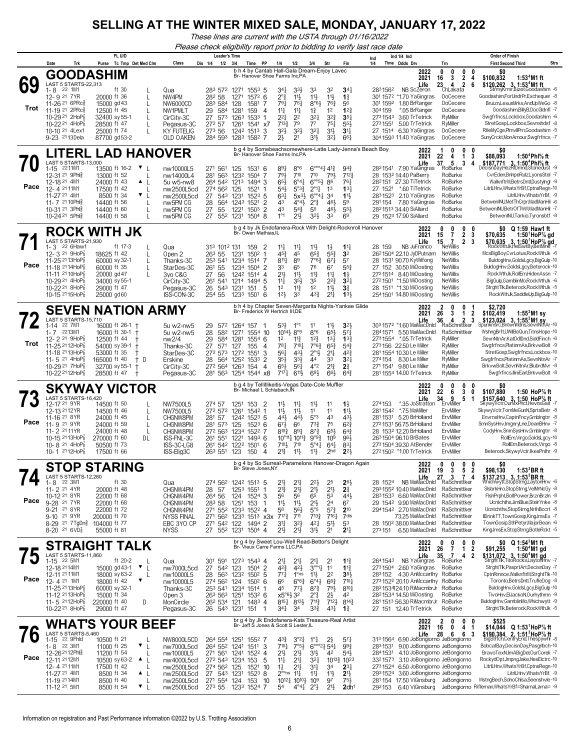*These lines are current with the USTA through 01/16/2022*

*Please check eligibility report prior to bidding to verify last race date*

|            |                                                                                                                                                                                                                                                | FL U/D                                                                                                                                                                                                                           |                                                                                                             | <b>Leader's Time</b>                                                                                                                                                                                                                                                    |                                                                                                                                                                                                                                                                               |                                                                                                                                                                                                                                                                             |                                                                                                                              | Ind 1/4 Ind<br>Ind                                                                                                                                                                                                                                                                                       |                                                                                                                                                                                                                                           | <b>Order of Finish</b>                                                                                                                                                                                                                                                                                                                                                                      |
|------------|------------------------------------------------------------------------------------------------------------------------------------------------------------------------------------------------------------------------------------------------|----------------------------------------------------------------------------------------------------------------------------------------------------------------------------------------------------------------------------------|-------------------------------------------------------------------------------------------------------------|-------------------------------------------------------------------------------------------------------------------------------------------------------------------------------------------------------------------------------------------------------------------------|-------------------------------------------------------------------------------------------------------------------------------------------------------------------------------------------------------------------------------------------------------------------------------|-----------------------------------------------------------------------------------------------------------------------------------------------------------------------------------------------------------------------------------------------------------------------------|------------------------------------------------------------------------------------------------------------------------------|----------------------------------------------------------------------------------------------------------------------------------------------------------------------------------------------------------------------------------------------------------------------------------------------------------|-------------------------------------------------------------------------------------------------------------------------------------------------------------------------------------------------------------------------------------------|---------------------------------------------------------------------------------------------------------------------------------------------------------------------------------------------------------------------------------------------------------------------------------------------------------------------------------------------------------------------------------------------|
|            | Trk<br>Date                                                                                                                                                                                                                                    | Purse Tc Tmp Det Med Clm                                                                                                                                                                                                         | Class                                                                                                       | 1/2<br>Dis 1/4<br>3/4<br>PP<br>Time<br>b h 4 by Cantab Hall-Gala Dream-Enjoy Lavec                                                                                                                                                                                      | 1/4<br>1/2                                                                                                                                                                                                                                                                    | 3/4<br>Str                                                                                                                                                                                                                                                                  | Fin                                                                                                                          | 1/4<br>Time Odds Drv<br>2022                                                                                                                                                                                                                                                                             | Trn<br>0<br>0<br>0<br>0                                                                                                                                                                                                                   | <b>Strs</b><br><b>First Second Third</b><br>\$0                                                                                                                                                                                                                                                                                                                                             |
| 69<br>Trot | <b>GOODASHIM</b><br>LAST 5 STARTS-22,313<br>22 1M1<br>1-8<br>12-9 21 7YR<br>11-26 21 6PRcs<br>11-19 <sup>21</sup> 2PRc<br>10-29 <sup>21</sup> 2HoP<br>10-22 21 4HoP3<br>10-10 21 4Lex1<br>9-23 2113Dela                                        | ft 30<br>20000 ft 36<br>15000 gd 43<br>12500 ft 45<br>$\mathbf{I}$<br>32400 sy 55-1<br>28500 ft 47<br>25000 ft 74<br>87700 gd53-2                                                                                                | Qua<br>NW4PM<br>NW6000CD<br>NW1PMLT<br>CirCity-3C<br>Pegasus-3C<br>KY FUTELIG<br>OLD OAKEN                  | Br- Hanover Shoe Farms Inc,PA<br>283 572 1271 1553 5<br>282 58<br>1271<br>$157^2$ 6<br>283 584<br>128<br>1581<br>-7<br>29<br>584<br>1281<br>159<br>4<br>27<br>1263<br>573<br>1533 1<br>272 57<br>1261<br>1541 x7<br>273 56<br>1242 1513<br>-3<br>284 593<br>1283 1582 7 | 341<br>$3^{3}\frac{1}{2}$<br>$2^\circ$ z<br>$11\frac{1}{2}$<br>761<br>791<br>$11\frac{1}{4}$<br>$11\frac{1}{4}$<br>221<br>2 <sup>2</sup><br>79<br>$7^{13}\frac{3}{4}$<br>32}<br>$3^{2}\frac{1}{2}$<br>23<br>2 <sup>1</sup>                                                    | 33<br>32<br>$11\frac{1}{2}$<br>11号<br>$8°6\frac{1}{2}$<br>763<br>12<br>$1\frac{3}{4}$<br>321<br>$3^{2}3$<br>$7^7$<br>$75\frac{1}{4}$<br>321<br>31}<br>31}<br>$3^{2}$                                                                                                        | $34\frac{1}{4}$<br>$1\frac{3}{4}$<br>56<br>12 <sub>7</sub><br>$35\frac{1}{4}$<br>55}<br>34<br>661                            | 2021<br>Life<br>2831562<br>NB ScZeron<br>301 1572 *1.70 YaGingras<br>1.80 BrRanger<br>301 1592<br>304 159<br>*.05 BrRanger<br>3.60 TrTetrick<br>2731543<br>2731551<br>5.00 TrTetrick<br>27 1514 6.30 YaGingras<br>304 1593 11.40 YaGingras                                                               | 3<br>$\mathbf{2}$<br>16<br>4<br>23 4<br>$\overline{2}$<br>6<br>ChLakata<br>DoCecere<br>DoCecere<br>DoCecere<br>RyMiller<br>RyMiller<br>DoCecere<br>DoCecere                                                                               | \$100,832<br>1:53 $4$ M1 ft<br>\$120,262 3, 1:53 <sup>4</sup> M1 ft<br>StrmyKrmr,Bizet,Goodashim -6<br>Goodashim,ForUndrPr,Exchequer -8<br>Bruizn.LexusMrks.AndUpWeGo -8<br>Goodashim,BillyB,DocGldnfl -7<br>Swgfrfncs,Lockbox,Goodashim -6<br>StretGosp,Lockbox,Sevnshdsf -8<br>RtleMyCge,PImvllPrn,Goodashim -5<br>SunyCrckt,MonAmour,Swgfrfncs -7                                        |
|            |                                                                                                                                                                                                                                                | LITERL LAD HANOVER                                                                                                                                                                                                               |                                                                                                             | b g 4 by Somebeachsomewhere-Latte Lady-Jenna's Beach Boy<br>Br- Hanover Shoe Farms Inc,PA                                                                                                                                                                               |                                                                                                                                                                                                                                                                               |                                                                                                                                                                                                                                                                             |                                                                                                                              | 2022<br>2021                                                                                                                                                                                                                                                                                             | 0<br>0<br>0<br>22<br>1                                                                                                                                                                                                                    | 1:50 <sup>4</sup> Phl% ft                                                                                                                                                                                                                                                                                                                                                                   |
| Pace       | LAST 5 STARTS-13,000<br>2211M1<br>$1 - 15$<br>12-31 21 9Phl<br>12-18 21 4M1<br>12-4 21 11M1<br>11-27 21 4M1<br>11-7 21 10 Phis<br>10-31 21 3Phlg<br>10-24 21 5Phls                                                                             | 13500 ft 16-2<br>$\mathbf{v}$ $\mathbf{L}$<br>13000 ft 52<br>24000 ft 43<br>$\blacktriangle$<br>17500 ft 42<br>$\mathbf{I}$<br>▼<br>L<br>8500 ft 34<br>14400 ft 56<br>$\mathbf{I}$<br>14400 ft 60<br>14400 ft 58<br>$\mathbf{I}$ | nw10000L5<br>nw14000L4<br>5u w5-nw8<br>nw2500L5cd<br>nw2500L5cd<br>nw5PM CG<br>nw5PM CG<br>nw5PM CG         | 271 561<br>125<br>1531<br>-6<br>281 563<br>1232<br>1504<br>-7<br>264 542 1213 1494 3<br>274 562<br>125<br>1521<br>27<br>$152^3$ 5<br>543<br>1231<br>1243 1521<br>28<br>564<br>2<br>27<br>1503<br>$\overline{2}$<br>55<br>1221<br>27 552 1231 1504 8                     | 891<br>$8^{\circ}6$<br>710<br>793<br>$6^{\circ}4^{\frac{1}{4}}$<br>65}<br>54}<br>$5^{\circ}3^{\frac{3}{2}}$<br>$63\frac{1}{4}$<br>$5x^{3}$<br>$4^{\circ}4^{\frac{1}{2}}$<br>43<br>43<br>$5^{4}$<br>$1^{\circ}1$<br>21}                                                        | $6^{\circ\circ\circ}414^{13}$<br>710<br>791<br>$6^{805}$<br>86<br>$2^{\circ}1\frac{1}{4}$<br>1 <sup>3</sup><br>$6^{\circ}$ <sup>41</sup><br>3 <sup>4</sup><br>$2^{\circ}$ $\frac{3}{4}$<br>46<br>55<br>461<br>$3^{2}\frac{1}{2}$<br>33                                      | $94\frac{3}{4}$<br>$7^{12}$<br>761<br>13 <sup>1</sup><br>$11\frac{1}{2}$<br>59<br>55}<br>69                                  | Life<br>28 <sup>2</sup> 1541 7.90 YaGingras<br>28 1532 14.40 PaBerry<br>282151 27.30 TiTetrick<br>27 1521<br>*.60 TiTetrick<br>2831523<br>2.10 YaGingras<br>291 154<br>7.80 YaGingras<br>2821513 34.40 SiAllard<br>29 1523 17.90 SiAllard                                                                | 4<br>3<br>37<br>5<br>3<br>4<br>RoBurke<br>RoBurke<br>RoBurke<br>RoBurke<br>RoBurke<br>RoBurke<br>RoBurke<br>RoBurke                                                                                                                       | \$88,093<br>\$187,771 3, 1:50 <sup>4</sup> Phl <sup>5</sup> / <sub>8</sub> ft<br>DecisnDay,HezRlDmnd,Stonedust -9<br>CvrEden,BnhpeRulz,LyonsStel -7<br>WalknftrM,BetrsDntl,Dustylngl -9<br>LitrILHnv, Whats YrBf, CptnsRegn-10<br>LitrILHnv, Whats YrBf, -9<br>BetwenINU, Met ThCrpr, MadManHil -6<br>BetwenINU,BetrOfThW,MadManHil -7<br>BetwenINU, Tarkio, Tyronsbtf -8                   |
|            |                                                                                                                                                                                                                                                | <b>ROCK WITH JK</b>                                                                                                                                                                                                              |                                                                                                             | b g 4 by Jk Endofanera-Rock With Delight-Rocknroll Hanover<br>Br- Owen Mathias, IL                                                                                                                                                                                      |                                                                                                                                                                                                                                                                               |                                                                                                                                                                                                                                                                             |                                                                                                                              | 2022                                                                                                                                                                                                                                                                                                     | 0<br>0<br>0<br>0                                                                                                                                                                                                                          | \$0 Q 1:59 Haw1 ft                                                                                                                                                                                                                                                                                                                                                                          |
| Pace       | LAST 5 STARTS-21,930<br>1-3<br>22 6Haw1<br>12- 3 <sup>21</sup> 9HoP <sub>8</sub><br>11-25 2113HoP<br>11-18 2114HoP<br>11-11 21 10HoP<br>10-29 <sup>21</sup> 4HoP <sub>8</sub><br>10-22 21 8HoP<br>10-15 2115HoP3                               | ft 17-3<br>18625 ft 42<br>$\mathbf{I}$<br>60000 sy 32-1<br>60000 ft 35<br>20000 gd 47<br>34000 sy 55-1<br>29000 ft 47<br>25000 gd60                                                                                              | Qua<br>Open 2<br>Thanks-3C<br>StarDes-3C<br>3yo C&G<br>CirCity-3C<br>Pegasus-3C<br>ISS-CON-3C               | 313 1012 131<br>159<br>2<br>1231<br>263 55<br>1502<br>-1<br>253 541<br>1234 1514<br>-7<br>261<br>55<br>1234 1504 2<br>27<br>56<br>1242 1514<br>-4<br>261<br>541<br>1214 1494 5<br>26<br>543<br>1231<br>151<br>5<br>254 55<br>1233 1501<br>6                             | $11\frac{1}{4}$<br>$11\frac{1}{4}$<br>45}<br>45<br>$8^{11}\frac{1}{4}$<br>89<br>33<br>65<br>21}<br>$11\frac{1}{2}$<br>$35\frac{1}{2}$<br>$11\frac{1}{4}$<br>$11\frac{3}{4}$<br>1 <sup>2</sup><br>12 <sup>1</sup><br>33                                                        | $11\frac{1}{2}$<br>$1\frac{1}{2}$<br>$65\frac{3}{4}$<br>$55\frac{3}{4}$<br>7°6?<br>$67\frac{1}{4}$<br>76<br>67<br>$11\frac{3}{4}$<br>$11\frac{1}{4}$<br>35<br>$2^{2}\frac{3}{4}$<br>1 <sup>2</sup><br>$11\frac{1}{2}$<br>43}<br>2 <sup>11</sup>                             | $11\frac{1}{2}$<br>3 <sup>2</sup><br>57<br>553<br>$1\frac{1}{2}$<br>$3^{2}$<br>3 <sup>3</sup><br>133                         | 2021<br>Life<br>NB JuFranco<br>28 159<br>2621504 22.10 JyDPutnam<br>28 1531 90.70 KyWilfong<br>27 152 30.50 MiOosting<br>2721514 8.40 MiOosting<br>27 <sup>2</sup> 150 <sup>1</sup> *1.50 MiOosting<br>28 1511 *1.30 MiOosting<br>254 1501 14.80 MiOosting                                               | $\overline{7}$<br>$\overline{2}$<br>15<br>3<br>$\overline{7}$<br>15<br>$\mathbf{2}$<br>3<br><b>NeWillis</b><br>NeWillis<br><b>NeWillis</b><br><b>NeWillis</b><br><b>NeWillis</b><br><b>NeWillis</b><br><b>NeWillis</b><br><b>NeWillis</b> | \$70.635<br>1:50 <sup>1</sup> HoP% gd<br>\$70,635 3, 1:50 <sup>1</sup> HoP <sup>7</sup> / <sub>8</sub> gd<br>RockWthJk, HelSwtBy, BetMine -7<br>McsBigBoy,CvrLotus,RockWthJk -6<br>BuldogHnv,GoldsLgcy,BigGulp-10<br>BuldogHnv,GoldsLgcy,Beterock-10<br>RockWthJk,RollEm,HidenAssn -7<br>BigGulp,GamblinMo,RockWthJk -6<br>StrghtTlk,Beterock,RockWthJk -5<br>RockWthJk,SaddleUp,BigGulp-10 |
|            | <b>SEVEN</b>                                                                                                                                                                                                                                   | <b>NATION ARMY</b>                                                                                                                                                                                                               |                                                                                                             | b h 4 by Chapter Seven-Margarita Nights-Yankee Glide<br>Br- Frederick W Hertrich III,DE                                                                                                                                                                                 |                                                                                                                                                                                                                                                                               |                                                                                                                                                                                                                                                                             |                                                                                                                              | 2022                                                                                                                                                                                                                                                                                                     | 2<br>0<br>0                                                                                                                                                                                                                               | \$2,720<br>\$102,419                                                                                                                                                                                                                                                                                                                                                                        |
| Trot       | LAST 5 STARTS-15,710<br>22 7M1<br>1-14<br>1-7 2213M1<br>12-2 <sup>21</sup> 9HoP<br>11-25 <sup>21</sup> 12HoP<br>11-18 2113HoP<br>11-5 <sup>21</sup> 4HoP $\frac{7}{8}$<br>10-29 21 7HoP<br>10-22 <sup>21</sup> 12HoP <sup>7</sup> <sub>8</sub> | 16000 ft 26-1 +<br>16000 ft 30-1 +<br>12500 ft 44<br>t,<br>54000 sy 39-1 +<br>53000 ft 35<br>165000 ft 40<br>† D<br>32700 sy 55-1<br>$^{\mathrm{+}}$<br>28500 ft 47<br>$\pm$                                                     | 5u w2-nw5<br>5u w2-nw5<br>nw2/4<br>Thanks-3C<br>StarDes-3C<br>Erskine<br>CirCity-3C<br>Pegasus-3C           | 29<br>572<br>1264 157<br>28<br>582<br>1554 10<br>1271<br>29<br>584<br>1281<br>$1554$ 6<br>27<br>571<br>155<br>127<br>4<br>272 573<br>1272 1551<br>3<br>28<br>564<br>1252 1533<br>2<br>272 564<br>1263 154<br>4<br>281 563<br>1254 1544 x8                               | 53}<br>$1^{\circ}1$<br>10 <sup>14</sup> <sup>2</sup> 8°9<br>$11\frac{3}{4}$<br>12<br>$78\frac{1}{4}$<br>$7^{10}$ <sup>1</sup><br>561<br>431<br>35}<br>$3^{3}\frac{1}{2}$<br>65}<br>$56\frac{1}{4}$<br>$7^{17}$<br>$6^{11}$                                                    | 11<br>11号<br>$8^{\circ}6$<br>65}<br>$12\frac{3}{4}$<br>$13\frac{1}{4}$<br>$7^{\circ}6_{4}^{3}$<br>$65\frac{3}{4}$<br>$2^{\circ}1\frac{1}{2}$<br>$21\frac{1}{4}$<br>44<br>33<br>$4^{\circ}2$<br>$2^{13}$<br>693<br>66}                                                       | 3 <sup>2</sup><br>$5^{7}$<br>$13\frac{3}{4}$<br>$5^{4}$<br>42}<br>$3^{2}$<br>2 <sup>3</sup><br>$64\frac{3}{4}$               | 2021<br>Life<br>303 1572 *1.60 MaMacDnld<br>5.50 MaMacDnld<br>2841571<br>2731554<br>*.05 TrTetrick<br>273156 22.50 Le Miller<br>281 1554 10.30 Le Miller<br>274154<br>8.30 Le Miller<br>271 1541 9.80 Le Miller<br>281 1554 14.00 TrTetrick                                                              | 3<br>$\overline{\mathbf{2}}$<br>26<br>1<br>36<br>4<br>2<br>3<br>RaSchnittker<br>RaSchnittker<br>RyMiller<br>RyMiller<br>RyMiller<br>RyMiller<br>RyMiller<br>RyMiller                                                                      | 1:55 $^{2}$ M1 sy<br>\$123,024 3, 1:55 <sup>2</sup> M1 sy<br>Spunknsrc, BntwnMdns, SevnNtnAr-10<br>WshngBrft,UWilBeQun,TitnsHope-10<br>SevnNtnAr,KatDdlDnd,SiddFinch -6<br>Swgfrfncs,PlatinmAs,BrkvwBolt -9<br>StretGosp,Swgfrfncs,Lockbox-10<br>Swgfrfncs, Platinm As, Sevn Ntn Ar - 7<br>BrkvwBolt,SevnNtnAr,BlubrdMvr -8<br>Swgfrfncs,lliniEarl,BrkvwBolt -8                             |
|            |                                                                                                                                                                                                                                                | <b>SKYWAY VICTOR</b>                                                                                                                                                                                                             |                                                                                                             | b g 4 by Tellitlikeitis-Vegas Date-Cole Muffler<br>Br- Michael L Schlabach, IN                                                                                                                                                                                          |                                                                                                                                                                                                                                                                               |                                                                                                                                                                                                                                                                             |                                                                                                                              | 2022<br>2021                                                                                                                                                                                                                                                                                             | 0<br>0<br>0<br>0<br>6<br>3<br>22<br>0                                                                                                                                                                                                     | 50<br>\$107,880<br>1:50 HoP $\%$ ft                                                                                                                                                                                                                                                                                                                                                         |
| Pace       | LAST 5 STARTS-16,420<br>12-17 21 9YR<br>12-13 2112 YR<br>11-16 <sup>21</sup> 8YR<br>11-9 21 9YR<br>11-2 <sup>21</sup> 11 YR<br>10-15 2113HoP <sub>8</sub><br>10-8 <sup>21</sup> 4HoP <sub>8</sub><br>10-1 2112HoP <sub>8</sub>                 | 14500 ft 50<br>14500 ft 46<br>L<br>24000 ft 45<br>$\mathbf{I}$<br>24000 ft 59<br>$\mathbf{I}$<br>24000 ft 48<br>L<br>270000 ft 60<br>DL<br>50500 ft 73<br>17500 ft 66                                                            | NW7500L5<br>NW7500L5<br>CHGNW8PM<br>CHGNW8PM<br>CHGNW8PM<br>ISS-FNL-3C<br>ISS-3C-LG8<br>ISS-Elig3C          | 274 57<br>1251<br>153<br>2<br>272 572<br>1261<br>1542 1<br>281 57<br>1242 1523 5<br>$152^3$ 6<br>281 573<br>125<br>272 563<br>1234 1522<br>-7<br>1221<br>$1493$ 6<br>261<br>$55^{1}$<br>261 542<br>1222 1501<br>6<br>123<br>263 551<br>150<br>4                         | $11\frac{1}{2}$<br>$11\frac{1}{4}$<br>11<br>$11\frac{1}{2}$<br>441,<br>44<br>673<br>66<br>$89\frac{1}{4}$<br>$8^{10}\frac{3}{4}$<br>10°111 10113<br>710}<br>$7^{10}$<br>11号<br>$2^{13}$                                                                                       | $11\frac{1}{2}$<br>11<br>11<br>11<br>5°3<br>43<br>$73\frac{3}{4}$<br>75<br>65}<br>$8^{73}$<br>9°9 <sup>3</sup><br>10 <sup>9</sup><br>$5^\circ 41$<br>64<br>11支<br>2 <sub>hd</sub>                                                                                           | $1\frac{1}{2}$<br>$11\frac{1}{2}$<br>431<br>$6^{2}3$<br>$64\frac{3}{4}$<br>961<br>831<br>$2^{2}$                             | Life<br>35 JoStratton<br>274153<br>*.75 MaMiller<br>281 1542<br>281 1531 5.20 BrHolland<br>2721531 56.75 BrHolland<br>28 1532 12.20 BrHolland<br>263 1504 96.10 BrBates<br>273 1504 39.30 AtBender<br>2721502 *1.00 TrTetrick                                                                            | 9<br>34<br>5<br>-1<br>ErvMiller<br>ErvMiller<br>ErvMiller<br>ErvMiller<br>ErvMiller<br>ErvMiller<br>ErvMiller<br>ErvMiller                                                                                                                | \$157,640 3, 1:50 HoP% ft<br>SkywyVctr,OurMxPhct,HevnsGait -7<br>SkywyVctr,TomMeGunN,SprtsBetr -8<br>EnvrnsHnv,CaptnFncy,Gmblngtrr -8<br>SmnSysHnv, ImgnryLne, DeanBHnv -7<br>CodyHnv,SmnSysHnv,Gmblngtrr -8<br>RollEm, Virgo, GoldsLgcy-10<br>RollEm,Beterock,Virgo -8<br>Beterock, SkywyVctr, IkesPnthr -9                                                                                |
|            |                                                                                                                                                                                                                                                | <b>STOP STARING</b>                                                                                                                                                                                                              |                                                                                                             | b g 4 by So Surreal-Paramelons Hanover-Dragon Again<br>Br- Steve Jones, NY                                                                                                                                                                                              |                                                                                                                                                                                                                                                                               |                                                                                                                                                                                                                                                                             |                                                                                                                              | 2022<br>2021                                                                                                                                                                                                                                                                                             | 0<br>0<br>0<br>0<br>3<br>5<br>$\overline{2}$<br>19                                                                                                                                                                                        | SO.<br>1:53 <sup>3</sup> BRft<br>\$98,130                                                                                                                                                                                                                                                                                                                                                   |
| Pace       | LAST 5 STARTS-12,260<br>22 3M1<br>1-8<br>11-2 <sup>21</sup> 4YR<br>10-12 21 8YR<br>9-28 <sup>21</sup> 7YR<br>9-21 21 8YR<br>9-10 21 9YR<br>8-29 <sup>21</sup> 7TgDn <sup>3</sup><br>8-20 <sup>21</sup> 6VD <sup>7</sup> <sub>8</sub>           | ft $30$<br>20000 ft 48<br>22000 ft 68<br>22000 ft 68<br>22000 ft 72<br>200000 ft 70<br>104000 ft 77<br>55000 ft 81                                                                                                               | Qua<br>CHGNW4PM<br>CHGNW4PM<br>CHGNW4PM<br>CHGNW4PM<br><b>NYSS FINAL</b><br>EBC 3YO CP<br><b>NYSS</b>       | 274 562 1242 1513 5<br>1253 1551<br>28<br>-1<br>-57<br>264 56<br>124 1524 3<br>283 58<br>1251 153<br>-1<br>271 552<br>1233 1522 4<br>271 562 1233 1513 x3x<br>271 542 122<br>1494 2<br>27 552 1231 1504 4                                                               | 2 <sup>1</sup><br>$2^{11}$<br>21}<br>$21\frac{1}{2}$<br>56<br>56<br>$11\frac{1}{2}$<br>$11\frac{1}{2}$<br>58<br>56}<br>$7^{17}\frac{3}{4}$<br>711<br>31<br>$3^{2}\frac{1}{2}$<br>21}<br>$21\frac{1}{2}$                                                                       | $2^{2}$<br>25<br>2 <sup>1</sup><br>2 <sup>1</sup><br>65<br>53<br>2 <sup>11</sup><br>2 <sup>4</sup><br>$5^{\circ}5$<br>$5^{73}$<br>$7^{13}\frac{3}{4}$<br>$7^{16}$ <sup>1</sup><br>421<br>5 <sup>1</sup><br>31}<br>2 <sup>1</sup>                                            | 263<br>2 <sup>3</sup><br>443<br>67<br>$2^{10}$<br>7dis<br>53<br>2 <sup>11</sup>                                              | 28 1524<br>2931552 10.40 MaMacDnld<br>2831533 6.60 MaMacDnld<br>29 1542 9.90 MaMacDnld<br>2941542 2.70 MaMacDnld<br>73.25 MaMacDnld<br>28 150 <sup>2</sup> 38.00 MaMacDnld<br>273151 6.50 MaMacDnld                                                                                                      | NB MaMacDnld 7 3 7 4<br>RaSchnittker<br>RaSchnittker<br>RaSchnittker<br>RaSchnittker<br>RaSchnittker<br>RaSchnittker<br>RaSchnittker                                                                                                      | <b>\$137,213 3, 1:53<sup>3</sup>BR ft</b><br>Whichwytt,StopStrng,LaytonHnv -6<br>SisbrkHro,StopStrng,VelMrNcGy -8<br>FishPrpht,BoltPower,BrznBrzin -8<br>Ucntchths.JimBlue.StelrYnke -8<br>Ucntchths,StopStrng,NrthBccrt -8<br>IIDrinkTT,TownGosip,KingJmsEx -7<br>TownGosip,SthPetyr,MajorBean -6<br>KingJmsEx,StopStrng,BotleRckt -5                                                      |
|            |                                                                                                                                                                                                                                                | STRAIGHT TALK                                                                                                                                                                                                                    |                                                                                                             | br g 4 by Sweet Lou-Well Read-Bettor's Delight<br>Br- Vieux Carre Farms LLC, PA                                                                                                                                                                                         |                                                                                                                                                                                                                                                                               |                                                                                                                                                                                                                                                                             |                                                                                                                              | 2022<br>2021                                                                                                                                                                                                                                                                                             | 0<br>0<br>0<br>$\overline{7}$<br>26<br>12                                                                                                                                                                                                 | \$0 Q 1:54 M1 ft<br>$1:504M1$ gd<br>\$91,255                                                                                                                                                                                                                                                                                                                                                |
| Pace       | LAST 5 STARTS-11.860<br>1-15 22 5M1<br>12-18 2114M1<br>12-11 21 11M1<br>12-4 21 1M1<br>11-25 2113HoP <sub>8</sub><br>11-12 2113HoP <sup>7</sup><br>11-5 $2112HOP_8^7$<br>10-22 <sup>21</sup> 8HoP <sub>8</sub>                                 | ft 20-2<br>L<br>15000 gd 43-1<br>$\mathbf{v}$ $\mathbf{L}$<br>18000 sy 63-2<br>L<br>▼<br>18000 ft 42<br>60000 sy 32-1<br>15000 ft 34<br>220000 ft 40<br>D<br>29000 ft 47                                                         | Qua<br>nw7000L5cd<br>nw10000L5<br>nw10000L5<br>Thanks-3C<br>Open 3<br>MonCircle<br>Pegasus-3C               | 301<br>591<br>1273 1543 4<br>27<br>-2<br>542 123<br>1504<br>563 1232 1502 5<br>28<br>274 562 124<br>$150^2$ 6<br>253 541 1234 1514 1<br>263 563 1251<br>1532 6<br>14834<br>262 534 121<br>26 543 1231 151 1                                                             | $21\frac{1}{4}$<br>$2^{11}$<br>$4^{2}\frac{1}{2}$<br>42}<br>$77\frac{1}{4}$<br>$1^{\circ}$ ns<br>66<br>$6^{\circ}6^{\frac{3}{4}}$<br>$77\frac{1}{2}$<br>45<br>$x5^{\circ}6\frac{1}{2}32$<br>$8^{15}\frac{1}{4}$ $8^{13}\frac{1}{2}$<br>34‡<br>3 <sup>4</sup>                  | 2 <sup>11</sup><br>21<br>$3^{\circ 0}11$<br>11<br>$11\frac{1}{2}$<br>2 <sup>2</sup><br>$6^{\circ}4\frac{1}{2}$<br>$66\frac{3}{4}$<br>$8^{7}\frac{3}{4}$<br>$79\frac{1}{2}$<br>2°‡<br>2}<br>$7^{11}\frac{3}{4}$<br>$712\frac{1}{2}$<br>$3^{3}\frac{3}{4}$<br>$43\frac{1}{4}$ | $1\frac{13}{4}$<br>$1\frac{13}{4}$<br>38 <sup>1</sup><br>$7^{10}$<br>$8^{10}$<br>42<br>$8^{14}\frac{3}{4}$<br>$1\frac{3}{4}$ | Life<br>2641543<br>NB YaGingras<br>2731504 2.60 YaGingras<br>283152<br>4.30 AnMccarthy RoBurke<br>2731522 20.10 AnMccarthy RoBurke<br>282153424.10 RiMacmbrJr<br>2821534 14.50 MiOosting<br>281 1513 56.30 RiMacmbrJr<br>27 151 12.40 TrTetrick                                                          | 35<br>$\overline{7}$<br>4<br>2<br>RoBurke<br>RoBurke<br>RoBurke<br>RoBurke<br>RoBurke<br>RoBurke                                                                                                                                          | \$131,072 3, 1:50 <sup>4</sup> M1 gd<br>StrghtTlk,TitoRocks,LaytonHnv -7<br>StrghtTlk,PasprtArt,DecisnDay -7<br>CptnRmnce, WalknftrM, Strght Tlk-10<br>Toronto,BetrsDntl,TrufleDog -8<br>BuldogHnv,GoldsLgcy,BigGulp-10<br>TivoHnv,ElJackoN,Ourhythmn -9<br>BuldogHnv,GamblinMo,Whichwytt -9<br>StrghtTlk,Beterock,RockWthJk -5                                                             |
|            |                                                                                                                                                                                                                                                | WHAT'S YOUR BEEF                                                                                                                                                                                                                 |                                                                                                             | br g 4 by Jk Endofanera-Kats Treasure-Real Artist<br>Br- Jeff S Jones & Scott S Lester, IL                                                                                                                                                                              |                                                                                                                                                                                                                                                                               |                                                                                                                                                                                                                                                                             |                                                                                                                              | 2022<br>2021                                                                                                                                                                                                                                                                                             | 2<br>0<br>$\mathbf{0}$<br>0<br>4 <sub>1</sub><br>0<br>16                                                                                                                                                                                  | \$525<br>\$14,044 Q 1:53 <sup>1</sup> HoP% ft                                                                                                                                                                                                                                                                                                                                               |
| O<br>Pace  | LAST 5 STARTS-5,460<br>1-15 22 9Fhld<br>22 3M1<br>1-8<br>12-26 <sup>21</sup> 12Phlg<br>12-11 2112M1<br>12-4 21 11M1<br>11-27 21 4M1<br>11-19 2114M1<br>11-12 <sup>21</sup> 5M1                                                                 | 10500 ft 21<br>L<br>11000 ft 25<br>▼<br>11200 ft 54<br>10500 sy 63-2<br><b>AL</b><br>17500 ft 42<br>L<br>8500 ft 34<br>$\triangle$ $\perp$<br>8500 ft 40<br>$\mathbf{I}$<br>$\mathbf{v}_{\perp}$<br>8500 ft 54                   | NW8000L5CD<br>nw7000L5cd<br>nw10000L5<br>nw4000L5cd<br>nw2500L5cd<br>nw2500L5cd<br>nw2500L5cd<br>nw2500L5cd | 264 554 1251 1552 7<br>264 552 1241 1511<br>-3<br>271 561 1241 1522 4<br>272 543 1234 153<br>5<br>274 562 125<br>1521<br>10<br>27 543 1231 1523 8<br>271 554 124<br>153<br>10<br>273 55 1233 1524 7                                                                     | 43}<br>$3^{o_2}4$<br>$7°5\frac{1}{2}$<br>$7^{10}$ <sup>1</sup><br>2 <sup>1</sup><br>$2^{11}$<br>$21\frac{1}{4}$<br>$11\frac{1}{4}$<br>21,<br>$1\frac{1}{4}$<br>$2^{\circ \circ}$ ns 11 $\frac{1}{4}$<br>1012 41010 }<br>$4^{\circ}4^{\frac{1}{4}}$ $2^{\circ}3^{\circ}$<br>54 | $2\frac{1}{2}$<br>$1^{\circ}$ $\frac{1}{4}$<br>$6^{\circ\circ\circ}2\frac{1}{2}54\frac{1}{4}$<br>31}<br>42<br>$3^{21}$<br>$10^{13}\frac{3}{4}$<br>3 <sup>11</sup><br>3 <sup>4</sup><br>11<br>$11\frac{1}{4}$<br>$10^{9}$<br>97<br>$21\frac{1}{2}$                           | $5^{7}$<br>$99\frac{3}{4}$<br>$5^{4}$<br>$10^{23}$<br>$2^{3}$<br>2 <sup>1</sup><br>$75\frac{1}{2}$<br>2dh <sup>1</sup>       | Life<br>6.90 JoBongiorno JeBongiorno<br>313 1564<br>2831531<br>9.00 JoBongiorno JeBongiorno<br>4.10 JoBongiorno JeBongiorno<br>2841531<br>3321573<br>2731524 6.50 JoBongiorno JeBongiorno<br>2931524 3.60 JoBongiorno JeBongiorno<br>281154<br>17.50 ViGinsburg JeBongiorno<br>292153<br>6.40 ViGinsburg | 28<br>- 6<br>63<br>3.10 JoBongiorno JeBongiorno                                                                                                                                                                                           | $$190,384$ $2, 1:513$ HoP% ft<br>BigStrtch,CentryEnd,Thespywhl -8<br>BobcatBay,DecisnDay,PasgrIbch-10<br>BravoTexN,ImABigDel,OurCoreli -7<br>RockydOpt,JmpngJake,HesElctrc-10<br>LitrILHnv, Whats YrBf, CptnsRegn-10<br>LitrILHnv, Whats YrBf, -9<br>MstngBech,SohoChlsa,Seenshvle-10<br>JeBongiorno Rifleman, Whats YrBf=ShamaLama= -9                                                     |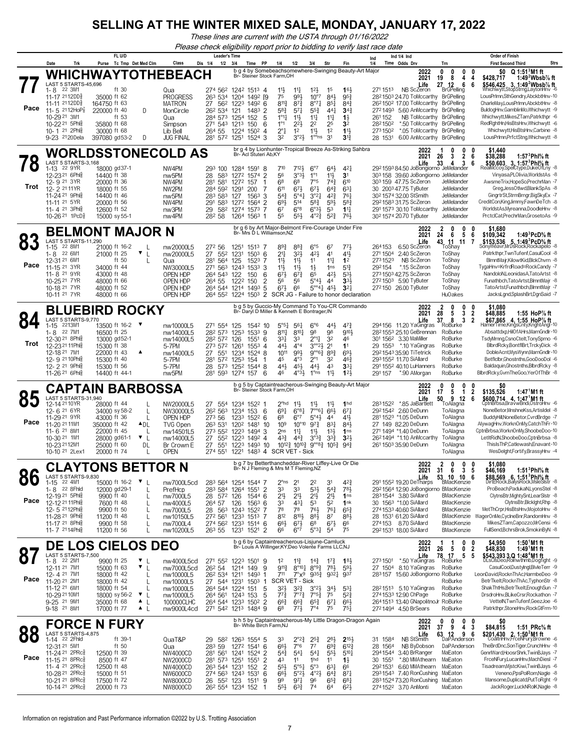*These lines are current with the USTA through 01/16/2022*

*Please check eligibility report prior to bidding to verify last race date*

|            | Trk<br>Date                                                                                                                                                                                                                                      | FL U/D<br>Purse Tc Tmp Det Med Clm                                                                                          | Class                                                                                                                                                                                    | <b>Leader's Time</b><br>Dis 1/4<br>$1/2$ $3/4$                                                                 | Time PP                                                                                                                                                                                             | 1/4<br>$1/2$                                                                                                                                                                                                                | 3/4                                                                                                                                                                                       | Str                                                                                                                     | Fin                                                                                                                            | Ind 1/4 Ind<br>Ind<br>1/4<br>Time Odds Drv                                                                                                                                                                                                                                                                                                  |                                                                                                                                    | <b>Order of Finish</b><br><b>Strs</b><br><b>First Second Third</b>                                                                                                                                                                                                                                                                                                                                            |
|------------|--------------------------------------------------------------------------------------------------------------------------------------------------------------------------------------------------------------------------------------------------|-----------------------------------------------------------------------------------------------------------------------------|------------------------------------------------------------------------------------------------------------------------------------------------------------------------------------------|----------------------------------------------------------------------------------------------------------------|-----------------------------------------------------------------------------------------------------------------------------------------------------------------------------------------------------|-----------------------------------------------------------------------------------------------------------------------------------------------------------------------------------------------------------------------------|-------------------------------------------------------------------------------------------------------------------------------------------------------------------------------------------|-------------------------------------------------------------------------------------------------------------------------|--------------------------------------------------------------------------------------------------------------------------------|---------------------------------------------------------------------------------------------------------------------------------------------------------------------------------------------------------------------------------------------------------------------------------------------------------------------------------------------|------------------------------------------------------------------------------------------------------------------------------------|---------------------------------------------------------------------------------------------------------------------------------------------------------------------------------------------------------------------------------------------------------------------------------------------------------------------------------------------------------------------------------------------------------------|
|            |                                                                                                                                                                                                                                                  |                                                                                                                             | WHICHWAYTOTHEBEACH                                                                                                                                                                       |                                                                                                                | b g 4 by Somebeachsomewhere-Swinging Beauty-Art Major                                                                                                                                               |                                                                                                                                                                                                                             |                                                                                                                                                                                           |                                                                                                                         |                                                                                                                                | 2022                                                                                                                                                                                                                                                                                                                                        | Trn<br>0<br>0<br>$\mathbf{0}$<br>0                                                                                                 | $$0$ Q 1:51 $3$ M1 ft                                                                                                                                                                                                                                                                                                                                                                                         |
| Pace       | LAST 5 STARTS-45,696<br>1-8<br>22 3M1<br>11-17 2112DD<br>11-11 2112DD <sub>8</sub><br>11- 5 $2112HOP87$<br>10-29 <sup>21</sup> 3M1<br>10-22 <sup>21</sup> 5Phlg<br>10-1 21 2Phia<br>9-23 2120 Dela                                               | ft 30<br>35000 ft 62<br>164750 ft 63<br>220000 ft 40<br>ft 53<br>35800 ft 68<br>30000 ft 68<br>397080 gd53-2                | Qua<br>PROGRESS<br>MATRON<br>MonCircle<br>D<br>Qua<br>Simpson<br>Lib Bell<br>D<br>JUG FINAL                                                                                              | 263 534<br>27<br>26 <sup>2</sup> 53 <sup>4</sup> 121<br>271 543 1213<br>264 55<br>281 572 1251                 | Br- Steiner Stock Farm, OH<br>274 562 1242 1513 4<br>1204 1492 19<br>562 1223<br>$149^2$ 6<br>1483 2<br>284 573 1254 152<br>-5<br>150<br>6<br>1224 1502 4<br>1524 3                                 | $11\frac{1}{2}$<br>$11\frac{1}{4}$<br>993<br>75<br>8113<br>$8^{7}{}_{2}^{3}$<br>58}<br>$5^{71}$<br>$1^{\circ}1_{1}^{1}$<br>$11\frac{1}{2}$<br>$1^{\circ}1$<br>$2^{2}\frac{1}{2}$<br>$2^{\circ}1$<br>1 <sup>2</sup><br>32    | $12\frac{1}{2}$<br>$10^{\circ}7$<br>$8^{\circ}7\frac{1}{4}$<br>$55\frac{3}{4}$<br>$11\frac{1}{4}$<br>2 <sup>2</sup><br>$11\frac{1}{2}$<br>$3^{°2}\frac{1}{2}$<br>$1^{\circ \circ}$ ns     | 1 <sup>5</sup><br>$84\frac{1}{2}$<br>$85\frac{1}{4}$<br>$44\frac{1}{4}$<br>11<br>25<br>1 <sup>2</sup><br>3 <sup>1</sup> | 16 <sup>1</sup><br>$95\frac{3}{4}$<br>$8^{4^{3}_{2}}$<br>$34\frac{3}{4}$<br>$1\frac{1}{2}$<br>3 <sup>2</sup><br>11<br>$3^{13}$ | 2021<br>Life<br>2711513<br>NB ScZeron<br>28 <sup>2</sup> 150 <sup>3</sup> 24.70 ToMccarthy BrGPelling<br>26 <sup>2</sup> 150 <sup>2</sup> 17.00 ToMccarthy<br>2721493 5.60 AnMccarthy BrGPelling<br>261152<br>NB ToMccarthy<br>2821502<br>*.50 ToMccarthy<br>*.05 ToMccarthy BrGPelling<br>2731502<br>6.00 AnMccarthy BrGPelling<br>28 1531 | 19<br>8<br>4<br>4<br>27<br>12<br>6<br>6<br><b>BrGPelling</b><br><b>BrGPelling</b><br><b>BrGPelling</b><br><b>BrGPelling</b>        | 1:49 $^2$ Wbsb $\%$ ft<br>\$428,717<br>\$546,425 3, 1:49 <sup>2</sup> Wbsb <sup>7</sup> / <sub>8</sub> ft<br>Mhichwytt,StoṗStrng,LaytonHn∨ -6<br>LousPrImn,SthGendry,AbckbtHnv-10<br>CharleMay,LousPrImn,AbckbtHnv -8<br>BuldogHnv,GamblinMo,Whichwytt -9<br>Whichwytt, MikesZTam, Patrkthpr -6<br>RedRghtHn,HisBtsHnv,Whichwytt -6<br>Whichwytt, His Bts Hnv, Carbine -8<br>LousPrImn,PrfctStng,Whichwytt -8 |
|            |                                                                                                                                                                                                                                                  |                                                                                                                             | <b>WORLDSSTONECOLD AS</b>                                                                                                                                                                |                                                                                                                | br q 4 by Lionhunter-Tropical Breeze As-Striking Sahbra<br>Br- Acl Stuteri Ab, KY                                                                                                                   |                                                                                                                                                                                                                             |                                                                                                                                                                                           |                                                                                                                         |                                                                                                                                | 2022<br>2021                                                                                                                                                                                                                                                                                                                                | 0<br>0<br>0<br>$\overline{2}$<br>26<br>3<br>-6                                                                                     | \$1,440<br>1:57 $3$ Phl $\%$ ft<br>\$38,288                                                                                                                                                                                                                                                                                                                                                                   |
| Trot       | LAST 5 STARTS-3,168<br>22 9YR<br>$1 - 13$<br>12-23 <sup>21</sup> 6Phl<br>12-9 21 3YR<br>12-2 2111YR<br>11-24 <sup>21</sup> 9Phia<br>11-11 <sup>21</sup> 5YR<br>11-4 21 3Ph<br>10-26 <sup>21</sup> 1PcD <sup>3</sup>                              | 18000 gd37-1<br>14400 ft 38<br>20000 ft 36<br>18000 ft 55<br>14400 ft 46<br>20000 ft 56<br>12600 ft 52<br>15000 sy 55-1     | NW4PM<br>nw <sub>5</sub> PM<br>NW4PM<br>NW2PM<br>nw <sub>5</sub> PM<br>NW4PM<br>nw3PM<br>nw4PM                                                                                           | 293 100<br>28<br>583<br>281<br>581<br>284 592<br>283 583 127<br>291 583<br>29<br>28 <sup>2</sup> 58            | 1284 1591 8<br>1272 1574 2<br>1272<br>157<br>-1<br>200<br>1291<br>7<br>$1563$ 3<br>1272<br>1564<br>$\overline{2}$<br>582 1274 1573 7<br>1264 1563 1                                                 | $7^{10}$<br>56<br>6 <sup>8</sup><br>68<br>611<br>$67\frac{1}{2}$<br>$5^{4}$<br>693<br>514<br>$6^{\circ}8$<br>67<br>$55\frac{1}{2}$<br>55                                                                                    | 7123<br>$6^{\circ}7$<br>3°3 <sup>1</sup><br>$1^{\circ}1$<br>7°5<br>673<br>$5^{\circ}4\frac{1}{2}$<br>$3^{°2}4$<br>$5^{8}3$<br>$6°3\frac{1}{2}$<br>$4^{\circ}2^{\frac{3}{4}}$              | $64\frac{1}{2}$<br>11<br>$74\frac{3}{7}$<br>$64\frac{3}{4}$<br>$4^{2}\frac{3}{4}$<br>$59\frac{1}{2}$<br>53<br>$5^{2}$   | $4^{2}$<br>3 <sup>1</sup><br>610<br>$63\frac{1}{4}$<br>76 <sub>1</sub><br>$5^{8}$ <sub>4</sub><br>$11\frac{1}{4}$<br>76}       | Life<br>292159384.50 JoBongiorno JeMelander<br>303 158 39.60 JoBongiorno JeMelander<br>303 159 47.75 ScZeron<br>30 2003 47.75 TyButer<br>30 <sup>2</sup> 1574 32.00 StSmith<br>2921583 31.75 ScZeron<br>291 1573 30.10 ToMccarthy<br>30 <sup>2</sup> 1574 20.70 TyButer                                                                     | 33<br>4<br>3<br>6<br>JeMelander<br>JeMelander<br>JeMelander<br>JeMelander<br>JeMelander<br>JeMelander                              | $$50,603$ 3, 1:57 <sup>3</sup> Phl <sup>5</sup> / <sub>8</sub> ft<br>RealMccoy,SpelCtype,DukeOfLny -8<br>Vinyasa, PLOlivia, WorldstAs -8<br>AwsmeTrix,HopeSo,PrechrMan -7<br>Greg, JessOtlwd, BlankSpAs -8<br>GingrtrSt,StrmBrngr,BigSkyEx -7<br>CreditCon,KingJimmy,FawnDeTch -8<br>WorldstAs,Myreanna,DoodleHnv -8<br>PrctclCat,PrechrMan,GrosetoAs -9                                                      |
|            |                                                                                                                                                                                                                                                  | <b>BELMONT MAJOR N</b>                                                                                                      |                                                                                                                                                                                          |                                                                                                                | br g 6 by Art Major-Belmont Fire-Courage Under Fire<br>Br- Mrs D L Williamson, NZ                                                                                                                   |                                                                                                                                                                                                                             |                                                                                                                                                                                           |                                                                                                                         |                                                                                                                                | 2022<br>2021                                                                                                                                                                                                                                                                                                                                | 0<br>2<br>0<br>0<br>24<br>6<br>5<br>6                                                                                              | \$1,680<br>\$109,342<br>1:49 ${}^{3}$ PcD ${}^{5}$ ft                                                                                                                                                                                                                                                                                                                                                         |
| Pace       | LAST 5 STARTS-11,290<br>22 8M1<br>$1 - 15$<br>22 6M1<br>1-8<br>12-31 21 6M1<br>11-15 <sup>21</sup> 3YR<br>11-8 <sup>21</sup> 9YR<br>10-25 21 7 YR<br>10-18 21 7 YR<br>10-11 <sup>21</sup> 7YR                                                    | 21000 ft 16-2<br>21000 ft 25<br>ft 50<br>34000 ft 44<br>43000 ft 48<br>48000 ft 66<br>48000 ft 52<br>48000 ft 66            | nw20000L5<br>▼<br>L<br>nw20000L5<br>Qua<br>NW30000L5<br>OPEN HDP<br>OPEN HDP<br>OPEN HDP<br>OPEN HDP                                                                                     | 272 56<br>27<br>552<br>281 564 125<br>264 543 122<br>264 55                                                    | 1251<br>1513<br>-7<br>1231<br>$150^3$ 6<br>1523<br>-7<br>271 563 1243 1533<br>3<br>6<br>150<br>2<br>1222<br>150<br>264 544 1214 1493 5<br>264 552 1224 1503 2 SCR JG - Failure to honor declaration | $89\frac{3}{4}$<br>$8^{8}$ <sub>4</sub><br>211<br>32}<br>$11\frac{1}{2}$<br>$11\frac{1}{2}$<br>11}<br>$11\frac{1}{2}$<br>673<br>$67\frac{3}{4}$<br>56<br>56<br>$6^{71}$<br>66                                               | $6^{\circ 5}$<br>42}<br>11<br>$1\frac{1}{2}$<br>65<br>5°4 <sup>3</sup><br>$5^{\circ}$ <sup>41</sup>                                                                                       | 67<br>4 <sup>1</sup><br>11<br>1 <sub>ns</sub><br>421<br>4 <sup>4</sup><br>45}                                           | 771,<br>41}<br>1 <sup>2</sup><br>$5^{13}$<br>53}<br>3 <sup>3</sup><br>$3^{2}$                                                  | Life<br>6.50 ScZeron<br>264153<br>271 1504<br>2.40 ScZeron<br>2731523<br>NB ScZeron<br>292154<br>* 15 ScZeron<br>273150342.75 ScZeron<br>2721503 5.90 TyButer<br>272150 26.00 TyButer                                                                                                                                                       | 43 11 11<br>7<br>ToShay<br>ToShay<br>ToShay<br>ToShav<br>ToShay<br>ToShay<br>ToShay<br><b>HuOakes</b>                              | \$153.536 5. 1:49 <sup>3</sup> PcD <sup>5</sup> / <sub>8</sub> ft<br>SonyWeavrMrDsRock,Rockapelo -8<br>Patrkthpr.TwnTufenf.CasulCool -8<br>BlmntMajr,KilowtKid,BlckChvrn -8<br>TygaHnv=KrfrdRoad=RockCandy -7<br>NandoloN,LeonidasA,TatoArtst -8<br>Funathbch, Tato Artst, BlmntMajr -8<br>TatoArtst,Funathbch,BlmntMajr -7<br>JacksLgnd,SplashBrt,DgnSaid -7                                                 |
|            |                                                                                                                                                                                                                                                  | <b>BLUEBIRD ROCKY</b>                                                                                                       |                                                                                                                                                                                          |                                                                                                                | b g 5 by Guccio-My Command To You-CR Commando<br>Br- Daryl D Miller & Kenneth E Bontrager, IN                                                                                                       |                                                                                                                                                                                                                             |                                                                                                                                                                                           |                                                                                                                         |                                                                                                                                | 2022<br>2021                                                                                                                                                                                                                                                                                                                                | 2<br>0<br>0<br>0<br>3<br>28<br>5<br>2                                                                                              | \$1.080<br>\$48,885<br>1:55 HoP $\%$ ft                                                                                                                                                                                                                                                                                                                                                                       |
| Trot       | LAST 5 STARTS-9,770<br>1-15 2213M1<br>1-8 22 7M1<br>12-30 <sup>21</sup> 8Phia<br>12-23 <sup>21</sup> 11Phis<br>12-18 21 7M1<br>12-9 21 10 Phls<br>12-2 <sup>21</sup> 9Ph<br>11-26 <sup>21</sup> 6Ph                                              | 13500 ft 16-2 ▼<br>16500 ft 25<br>13000 gd52-1<br>15300 ft 38<br>22000 ft 43<br>15300 ft 40<br>15300 ft 56<br>14400 ft 44-1 | nw10000L5<br>nw14000L5<br>nw14000L5<br>5-7PM<br>nw14000L5<br>5-7PM<br>5-7PM<br>nw5PM                                                                                                     | 271 554<br>282 573<br>282 572 126<br>273 572 1261<br>27<br>281 572 1253<br>28<br>573<br>281 593                | 1542 10<br>125<br>1253<br>153 <sup>3</sup> 9<br>1551<br>-6<br>$155^3$ 4<br>551 1234 1524 8<br>154<br>-1<br>1252 1544 8<br>1274 157<br>- 6                                                           | 5°5 <sup>4</sup><br>56 <sup>1</sup><br>$8^{11}\frac{1}{4}$<br>331<br>33<br>443<br>$4^{\circ}4$<br>1011<br>991<br>$4^{\circ}3$<br>45<br>441,<br>45}<br>46                                                                    | $6^{\circ}6$<br>98<br>$8^{10}$<br>$2^{\circ}1\frac{1}{4}$<br>$3^{\circ}2^{\frac{1}{2}}$<br>$9^{\circ}6\frac{3}{7}$<br>$2^{\circ}1$<br>443<br>$4^{\circ}3\frac{1}{2}$<br>$1^{\circ}$ ns    | 441<br>98<br>3 <sup>2</sup><br>2 <sup>1</sup><br>$89\frac{3}{4}$<br>3 <sup>2</sup><br>43<br>11}                         | $47\frac{3}{4}$<br>9101<br>46<br>1 <sup>1</sup><br>693<br>$46\frac{3}{4}$<br>33 <sub>1</sub><br>12 <sup>1</sup>                | Life<br>294156 11.20 YaGingras<br>28 <sup>2</sup> 155 <sup>3</sup> 25.10 GeBrennan<br>301 1562 3.30 MaMiller<br>29 1553 *.10 YaGingras<br>292154335.90 TiTetrick<br>2931552 11.70 SiAllard<br>291 1552 40.10 LuHanners<br>*.90 AMorgan<br>291157                                                                                            | 37<br>2<br>8<br>3<br>RoBurke<br>RoBurke<br>RoBurke<br>RoBurke<br>RoBurke<br>RoBurke<br>RoBurke<br>RoBurke                          | \$67,865 4, 1:55 HoP% ft<br>HamerTime,KingsCnty,KnghtAngl-10<br>Absattdxp,HilOfAHrs,MarnGndlr-10<br>TsdyMrnng,CsnoCtelt,TonySprno -6<br>BlbrdRcky,BontflBrt,TrckyDick -8<br>DobleAcntMysWynn,MarnGndlr-10<br>Betficibr, Ghostnths, GooDooDol -6<br>Baldaquin, Ghostnths, BlbrdRcky -8<br>BlbrdRcky,GvmTheGoo,YerOfThBr -8                                                                                     |
|            |                                                                                                                                                                                                                                                  | CAPTAIN BARBOSSA                                                                                                            |                                                                                                                                                                                          |                                                                                                                | b g 5 by Captaintreacherous-Swinging Beauty-Art Major<br>Br- Steiner Stock Farm,OH                                                                                                                  |                                                                                                                                                                                                                             |                                                                                                                                                                                           |                                                                                                                         |                                                                                                                                | 2022<br>2021                                                                                                                                                                                                                                                                                                                                | 0<br>$\mathbf 0$<br>$\mathbf 0$<br>0<br>17<br>5<br>$\mathbf{1}$<br>2                                                               | \$0<br>\$135,526<br>1:47 <sup>1</sup> M1 ft                                                                                                                                                                                                                                                                                                                                                                   |
| Pace       | LAST 5 STARTS-31,940<br>12-14 21 10 YR<br>12-6 21 6YR<br>11-29 21 9YR<br>11-20 <sup>21</sup> 11M1<br>11-6 <sup>21</sup> 8M1<br>10-30 21 1M1<br>10-23 2112M1<br>10-10 <sup>21</sup> 2Lex1                                                         | 28000 ft 44<br>34000 sy 58-2<br>43000 ft 36<br>350000 ft 42<br>22000 ft 45<br>28000 gd61-1<br>25000 ft 60<br>20000 ft 74    | NW20000L5<br>L<br>NW30000L5<br>OPEN HDP<br>L<br>ADL<br>TVG Open<br>nw14501L5<br>$\mathbf{v}$  <br>nw14000L5<br>DL<br>Br Crown E<br>OPEN                                                  | 26 <sup>2</sup> 56 <sup>3</sup><br>273 56<br>263 531<br>273 552 1223<br>27<br>27<br>55 <sup>1</sup><br>274 551 | 27 554 1234 1522 1<br>1234<br>153<br>- 6<br>1233<br>$152^2$ 6<br>120 <sup>2</sup> 1481<br>-10<br>$1494$ 3<br>552 1223 1492 4<br>1223 1493 10<br>1221                                                | $2^{\circ}$ hd<br>$11\frac{1}{2}$<br>$69\frac{1}{4}$<br>68<br>$6^{\circ}7$<br>109<br>2 <sub>ns</sub><br>$11\frac{1}{4}$<br>$43\frac{3}{4}$<br>$10^{12}\frac{3}{4}$<br>1483 4 SCR VET - Sick                                 | $11\frac{1}{2}$<br>$6^{8}3$<br>$7^{\circ}61$<br>$5^\circ 43$<br>$10^{\circ}10$<br>973<br>$11\frac{1}{2}$<br>$3^{03}\frac{3}{4}$<br>$4^{4^{3}_{2}}$<br>$10^{10}\frac{3}{4}$                | 11}<br>663<br>4 <sup>4</sup><br>831<br>$13\frac{1}{2}$<br>$3^{3}\frac{3}{4}$<br>$9^{\circ}8\frac{3}{4}$ 1053            | 1 <sub>hd</sub><br>67 <sup>1</sup><br>41}<br>84}<br>1 <sub>ns</sub><br>$3^{2}$<br>$94\frac{3}{4}$                              | Life<br>2831522<br>*.85 JaBartlett<br>2921542 2.60 DeDunn<br>281 1523 *1.05 DeDunn<br>27 149 82.20 DeDunn<br>271 1494 *1.40 DeDunn<br>26 <sup>2</sup> 1494 *1.10 AnMccarthy<br>261 1503 35.90 DeDunn                                                                                                                                        | 9 12<br>50<br>6<br>ToAlagna<br>ToAlagna<br>ToAlagna<br>ToAlagna<br>ToAlagna<br>ToAlagna<br>ToAlagna<br>ToAlagna                    | \$600,714 4, 1:47 <sup>1</sup> M1 ft<br>CptnBŕbsa,Brav́wBndi,OstroHnv -6<br>NoneBetor, MnshneKss, ArtisIdel -8<br>BuddyHill,NoneBetor,CvrdBrdge -7<br>AlywagHnv, WorknOnMy, CatchThFr-10<br>CptnBrbsa, WorknOnMy, ShoobeDoo-10<br>LetItRidN,ShoobeDoo,CptnBrbsa -8<br>ThisIsThP,Catlewash,Enavant-10<br>WesDelght,Fortify,BrassyHnv -4                                                                        |
| OC         |                                                                                                                                                                                                                                                  | <b>CLAYTONS BETTOR N</b>                                                                                                    |                                                                                                                                                                                          |                                                                                                                | b g 7 by Betterthancheddar-River Liffey-Live Or Die<br>Br- N J Fleming & Mrs M T Fleming, NZ                                                                                                        |                                                                                                                                                                                                                             |                                                                                                                                                                                           |                                                                                                                         |                                                                                                                                | 2022<br>2021                                                                                                                                                                                                                                                                                                                                | 2<br>$\mathbf{0}$<br>0<br>0<br>31<br>3<br>5<br>6                                                                                   | \$1.080<br>1:51 $3$ Phl $%$ ft<br>\$46,169                                                                                                                                                                                                                                                                                                                                                                    |
| OU<br>Pace | LASI 5 STARTS-9,830<br>1-15 22 4M1<br>1-8 22 8Fhld<br>12-19 <sup>21</sup> 5Phlg<br>12-12 <sup>21</sup> 11Phlg<br>12-5 2112Phlg<br>11-28 <sup>21</sup> 9Phlg<br>11-17 <sup>21</sup> 8Phlg<br>11-7 2114Phlg                                        | 15000 ft 16-2<br>12000 gd29-1<br>9900 ft 40<br>7600 ft 48<br>9900 ft 50<br>11200 ft 48<br>9900 ft 58<br>11200 ft 56         | $\mathbf{v}_{\perp}$<br>nw7000L5cd<br>PrefHcp<br>nw7000L5<br>L<br>nw4000L5<br>L<br>nw7000L5<br>L<br>nw10150L5<br>$\mathbf{I}$<br>nw7000L4<br>nw10200L5                                   | 28 572 126<br>264 57 126<br>$26^3$ 55                                                                          | 283 564 1254 1544 7<br>283 584 1264 1551<br>$\overline{2}$<br>1544 6<br>$156^3$ 6<br>28 563 1243 1522 7<br>272 561 1233 1513 7<br>274 562 1233 1514 6<br>1231 1521 2                                | $2^{\circ}$ ns<br>2 <sup>1</sup><br>33<br>33<br>21}<br>$21\frac{1}{2}$<br>33<br>$4^{3}$<br>78<br>78<br>812<br>$66\frac{1}{2}$<br>$6^{7}\frac{1}{2}$<br>66<br>$6^{\circ}7$                                                   | 2 <sup>2</sup><br>5 <sup>31</sup><br>2 <sup>1</sup><br>53<br>761<br>$8^{10}\frac{1}{2}$<br>$8^{8}$<br>6 <sup>8</sup><br>$5^{\circ}3\frac{1}{4}$                                           | 3 <sup>1</sup><br>$5^{4}$<br>2 <sup>1</sup><br>52<br>761<br>87<br>$6^{7}\frac{1}{2}$<br>5 <sup>4</sup>                  | $4^{2}\frac{3}{4}$<br>$78\frac{1}{2}$<br>1 <sub>ns</sub><br>1nk<br>$65\frac{3}{4}$<br>$8^{8}\frac{1}{2}$<br>66<br>75           | Life<br>291 1552 19.20 DeTharps<br>2921564 12.90 JoBongiorno BMacKenzie<br>2831544 3.80 SiAllard<br>30 156 <sup>3</sup> *1.00 SiAllard<br>2741533 40.60 SiAllard<br>28 1531 61.20 SiAllard<br>274153 8.70 SiAllard<br>2921531 18.00 SiAllard                                                                                                | 10, 10, 6<br>53 Tu<br>BMacKenzie<br><b>BMacKenzie</b><br><b>BMacKenzie</b><br>BMacKenzie<br>BMacKenzie<br>BMacKenzie<br>BMacKenzie | <b>\$88,569 6, 1:51°Phl% ft</b><br>DirtERock,BalysRock,MsleSlstr -8<br>ProBeach,PadukaN,LyonsStel -8<br>ClytnsBtr, MightySnt, LearSIstr -8<br>ClytnsBtr,Blcklght,Rhp -8<br>MetThCrpr,HisBtsHnv,MojotoHnv -8<br>WagerOnMe,CyclneBnr,RandomHnv -8<br>MikesZTam,Capozzo,MrCensi -6<br>FullSend,BchrsBrok,SmokinByN -8                                                                                            |
|            |                                                                                                                                                                                                                                                  | <b>DE LOS CIELOS DEO</b>                                                                                                    |                                                                                                                                                                                          |                                                                                                                | b g 6 by Captaintreacherous-Lisjune-Camluck<br>Br- Louis A Willinger, KY; Deo Volente Farms LLC, NJ                                                                                                 |                                                                                                                                                                                                                             |                                                                                                                                                                                           |                                                                                                                         |                                                                                                                                | 2022<br>2021                                                                                                                                                                                                                                                                                                                                | $\mathbf 0$<br>-1<br>0<br>1<br>26<br>5<br>$\mathbf{0}$<br>2                                                                        | 1:50 $^{\circ}$ M1 ft<br>\$4,950<br>\$48,830<br>1:49 M1 ft                                                                                                                                                                                                                                                                                                                                                    |
| 87<br>Pace | LAST 5 STARTS-7.500<br>1-8 22 2M1<br>12-11 21 7M1<br>12-4 21 7M1<br>11-20 <sup>21</sup> 2M1<br>11-12 21 6M1<br>10-29 21 10M1<br>9-25 <sup>21</sup> 9M1<br>9-18 <sup>21</sup> 8M1                                                                 | 9900 ft 25<br>15000 ft 63<br>18000 ft 42<br>18000 ft 42<br>18000 ft 54<br>18000 sy 56-2<br>35000 ft 68<br>17000 ft 77       | ▼<br>nw4000L5cd<br>$\mathbf{v}_{\perp}$<br>nw7000L5cd<br>nw10000L5<br>nw10000L5<br>nw10000L5<br>▼<br>nw10000L5<br>L<br>$\blacksquare$<br>100000CLHC<br>$\triangle$ $\perp$<br>nw9000L4cd | 26 <sup>2</sup> 54                                                                                             | 271 552 1223 1501 9<br>9<br>1214 149<br>26 <sup>2</sup> 534 1211 1493 1<br>27 544 1231 1503 1<br>264 544 1224 151<br>- 5<br>5<br>264 561 1243 153<br>264 544 1233 1502 2<br>271 542 1213 1484 9     | $11\frac{3}{4}$<br>1 <sup>2</sup><br>$9^{11}\frac{3}{4}$<br>711<br>SCR VET - Sick<br>$3^{2}\frac{1}{2}$<br>$3^{2}\frac{3}{4}$<br>$77\frac{3}{4}$<br>$66\frac{3}{4}$<br>$66\frac{3}{4}$<br>6 <sup>8</sup><br>$77\frac{1}{2}$ | $14\frac{3}{4}$<br>$8^{\circ}10^{\frac{1}{4}}$<br>7°×9 9353 9321 937<br>$3^{°2}\frac{1}{2}$<br>$7^{\circ}5^{\frac{3}{4}}$<br>$7^{\circ}7^{\circ}$<br>$65\frac{3}{4}$<br>$7^{\circ}4$      | $1^{7}\frac{3}{4}$<br>$8^{\circ}9^{\frac{3}{4}}$ 78 <sup>1</sup><br>$34$ <sub>2</sub><br>75<br>$67\frac{1}{4}$<br>75    | $1^{8}$<br>$59\frac{1}{2}$<br>$5^{3}$<br>$5^{2}$<br>$66\frac{1}{2}$<br>$75\frac{1}{4}$                                         | Life<br>*.50 YaGingras<br>2731501<br>27 1504 8.10 YaGingras<br>283157 15.60 JoBongiorno RoBurke<br>28 <sup>2</sup> 151 <sup>3</sup> 5.10 YaGingras<br>2741533 12.90 ChPage<br>2641513 13.40 GNapolitnoJr RoBurke<br>2721494 4.50 BrSears                                                                                                    | 78<br><b>8 17 5</b><br>RoBurke<br>5<br>RoBurke<br>RoBurke<br>RoBurke<br>RoBurke<br>RoBurke                                         | \$543,393 3,Q 1:48°M1 ft<br>sCisDeo,Rolnwthmb,Dogfight -9<br>CasulCool,DustyIngl,BlvleTerr -9<br>LeonDavid,RocknThAc,HarmbeDeo -9<br>BetrTkelt,RocknThAc,TyphonStr -8<br>ShakThtHs,BetrTkeIt,EnoughSun -7<br>DrsdroHnv,BLikeCrsr,Rockathon -7<br>VettelN,TwnTufenf,GeezJoe -6<br>Patrkthpr,StoneHnv,RockGtFrm-10                                                                                              |
|            |                                                                                                                                                                                                                                                  | <b>FORCE N FURY</b>                                                                                                         |                                                                                                                                                                                          |                                                                                                                | b h 5 by Captaintreacherous-My Little Dragon-Dragon Again<br>Br- White Birch Farm, NJ                                                                                                               |                                                                                                                                                                                                                             |                                                                                                                                                                                           |                                                                                                                         |                                                                                                                                | 2022<br>2021                                                                                                                                                                                                                                                                                                                                | $0\quad 0$<br>0<br>0<br>37<br>9<br>4 3                                                                                             | \$0<br>\$84,815<br>1:51 $PRc$ % ft                                                                                                                                                                                                                                                                                                                                                                            |
| Pace       | LAST 5 STARTS-4,875<br>1-14 22 2Fhld<br>12-31 21 5M1<br>11-24 <sup>21</sup> 2PRc <sup>5</sup><br>11-15 21 8PRcs<br>11-4 21 2PRc3<br>10-28 <sup>21</sup> 2PRc <sup>3</sup><br>10-21 <sup>21</sup> 8PRc <sup>5</sup><br>10-14 21 2PRc <sup>5</sup> | ft 39-1<br>ft $50$<br>12500 ft 39<br>8500 ft 47<br>12500 ft 48<br>15000 ft 51<br>17500 ft 72<br>20000 ft 73                 | QuaT&P<br>Qua<br>NW4000CD<br>NW2000CD<br>NW4000CD<br>NW6000CD<br>NW8000CD<br><b>NW8000CD</b>                                                                                             | 283 59<br>281 573 1251<br>263 544 1231<br>26 552 123                                                           | 29 582 1263 1554 5<br>1272 1541 6<br>281 561 1241 1524 2<br>1551<br>$\overline{2}$<br>152<br>$\overline{2}$<br>274 563 1243 1531<br>6<br>1511<br>9<br>26 <sup>2</sup> 554 1234 152<br>-1            | 33<br>66}<br>7°6<br>$5^{4}$<br>$5^{4}$<br>43<br>11<br>$55\frac{1}{2}$<br>$66\frac{1}{2}$<br>99<br>$97\frac{1}{4}$<br>$55\frac{1}{2}$<br>$63\frac{3}{4}$                                                                     | $2^{\circ}2^{\frac{3}{4}}$<br>$2^{52}$<br>$7^7$<br>$54\frac{1}{4}$<br>1hd<br>$5^{\circ 51}$<br>$5^{\circ}3$<br>$4^{\circ}2\frac{1}{2}$<br>$5^{\circ}2\frac{1}{2}$<br>96<br>7 <sup>4</sup> | $2^{8}\frac{1}{2}$<br>$69\frac{3}{4}$<br>$55\frac{1}{2}$<br>11<br>$63\frac{1}{4}$<br>$6^{4}$<br>$65\frac{3}{4}$<br>64   | $2^{15}$<br>$6^{12}$<br>$5^{10}$<br>$1\frac{1}{2}$<br>66<br>$8^{71}$<br>$6^{8}$ <sub>1</sub><br>$6^{21}$                       | Life<br>NB StSmith<br>31 1584<br>28 1564<br>NB ByDobson<br>2941544 3.40 BrRanger<br>*.80 MMAthearn<br>30 1551<br>2921531 6.60 MMAthearn<br>2931543 7.40 RonCushing<br>283 1524 73.20 RonCushing<br>2741522 3.70 AnMonti                                                                                                                     | 63 12 9 6<br>DaPAnderson<br>DaPAnderson<br>MaEaton<br>MaEaton<br>MaEaton<br>MaEaton<br>MaEaton<br>MaEaton                          | \$201,430 $2, 1:502M1$ ft<br>CoaltnHnv,FrceNFury,Browne -6<br>TheBrdDnc,SonTiger,CrunchHnv -8<br>GenrlWard, HoosrShrk, TwinBJays -7<br>FrceNFury,LucanHnv,MachDiesl -7<br>Tisadream, MistcKiwi, TwinBJays -6<br>Veneno, PpsPolRom, Nagle -8<br>Mansome, Duplicatd, Put To Rght -9<br>JackRoger,LuckNRolK,Nagle -8                                                                                             |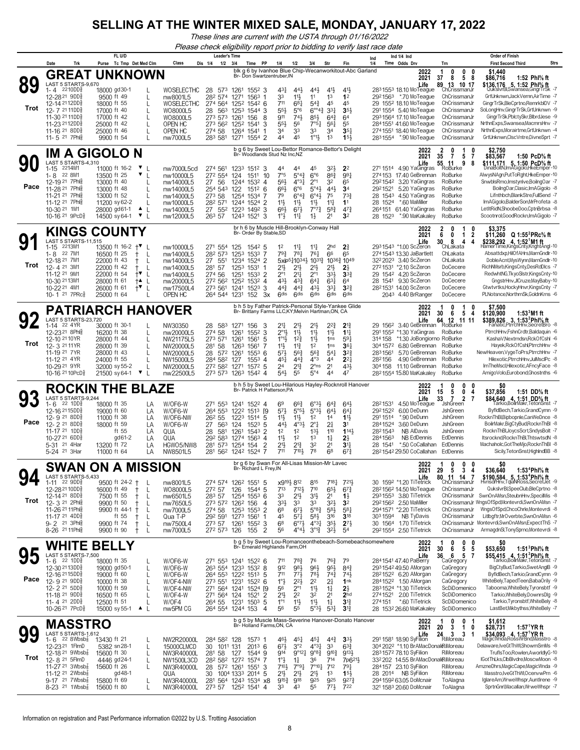*These lines are current with the USTA through 01/16/2022*

*Please check eligibility report prior to bidding to verify last race date*

|            |                                                                                                                                                                                                                                                                                                                                         | FL U/D                                                                                                                                                                                                                                                                     |                                                                                                       | <b>Leader's Time</b>                                                                                                                                                                                                                                          |                                                                                                                                                                                                                                                                                                                                                                                                        |                                                                                                                                                                                                                                                                          | Ind $1/4$ Ind<br>Ind                                                                                                                                                                                                                                                               |                                                                                                                                                                                      | <b>Order of Finish</b>                                                                                                                                                                                                                                                                                                                                                                                 |
|------------|-----------------------------------------------------------------------------------------------------------------------------------------------------------------------------------------------------------------------------------------------------------------------------------------------------------------------------------------|----------------------------------------------------------------------------------------------------------------------------------------------------------------------------------------------------------------------------------------------------------------------------|-------------------------------------------------------------------------------------------------------|---------------------------------------------------------------------------------------------------------------------------------------------------------------------------------------------------------------------------------------------------------------|--------------------------------------------------------------------------------------------------------------------------------------------------------------------------------------------------------------------------------------------------------------------------------------------------------------------------------------------------------------------------------------------------------|--------------------------------------------------------------------------------------------------------------------------------------------------------------------------------------------------------------------------------------------------------------------------|------------------------------------------------------------------------------------------------------------------------------------------------------------------------------------------------------------------------------------------------------------------------------------|--------------------------------------------------------------------------------------------------------------------------------------------------------------------------------------|--------------------------------------------------------------------------------------------------------------------------------------------------------------------------------------------------------------------------------------------------------------------------------------------------------------------------------------------------------------------------------------------------------|
|            | Trk<br>Date                                                                                                                                                                                                                                                                                                                             | Purse Tc Tmp Det Med Clm                                                                                                                                                                                                                                                   | Class                                                                                                 | 1/2<br>3/4<br>Dis 1/4<br>Time PP                                                                                                                                                                                                                              | 1/4<br>1/2<br>3/4                                                                                                                                                                                                                                                                                                                                                                                      | Str<br>Fin                                                                                                                                                                                                                                                               | 1/4<br>Time Odds Drv                                                                                                                                                                                                                                                               | Trn                                                                                                                                                                                  | <b>Strs</b><br><b>First Second Third</b>                                                                                                                                                                                                                                                                                                                                                               |
| 89<br>Trot | LAST 5 STARTS-9,670<br>2210DD§<br>1-4<br>12-28 <sup>21</sup> 9DD <sup>5</sup><br>12-14 2112DD\$<br>12-7 <sup>21</sup> 11DD<br>11-30 21 11DDs<br>11-23 <sup>21</sup> 12DD<br>11-16 <sup>21</sup> 8DD<br>11-5 21 7PhB                                                                                                                     | <b>GREAT UNKNOWN</b><br>18000 gd30-1<br>9500 ft 49<br>$\mathbf{I}$<br>18000 ft 55<br>17000 ft 40<br>17000 ft 42<br>25000 ft 42<br>25000 ft 46<br>9900 ft 54                                                                                                                | WOSELECTHC<br>nw8001L5<br>WOSELECTHC<br>WO8000L5<br>WO8000L5<br>OPEN HC<br>OPEN HC<br>nw7000L5        | Br- Don Swartzentruber, IN<br>28<br>573<br>1261<br>1552 3<br>282 574<br>1563<br>1271<br>274 564<br>1252 1542 6<br>28<br>563<br>1253 1544 3<br>273 573<br>1261<br>156<br>8<br>273 562<br>1252 1541<br>3<br>274 58<br>1264 1541<br>-1<br>1271 1554 2<br>283 581 | 44}<br>431<br>$44\frac{1}{2}$<br>33<br>$11\frac{1}{2}$<br>11<br>711<br>681<br>$5^{4}$<br>553<br>$5^{\circ}6$<br>$6^{\circ 4}$<br>$74\frac{1}{2}$<br>$85\frac{1}{2}$<br>911<br>$5^{5}\frac{1}{2}$<br>56<br>7°5 <sub>1</sub><br>33<br>33<br>34<br>$1^{\circ}1\frac{1}{2}$<br>45<br>44                                                                                                                    | blk g 6 by Ivanhoe Blue Chip-Wecanworkitout-Abc Garland<br>$4^{11}$<br>$41\frac{1}{2}$<br>1 <sup>3</sup><br>1 <sup>2</sup><br>45<br>45<br>$3^{3}1$<br>3 <sub>5</sub><br>$64\frac{3}{4}$<br>64<br>561<br>55<br>35 <sub>7</sub><br>34<br>1 <sup>3</sup><br>$15\frac{1}{2}$ | 2022<br>2021<br>Life<br>2831553 18.10 MoTeague<br>*.70 MoTeague<br>2921563<br>29 155 <sup>2</sup> 18.10 MoTeague<br>291 1554 5.40 MoTeague<br>2931564 17.10 MoTeague<br>2841551 41.60 MoTeague<br>2741551 18.40 MoTeague<br>2831554 *.90 MoTeague                                  | 0<br>0<br>1<br>0<br>37<br>8<br>5<br>8<br>89 13 10 17<br>ChCrissmanJr<br>ChCrissmanJr<br>ChCrissmanJr<br>ChCrissmanJr<br>ChCrissmanJr<br>ChCrissmanJr<br>ChCrissmanJr<br>ChCrissmanJr | \$1,440<br>\$86,716<br>1:52 Phl% ft<br>\$136,176 5, 1:52 Phl% ft<br>QukslvrBl,Swansea,GingrTrSk -7<br>GrtUnknwn, Jack Vernn, Air Time -7<br>GingrTrSk,BleCprtno,RemrkblDV -7<br>SoLongHnv,GingrTrSk,GrtUnknwn -9<br>GingrTrSk,PblctySkr,BlbrdJese -9<br>NrthnExps,Swansea,MacmrsHnv -7<br>NrthnExps, Morairtme, GrtUnknwn -4<br>GrtUnknwn,ClscVntre,DivneSprt -7                                       |
|            |                                                                                                                                                                                                                                                                                                                                         | IM A GIGOLO N                                                                                                                                                                                                                                                              |                                                                                                       | Br- Woodlands Stud Nz Inc, NZ                                                                                                                                                                                                                                 | b q 6 by Sweet Lou-Bettor Romance-Bettor's Delight                                                                                                                                                                                                                                                                                                                                                     |                                                                                                                                                                                                                                                                          | 2022                                                                                                                                                                                                                                                                               | 2<br>0<br>1<br>$\overline{7}$<br>5<br>35<br>-7                                                                                                                                       | \$2,750<br>1:50 PcD% ft                                                                                                                                                                                                                                                                                                                                                                                |
| Pace       | LAST 5 STARTS-4,310<br>2214M1<br>$1 - 15$<br>22 8M1<br>1-8<br>12-19 21 7Phis<br>11-28 <sup>21</sup> 7Phl<br>11-21 <sup>21</sup> 7Ph<br>11-12 21 7Phls<br>10-30 21 1M1<br>10-16 21 9PcD <sup>3</sup>                                                                                                                                     | 11000 ft 16-2<br>▼<br>13500 ft 25<br>▼<br>13000 ft 40<br>13000 ft 48<br>13000 ft 52<br>11200 sy 62-2<br>28000 gd61-1<br>▲<br>L<br>$\mathbf{v}_{\perp}$<br>14500 sy 64-1                                                                                                    | nw7000L5cd<br>nw10000L5<br>nw14000L5<br>nw14000L5<br>nw14000L5<br>nw10000L5<br>nw14000L5<br>nw12000L5 | 274 561<br>1233 1512 3<br>272 554<br>124<br>1511<br>10<br>27<br>-56<br>1244 1532 4<br>254 543<br>$151^2$ 6<br>122<br>273 58<br>1254 1534<br>282 571<br>1244 1524 2<br>27<br>552<br>1223 1492 3<br>263 57<br>1243 1521 3                                       | 45<br>44<br>44<br>7°5<br>$6^{\circ}6$<br>$5^{\circ}4^{\frac{3}{4}}$<br>$4^{\circ}3\frac{1}{4}$<br>56}<br>$2^{\circ}1$<br>$6^{\circ}6$<br>$5°4\frac{1}{2}$<br>66}<br>79<br>$6^{\circ}4^{\circ}$<br>$6^{\circ}4\frac{1}{2}$<br>11}<br>$11\frac{1}{2}$<br>$11\frac{1}{2}$<br>$66\frac{1}{2}$<br>$67\frac{1}{2}$<br>$7^{\circ}7^{\circ}$<br>$1^{\circ}$ $\frac{1}{2}$<br>$11\frac{1}{4}$<br>$1\frac{1}{2}$ | 32}<br>2 <sup>2</sup><br>863<br>991<br>32<br>65<br>441<br>3 <sup>4</sup><br>75<br>$73\frac{3}{4}$<br>$11\frac{1}{4}$<br>1 <sup>1</sup><br>$5^{8}$<br>$4^{7}\frac{3}{4}$<br>2 <sup>1</sup><br>32                                                                          | 2021<br>Life<br>271 1514 4.90 YaGingras<br>17.40 GeBrennan<br>274153<br>2921542 3.20 YaGingras<br>5.20 YaGingras<br>2921521<br>28 1543<br>4.50 YaGingras<br>28 1524<br>*.60 MaMiller<br>264151 61.40 YaGingras<br>28 152 <sup>3</sup> *.90 MaKakaley                               | 11<br>55<br>9<br>8<br>RoBurke<br>RoBurke<br>RoBurke<br>RoBurke<br>RoBurke<br>RoBurke<br>RoBurke<br>RoBurke                                                                           | \$83,567<br>\$111,171 5, 1:50 PcD% ft<br>DinaBoltN, ImAGigolo, HkeEmper-10<br>AlwysNAgn,PutToRght,HkeEmper-10<br>SnwblsRmo, Imstynlve, BoilngOar -7<br>BoilngOar,Clasic,ImAGigolo -8<br>Lifnthbch,BlankStre,FullSend -7<br>ImAGigolo,BalderSon,MrProfeta -8<br>LetItRidN,ShoobeDoo,CptnBrbsa -8<br>Scootnrol,GoodRockn,ImAGigolo -7                                                                    |
|            |                                                                                                                                                                                                                                                                                                                                         | <b>KINGS COUNTY</b>                                                                                                                                                                                                                                                        |                                                                                                       | Br- Order By Stable, SD                                                                                                                                                                                                                                       | br h 6 by Muscle Hill-Brooklyn-Conway Hall                                                                                                                                                                                                                                                                                                                                                             |                                                                                                                                                                                                                                                                          | 2022                                                                                                                                                                                                                                                                               | 2<br>0<br>1                                                                                                                                                                          | \$3,375                                                                                                                                                                                                                                                                                                                                                                                                |
| Trot       | LAST 5 STARTS-11,515<br>2213M1<br>$1 - 15$<br>22 7M1<br>1-8<br>12-18 21 7M1<br>12-4 21 3M1<br>11-12 21 9M1<br>10-30 2113M1<br>10-22 21 4M1<br>10-1 <sup>21</sup> 7PRc <sup>3</sup>                                                                                                                                                      | 13500 ft 16-2<br>$+^{\nabla}$<br>16500 ft 25<br>$\mathbf{I}$<br>$^+$<br>22000 ft 43<br>$\mathbf{I}$<br>$^+$<br>22000 ft 42<br>$^+$<br>L<br>22000 ft 54<br>$+ \blacktriangledown$<br>28000 ft 61<br>$+$<br>L<br>26000 ft 61<br>$+^{\blacktriangledown}$<br>L<br>25000 ft 64 | nw10000L5<br>nw14000L5<br>nw14000L5<br>nw14000L5<br>nw14000L5<br>nw20000L5<br>nw17500L4<br>OPEN HC    | 271 554<br>125<br>1542 5<br>282 573<br>1253 1533 7<br>27<br>551<br>1234 1524 2<br>281 57<br>1253 1531<br>-1<br>274 56<br>1251<br>1533 2<br>272 562<br>1252 1532 4<br>273 561<br>1241 1523 3<br>264 544 1231<br>152<br>3x                                      | $11\frac{1}{4}$<br>$11\frac{1}{4}$<br>1 <sup>2</sup><br>$79\frac{3}{4}$<br>$78\frac{1}{4}$<br>$76\frac{1}{4}$<br>5xip5110341 10311<br>21}<br>$21\frac{1}{2}$<br>$21\frac{1}{2}$<br>$2^{\circ}1$<br>$21\frac{1}{4}$<br>$2^{\circ}1$<br>431,<br>$43\frac{3}{4}$<br>$64\frac{1}{4}$<br>44}<br>$44\frac{3}{4}$<br>431<br>6 <sup>dis</sup><br>6 <sup>dis</sup><br>6 <sup>dis</sup>                          | 2 <sup>3</sup><br>2 <sub>hd</sub><br>66<br>65<br>1036 $\frac{3}{4}$ 1049<br>21}<br>2 <sup>1</sup><br>333<br>3 <sup>3</sup><br>63<br>64<br>331<br>$3^{2}3$<br><b>Gdis</b><br><b>Gdis</b>                                                                                  | 2021<br>Life<br>2931543 *1.00 ScZeron<br>2741543 13.30 JaBartlett<br>32 <sup>2</sup> 202 <sup>3</sup> 3.40 ScZeron<br>2721531 *2.10 ScZeron<br>29 1542 4.20 ScZeron<br>28 1541 9.30 ScZeron<br>28 <sup>2</sup> 1531 14.00 ScZeron<br>2043 4.40 BrRanger                            | 6<br>0<br>$\overline{1}$<br>2<br>8<br>4<br>30<br>4<br>ChLakata<br>ChLakata<br>ChLakata<br>DoCecere<br>DoCecere<br>DoCecere<br>DoCecere<br>DoCecere                                   | \$11,260 Q 1:55 <sup>2</sup> PRc <sup>5</sup> / <sub>8</sub> ft<br>\$238,292 4, 1:52 <sup>1</sup> M1 ft<br>HamerTime,KingsCnty,KnghtAngl-10<br>Absattdxp,HilOfAHrs,MarnGndlr-10<br>DobleAcnt, MysWynn, MarnGndlr-10<br>RichNMsrb,KingsCnty,DesRdDlcs -7<br>RedwhtNG, TkyoSIstr, KingsCnty-10<br>GngstrHnv,JlCruze,MayBaby-10<br>Gtwtvrtks, HockyHnvr, KingsCnty -7<br>PLNotsnce.NorthrnSk.GoldnKrns -6 |
|            |                                                                                                                                                                                                                                                                                                                                         | <b>PATRIARCH HANOVER</b>                                                                                                                                                                                                                                                   |                                                                                                       |                                                                                                                                                                                                                                                               | b h 5 by Father Patrick-Personal Style-Yankee Glide<br>Br- Brittany Farms LLC,KY;Melvin Hartman,ON, CA                                                                                                                                                                                                                                                                                                 |                                                                                                                                                                                                                                                                          | 2022                                                                                                                                                                                                                                                                               | 0<br>1                                                                                                                                                                               | \$7,500                                                                                                                                                                                                                                                                                                                                                                                                |
| Trot       | LAST 5 STARTS-23,720<br>1-14 22 4YR<br>12-23 <sup>21</sup> 8Phls<br>12-10 21 10 YR<br>12-3 2111YR<br>11-19 <sup>21</sup> 7YR<br>11-12 <sup>21</sup> 4YR<br>10-29 21 9YR<br>10-16 21 10PcD <sup>5</sup>                                                                                                                                  | 30000 ft 30-1<br>16200 ft 38<br>$\mathbf{I}$<br>28000 ft 44<br>$\mathbf{I}$<br>28000 ft 39<br>28000 ft 43<br>24000 ft 55<br>32000 sy 55-2<br>21500 sy 64-1<br>Y<br>L                                                                                                       | NW30350<br>nw20000L5<br>NW21175L5<br>NW20000L5<br>NW20000L5<br>NW15000L5<br>NW20000L5<br>nw22500L5    | 28<br>583<br>1271<br>156<br>3<br>274 58<br>1261<br>1552<br>3<br>273 571<br>1261<br>1561<br>-5<br>281 58<br>1263<br>1561<br>7<br>28 572 1261<br>$155^3$ 6<br>284 582<br>127<br>$155^3$ 4<br>272 582<br>1572 5<br>1271<br>1263 1542 4<br>273 573                | 21‡<br>$21\frac{1}{2}$<br>21}<br>2°1}<br>11}<br>$11\frac{1}{2}$<br>$1^{\circ}1\frac{1}{2}$<br>$1^{2}\frac{3}{4}$<br>$11\frac{1}{2}$<br>$11\frac{3}{4}$<br>1 <sup>2</sup><br>11支<br>$56\frac{3}{4}$<br>57}<br>$56\frac{3}{4}$<br>$4^{\circ}3$<br>$44\frac{3}{4}$<br>45}<br>$2^{13}$<br>24<br>$2^{\circ}$ ns<br>54}<br>55<br>$5^{\circ}4$                                                                | 22}<br>$2^{13}$<br>$11\frac{1}{2}$<br>$1^{11}$<br>591<br>1 <sub>ns</sub><br>1 <sub>ns</sub><br>$36\frac{1}{4}$<br>541<br>$3^{2}3$<br>$2^{2}$<br>44<br>2 <sup>1</sup><br>431,<br>44<br>47                                                                                 | 2021<br>Life<br>3.40 GeBrennan RoBurke<br>29 1562<br>291 1552<br>*1.30 YaGingras<br>314 158<br>*1.30 JoBongiorno RoBurke<br>304 1572 6.80 GeBrennan<br>2831561<br>5.70 GeBrennan<br>4.90 GeBrennan<br>282156<br>11.10 GeBrennan<br>304 158<br>28 <sup>2</sup> 1554 15.80 MaKakaley | 30<br>6<br>5<br>4<br>64<br>12 11 11<br>RoBurke<br>RoBurke<br>RoBurke<br>RoBurke<br>RoBurke<br>RoBurke                                                                                | \$120,900<br>$1:533M1$ ft<br>\$389,826 3, 1:53 <sup>2</sup> Phl <sup>5</sup> / <sub>8</sub> ft<br>Fanatic, PtrrchHnv, SecretBro -8<br>PtrrchHnv,FshnCrdtr,Baldaquin -6<br>KashaV, Nextrndsn, Rck Of Cshl -6<br>Hayek, Rck Of Cshl, PtrrchHnv -8<br>NewHeaven, VygeToPrs, PtrrchHnv -7<br>Hilexotic, PtrrchHnv, JulMsclPc -8<br>ImTheMscl,Hilexotic,AFncyFace -8<br>AmigoVolo,Eurobond,Ghostnths -6     |
|            |                                                                                                                                                                                                                                                                                                                                         | <b>ROCKIN THE BLAZE</b>                                                                                                                                                                                                                                                    |                                                                                                       | Br- Patrick H Patterson, PA                                                                                                                                                                                                                                   |                                                                                                                                                                                                                                                                                                                                                                                                        | b h 5 by Sweet Lou-Hilarious Hayley-Rocknroll Hanover                                                                                                                                                                                                                    | 2022                                                                                                                                                                                                                                                                               | 0<br>$\mathbf 0$<br>n<br>1                                                                                                                                                           | \$0                                                                                                                                                                                                                                                                                                                                                                                                    |
| Pace       | LAST 5 STARTS-9,244<br>22 1DD<br>1-6<br>12-16 2115DD<br>12-9 21 8DD<br>12-2 <sup>21</sup> 8DD<br>11-17 <sup>21</sup> 1DD<br>10-27 21 6DD<br>5-31 21 4Har<br>5-24 <sup>21</sup> 3Har                                                                                                                                                     | 18000 ft 35<br>19000 ft 60<br>LA<br>11000 ft 38<br>LA<br>18000 ft 59<br>LA<br>ft 55<br>LA<br>gd 61-2<br>LA<br>13200 ft 72<br>LA<br>11000 ft 64<br>LA                                                                                                                       | W/OF6-W<br>LA<br>W/OF6-W<br>W/OF6-NW<br>W/OF6-W<br>QUA<br>QUA<br>HGWO5/NW8<br>NW8501L5                | 271 553<br>1241 1522 4<br>264 553<br>1222 1513<br>- 19<br>26 <sup>2</sup> 55<br>1223 1514<br>-5<br>1523<br>27<br>563<br>124<br>-5<br>28<br>581<br>1261<br>1543<br>2<br>292 583<br>1274 1563 4<br>2<br>281 573<br>1254 154<br>281 562<br>1242 1524<br>-7       | 69<br>66}<br>$6°3\frac{1}{2}$<br>$5^{\circ}5^{\circ}$<br>5°3 <sup>1</sup><br>573<br>$11\frac{1}{2}$<br>12<br>$11\frac{1}{2}$<br>$4^{\circ}3\frac{1}{2}$<br>$2^{\circ}1$<br>443<br>1 <sup>2</sup><br>1 <sup>2</sup><br>13 <sup>1</sup><br>11<br>1 <sup>2</sup><br>1 <sup>3</sup><br>21}<br>$2^{13}$<br>32<br>7101<br>78<br>711                                                                          | $64\frac{3}{4}$<br>$64\frac{1}{2}$<br>$64\frac{1}{2}$<br>64 <sup>1</sup><br>$11\frac{1}{2}$<br>14<br>21<br>31<br>110<br>1143<br>$1\frac{1}{4}$<br>2}<br>2 <sup>1</sup><br>34<br>68<br>$67\frac{3}{4}$                                                                    | 2021<br>Life<br>4.50 MoTeague<br>2821531<br>6.00 DeDunn<br>2921522<br>291 1514<br>*.90 DeDunn<br>2841524<br>3.60 DeDunn<br>NB AlDavis<br>2821543<br>NB EdDennis<br>2841563<br>*.50 CoCallahan<br>28 1541<br>28 <sup>2</sup> 154 <sup>2</sup> 29.50 CoCallahan                      | 5<br>0<br>15<br>4<br>$\overline{7}$<br>33<br>$\overline{2}$<br>7<br><b>JshGreen</b><br>JshGreen<br>JshGreen<br>JshGreen<br>JshGreen<br>EdDennis<br>EdDennis<br>EdDennis              | \$37,856<br>1:51 DD% ft<br>\$84,640 4, 1:51 DD% ft<br>7- Tarkio,BoilrMakr,TetonSnst<br>ByfldBech,Tarkio,GrandCymn -9<br>RocknThBl,Bipbopnle,CanWeDnce -8<br>BoilrMakr,BigCtyBud,RocknThBI -8<br>RocknThBl,JoycsScrt,SndysBolt -7<br>Itsrocknd, RocknThBI, ThtswtsdN -8<br>Machaholc, Got The Mjo, Rockn ThBI -8<br>Sicily, TetonSnst, HighlndBB -8                                                     |
|            |                                                                                                                                                                                                                                                                                                                                         | <b>SWAN ON A MISSION</b>                                                                                                                                                                                                                                                   |                                                                                                       |                                                                                                                                                                                                                                                               | br g 6 by Swan For All-Lisas Mission-Mr Lavec<br>Br- Richard L Frey, IN                                                                                                                                                                                                                                                                                                                                |                                                                                                                                                                                                                                                                          | 2022<br>2021                                                                                                                                                                                                                                                                       | 0<br>0<br>0<br>1<br>3<br>29<br>5<br>4                                                                                                                                                | SO.<br>1:53 <sup>4</sup> Phl <sup>5</sup> / <sub>8</sub> ft<br>\$36,640                                                                                                                                                                                                                                                                                                                                |
| Trot       | LAST 5 STARTS-5.433<br>$1-11$ 22 9DD <sub>8</sub><br>12-28 <sup>21</sup> 10DD <sup>5</sup><br>12-14 21 8DD <sup>5</sup><br>12-3 <sup>21</sup> 2Phls<br>11-26 21 11Phlg<br>11-17 21 4DD <sub>8</sub><br>9-2 <sup>21</sup> 3Phlg<br>8-26 <sup>21</sup> 11 Phi <sub>8</sub>                                                                | 9500 ft 24-2 $+$<br>16000 ft 49<br>$^+$<br>L<br>7500 ft 55<br>L<br>Ť<br>L<br>9900 ft 50<br>Ť<br>9900 ft 44-1 +<br>L<br>ft 55<br>L<br>$^{+}$<br>9900 ft 74<br>$^+$<br>L<br>9900 ft 90<br>L<br>$^{+}$                                                                        | nw8001L5<br>WO8000L5<br>nw6501L5<br>nw7650L5<br>nw7000L5<br>Qua T-P<br>nw7500L4<br>nw7000L5           | 274 574 1262 1551 5<br>272 57<br>126<br>1544 5<br>283 57<br>1254 1553 6<br>273 572 1262 156<br>4<br>274 58<br>1253 1553<br>$\overline{2}$<br>292 591<br>1273 1561<br>$\mathbf 1$<br>273 57<br>1261<br>1552 3<br>$\overline{2}$<br>272 573<br>126<br>155       | x9193 812<br>815<br>713<br>$7^{12}$<br>710<br>33<br>3 <sup>1</sup><br>$21\frac{1}{2}$<br>333<br>33<br>33<br>$5^{\circ}8\frac{3}{4}$<br>68<br>$67\frac{1}{2}$<br>45<br>$57\frac{1}{4}$<br>$5^{8}$<br>6 <sup>8</sup><br>$6^{07}\frac{1}{2}$<br>$4^{\circ}3\frac{1}{4}$<br>$3^{012}$<br>$4^{\circ}4^{\circ}$<br>56                                                                                        | 7181<br>7213<br>$65\frac{1}{2}$<br>$6^{7}\frac{3}{4}$<br>2 <sup>1</sup><br>$1\frac{1}{2}$<br>323<br>3 <sup>2</sup><br>583<br>581<br>316<br>$3^{18}$<br>$35\frac{1}{2}$<br>$2^{7\frac{1}{2}}$<br>$3^{2}\frac{1}{2}$<br>5 <sup>4</sup>                                     | Life<br>30 1592 *1.20 TiTetrick<br>28 <sup>2</sup> 156 <sup>2</sup> 14.50 MoTeague<br>2931553 3.80 TiTetrick<br>2921562 2.50 MaMiller<br>2941571 *2.20 TiTetrick<br>303 1594<br>NB TyDavis<br>30 1564 1.70 TiTetrick<br>2921554 2.50 TiTetrick                                     | 11 14<br>ChCrissmanJr<br>ChCrissmanJr<br>ChCrissmanJr<br>ChCrissmanJr<br>ChCrissmanJr<br>ChCrissmanJr<br>ChCrissmanJr                                                                | \$190.584 5.1:53*Phl% ft<br>HvnsdrHnv,TqlaNRoss,SecretJet -9<br>QukslvrBl,SpeeClub,BleCprtno -8<br>SwnOnAMsn,SteubnHnv,SpecilMis -8<br>ChCrissmanJr WngsOfSpd,Montevrdi,SwnOnAMsn -7<br>WngsOfSpd,ChcoChrle,Montevrdi -8<br>Litlbgftr,MrOverbte,SwnOnAMsn -6<br>Montevrdi,SwnOnAMsn,ExpectThS -7<br>ArmagdnSI,TonySprno,Montevrdi -8                                                                   |
|            | WHITE                                                                                                                                                                                                                                                                                                                                   | <b>BELLY</b>                                                                                                                                                                                                                                                               |                                                                                                       | Br- Emerald Highlands Farm, OH                                                                                                                                                                                                                                |                                                                                                                                                                                                                                                                                                                                                                                                        | b g 5 by Sweet Lou-Romanceonthebeach-Somebeachsomewhere                                                                                                                                                                                                                  | 2022<br>2021                                                                                                                                                                                                                                                                       | 0<br>0<br>0<br>30<br>6<br>5 5                                                                                                                                                        | SO<br>1:51 $3$ Phl $\%$ ft<br>\$53,650                                                                                                                                                                                                                                                                                                                                                                 |
| Pace       | LAST 5 STARTS-7.500<br>22 1DD§<br>1-6<br>12-30 2113DD<br>12-16 21 15DD<br>12-9 <sup>21</sup> 9DD<br>12-2 21 5DD\$<br>11-18 21 9DD <sub>8</sub><br>11-4 $^{21}$ 2DD <sup>5</sup><br>10-26 <sup>21</sup> 7PcD <sup>3</sup>                                                                                                                | 18000 ft 35<br>19000 gd50-1<br>L<br>19000 ft 60<br>L<br>10000 ft 38<br>L<br>10000 ft 59<br>L<br>16500 ft 65<br>$\mathbf{I}$<br>12500 ft 51<br>L<br>15000 sy 55-1 ▲ L                                                                                                       | W/OF6-W<br>W/OF6-W<br>W/OF6-W<br>W/OF4-NW<br>W/OF4-NW<br>W/OF4-W<br>W/OF4<br>nw5PM CG                 | 271 553 1241 1522 6<br>263 554 1233 1532 8<br>264 553 1222 1513 5<br>273 551 1231 1522 6<br>271 564 1241 1524 [9<br>1521<br>271 564 124<br>2<br>1231 1503<br>264 55<br>-5<br>264 554 1244 153 4                                                               | 711<br>$78\frac{3}{4}$<br>76<br>912<br>981<br>961<br>711<br>$77\frac{1}{2}$<br>$78\frac{1}{2}$<br>2 <sup>2</sup><br>$1^{\circ}$<br>$2^{2}$<br>$2^{\circ}1$<br>$11\frac{1}{2}$<br>56<br>$21\frac{1}{2}$<br>2 <sup>2</sup><br>32<br>$1^{\circ}1$<br>$11\frac{1}{2}$<br>$11\frac{1}{2}$<br>56<br>55<br>$5^{\circ}3\frac{1}{2}$                                                                            | 79<br>$76\frac{3}{4}$<br>95}<br>$8^{4^{3}_{2}}$<br>$74\frac{3}{4}$<br>$74\frac{1}{2}$<br>21<br>1 <sup>nk</sup><br>$2\frac{1}{2}$<br>$1\frac{1}{4}$<br>2 <sup>1</sup><br>2 <sub>hd</sub><br>$1\frac{1}{4}$<br>$3^{12}$<br>$5^{31}$<br>$3^{13}$                            | Life<br>284 1541 47.40 PaBerry<br>293 1542 49.50 AMorgan<br>28 <sup>2</sup> 152 <sup>2</sup> 6.20 AMorgan<br>2841522 1.50 AMorgan<br>2831524 *1.30 TiTetrick<br>2741521 2.00 TiTetrick<br>274151<br>*.60 TiTetrick<br>28 153 <sup>2</sup> 26.60 MaKakaley                          | 36<br>657<br>CaGregory<br>CaGregory<br>CaGregory<br>CaGregory<br>ScDiDomenico<br>ScDiDomenico<br>ScDiDomenico<br>ScDiDomenico                                                        | $$55,415$ 4, $1:513Ph1%$ ft<br>Tarkio.BoilrMakr.TetonSns<br>BigCtyBud,Tarkio,SwetAnglB -9<br>ByfldBech.Tarkio.GrandCymn -9<br>WhiteBely,TapedTeen,BabaOrily -9<br>Tabooma, WhiteBely, Tyronsbtf -9<br>Tarkio, White Bely, DownrsDlg -9<br>Tarkio, Tyronsbtf, WhiteBely -8<br>LastBet, Mikbythss, WhiteBely -7                                                                                          |
|            | <b>MASSTRO</b>                                                                                                                                                                                                                                                                                                                          |                                                                                                                                                                                                                                                                            |                                                                                                       | Br- Holland Farms, ON, CA                                                                                                                                                                                                                                     |                                                                                                                                                                                                                                                                                                                                                                                                        | b g 5 by Muscle Mass-Severine Hanover-Donato Hanover                                                                                                                                                                                                                     | 2022<br>2021                                                                                                                                                                                                                                                                       | 0<br>0<br>3<br>20<br>$\overline{1}$<br>0                                                                                                                                             | \$1,612<br>1:57 <sup>1</sup> YR ft<br>\$28,731                                                                                                                                                                                                                                                                                                                                                         |
| Trot       | LAST 5 STARTS-1,612<br>22 $8Wbsb\frac{7}{8}$<br>1-6<br>12-23 <sup>21</sup> 1FlmD<br>12-18 <sup>21</sup> 9Wbsb <sup>7</sup><br>12- 8 <sup>21</sup> 5 FlmD<br>11-27 <sup>21</sup> 3Wbsb <sup>2</sup><br>11-12 <sup>21</sup> 2Wbsb <sup>1</sup><br>$9-17$ 21 7Wbsb $\frac{7}{8}$<br>$8-23$ <sup>21</sup> 1Wbsb <sup>1</sup> / <sub>8</sub> | 13430 ft 21<br>5382 sn 28-1<br>L<br>L<br>15600 ft 30<br>4446 gd24-1<br>L<br>15600 ft 26<br>L<br>gd 48-1<br>15800 ft 69<br>L<br>15600 ft 80                                                                                                                                 | NW2R20000L<br>15000CLMCD<br>NW3R40000L<br>NW1500L3CD<br>NW3R40000L<br>QUA<br>NW3R40000L<br>NW3R40000L | 284 582 128<br>1573 1<br>1011 131<br>$201^3$ 6<br>30<br>281 58<br>1544 9<br>127<br>282 582 1272 1574 7<br>28 572 1261 1551<br>-3<br>30<br>1004 1333 2014 5<br>281 564 1243 1534<br>х8<br>273 57<br>1252 1541 4                                                | 461,<br>$45\frac{1}{4}$<br>451<br>3°2<br>$4^{o_{3}}$<br>$67\frac{1}{2}$<br>9°12 <sup>1</sup><br>$9^{08}\frac{3}{4}$<br>914<br>$1^\circ \frac{1}{2}$<br>36<br>$1\frac{1}{4}$<br>$7^{\circ}10\frac{1}{7}$<br>7101<br>$7°9\frac{1}{4}$<br>21}<br>$2^{11}$<br>21}<br>925<br>$9^{15\frac{3}{4}}$<br>918<br>55<br>33<br>43                                                                                   | $44\frac{3}{4}$<br>3 <sup>3</sup><br>3 <sup>3</sup><br>$6^{3}\frac{3}{4}$<br>$9^{10}\frac{3}{4}$<br>9134<br>714<br>7p6 <sup>21</sup> }<br>712<br>$79\frac{1}{4}$<br>1 <sup>3</sup><br>$15\frac{1}{2}$<br>925<br>9273<br>$77\frac{1}{2}$<br>722                           | Life<br>291 1581 18.90 SyFilion<br>304 2022 *1.10 BrAMacDonalRiMoreau<br>2831572 78.10 SyFilion<br>332 202 14.55 BrAMacDonalRiMoreau<br>284 157 23.10 SyFilion<br>28 2014 NB SyFilion<br>294 1592 63.05 DoMcnair<br>321 1583 20.60 DoMcnair                                        | $24 \nRiMoreau$<br>3<br>-1<br>RiMoreau<br>RiMoreau<br>RiMoreau<br>ToAlagna<br>ToAlagna                                                                                               | Delaware, IveGtThWI, ShowmSmMs -8<br>TruflsToo,Rowlen,AworldlyG-10<br>IGotThLks,CIbBIvdre,MoscwMoon -8<br>AmzneDhrs, MagicCape, MagicWnda - 9<br>Masstro,IveGtThWI,OcenvwPrn -6<br>IglareAm,WrweWhspr,AuntIrene -9<br>SprtnGnrl, Macallan, Wrwe Whspr -7                                                                                                                                               |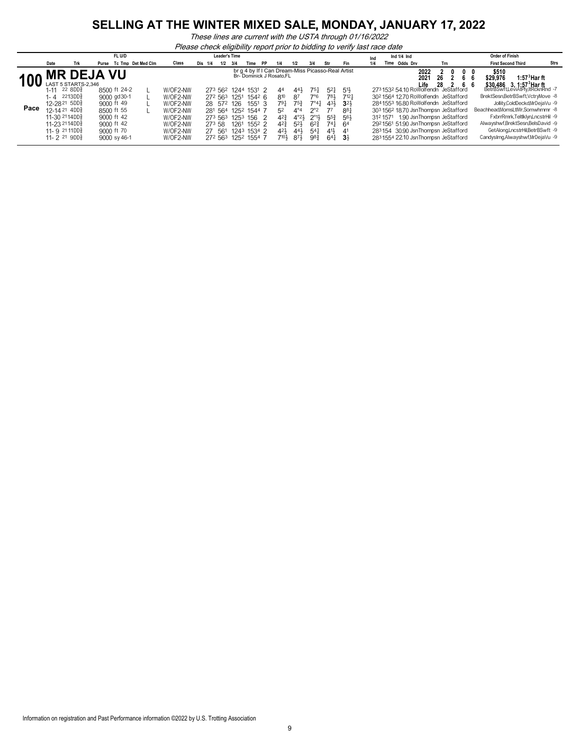*These lines are current with the USTA through 01/16/2022*

*Please check eligibility report prior to bidding to verify last race date*

|      |                                                                      |                                                                   |       | FL U/D                                   |                    |                                  |     |              | <b>Leader's Time</b> |                                          |                   |           |                                                                              |                                         |                                           |                              |                                        | Ind |      | Ind $1/4$ Ind |                                                                                                                    |              |     |         |     | <b>Order of Finish</b>                                                                                      |                           |                                  |      |
|------|----------------------------------------------------------------------|-------------------------------------------------------------------|-------|------------------------------------------|--------------------|----------------------------------|-----|--------------|----------------------|------------------------------------------|-------------------|-----------|------------------------------------------------------------------------------|-----------------------------------------|-------------------------------------------|------------------------------|----------------------------------------|-----|------|---------------|--------------------------------------------------------------------------------------------------------------------|--------------|-----|---------|-----|-------------------------------------------------------------------------------------------------------------|---------------------------|----------------------------------|------|
|      | Date                                                                 | Trk                                                               | Purse |                                          | Tc Tmp Det Med Clm | Class                            | Dis | 1/4          | 1/2                  | 3/4                                      | Time              | <b>PP</b> | 1/4                                                                          | 1/2                                     | 3/4                                       | Str                          | Fin                                    | 1/4 | Time |               | Odds Drv                                                                                                           |              | Trn |         |     |                                                                                                             | <b>First Second Third</b> |                                  | Strs |
|      |                                                                      | <b>MR DEJA VU</b>                                                 |       |                                          |                    |                                  |     |              |                      |                                          |                   |           | br g 4 by If I Can Dream-Miss Picasso-Real Artist<br>Br-Dominick J Rosato.FL |                                         |                                           |                              |                                        |     |      |               |                                                                                                                    | 2022<br>2021 | 26  | 0<br>66 | - 0 | \$510<br>\$29.976                                                                                           |                           | $1:573$ Harft                    |      |
|      | 1-11                                                                 | LAST 5 STARTS-2.346<br>22 8DD <sup>5</sup><br>2213DD <sub>8</sub> |       | 8500 ft 24-2                             |                    | W/OF2-NW                         |     |              |                      | 273 562 1244 1531 2                      |                   |           | 44                                                                           | $44\frac{1}{2}$                         | 751                                       | $5^{2}$<br>781               | $51\frac{1}{2}$<br>7121                |     |      |               | 2731532 54.10 RoWolfendn JeStafford<br>302 1564 12.70 RoWolfendn JeStafford                                        | Life         | 28  | 66      |     | \$30,486 3, 1:57 <sup>3</sup> Har ft<br>BetrBSwftLeviAtPly,ItRcknRnd -7<br>BrektSesn,BetrBSwft,VctryMove -8 |                           |                                  |      |
| Pace | 1- 4<br>12-2821 5DD}                                                 |                                                                   |       | 9000 gd 30-1<br>$9000$ ft 49             |                    | W/OF2-NW<br>W/OF2-NW             |     | 28 572 126   |                      | 272 563 1251                             | $154^2$ 6<br>1551 |           | 810<br>791                                                                   | 87<br>753                               | 7°6<br>$7^\circ 4\frac{1}{4}$             | 431                          | 3 <sup>2</sup>                         |     |      |               | 2841553 16.80 RoWolfendn JeStafford                                                                                |              |     |         |     |                                                                                                             |                           | Jollity.ColdDeckd.MrDeiaVu -9    |      |
|      | $12-1421400\frac{5}{8}$<br>11-30 2114DD <sub>8</sub><br>11-23 2114DD |                                                                   |       | 8500 ft 55<br>9000 ft 42<br>$9000$ ft 42 |                    | W/OF2-NW<br>W/OF2-NW             |     |              |                      | 281 564 1252 1544<br>273 563 1253 156    |                   |           | 5 <sup>2</sup><br>$4^{2}$                                                    | $4^{\circ}4$<br>$4^{\circ}2\frac{1}{2}$ | $2^{\circ}2$<br>$2^{\circ}1\frac{1}{2}$   | 77<br>$55\frac{3}{7}$<br>741 | $8^{8}$<br>56}                         |     |      |               | 303 1562 18.70 JsnThompsn JeStafford<br>312 1571 1.90 JsnThompsn JeStafford<br>2921561 51.90 JsnThompsn JeStafford |              |     |         |     | Beachhead.MomsLtlWr.Somwhrnmr -8<br>Alwayshwf.BrektSesn.BelsDavid -9                                        |                           | FxbrrRmrk.Teltlklvn.LncstrHil -9 |      |
|      | 11- $9^{21}$ 11DD $\frac{5}{8}$<br>$11 - 2$ 21 9DD $\frac{5}{8}$     |                                                                   |       | 9000 ft 70<br>9000 sy 46-1               |                    | W/OF2-NW<br>W/OF2-NW<br>W/OF2-NW |     | 273 58<br>27 | 561                  | 1261<br>1243 1534 2<br>272 563 1252 1554 | 1552 2            |           | $4^{2}$<br>$42\frac{1}{2}$<br>$710\frac{1}{2}$                               | $52\frac{1}{2}$<br>441<br>871           | 62 <sup>3</sup><br>54 <sup>1</sup><br>983 | 41}<br>64 <sup>1</sup>       | 64<br>4 <sup>1</sup><br>3 <sup>1</sup> |     |      |               | 283154 30.90 JsnThompsn JeStafford<br>2831554 22.10 JsnThompsn JeStafford                                          |              |     |         |     | CandysImg,Alwayshwf,MrDejaVu -9                                                                             |                           | GetAlong,LncstrHil,BetrBSwft -9  |      |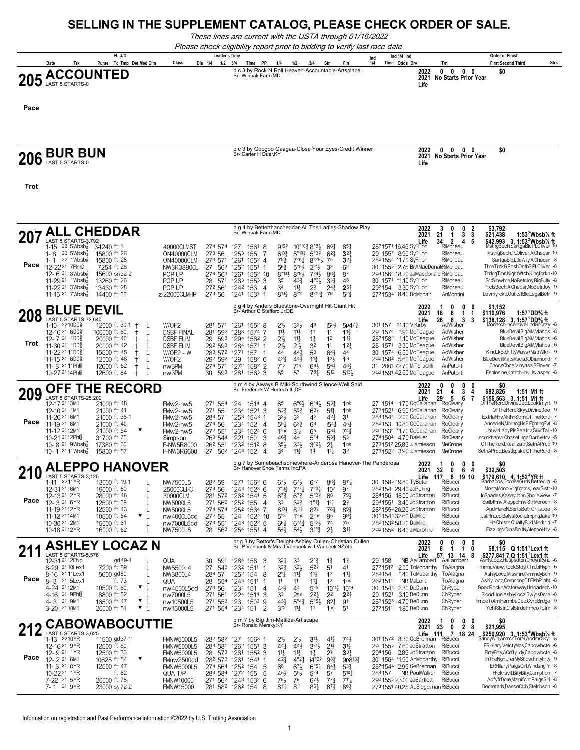#### **SELLING IN THE SUPPLEMENT CATALOG, PLEASE CHECK ORDER OF SALE.**

*These lines are current with the USTA through 01/16/2022*

*Please check eligibility report prior to bidding to verify last race date*

|               | FL U/D |  |       |                    |  | <b>Leader's Time</b> |  |     |     |  |                    |  |     |     |     | Ino | Ind 1/4 Ind                                       |  |                      | <b>Order of Finish</b> |                      |                           |             |
|---------------|--------|--|-------|--------------------|--|----------------------|--|-----|-----|--|--------------------|--|-----|-----|-----|-----|---------------------------------------------------|--|----------------------|------------------------|----------------------|---------------------------|-------------|
|               | Date   |  | Purse | Tc Tmp Det Med Clm |  | Class                |  | 11A | 1/2 |  | Time               |  | 1/4 | 1/2 | 3/4 | Str | Fin                                               |  | Time Odds Drv        |                        |                      | <b>First Second Third</b> | <b>Strs</b> |
| 205 ACCOUNTED |        |  |       |                    |  |                      |  |     |     |  | Br- Winbak Farm,MD |  |     |     |     |     | b c 3 by Rock N Roll Heaven-Accountable-Artsplace |  | 2022<br>2021<br>Life |                        | No Starts Prior Year | \$0                       |             |

**Pace**

# **COLUM BUR BUN** Bread of the Burgeon California Construction of the Carlier House, Ky Googloo Gaagaa-Close Your Eyes-Credit Winner **2021** No Starts Prior Year **2021**<br>Life Life **Carlier Starts Prior Year**

b c 3 by Googoo Gaagaa-Close Your Eyes-Credit Winner *Br- Carter H Duer,KY*

**2022 0 0 0 0 \$0 2021 Life**

**Trot**

| 20          | <b>ALL CHEDDAR</b>                                                                                                                                                                                                     |                                                                                                                                       |                                                                                                                                                                                      | Br- Winbak Farm.MD                                                                                                                                                                                                                                         | b g 4 by Betterthancheddar-All The Ladies-Shadow Play                                                                                                                                                                                                                                                                                                                                                                                                                                                                                                                    | $\mathbf{0}$<br>2022<br>3<br>0<br>2<br>21<br>2021<br>$\mathbf{1}$<br>3<br>3                                                                                                                                                                                                                                                                                                        | \$3,792<br>1:53 $2$ Wbsb $\%$ ft<br>\$21,438                                                                                                                                                                                                                                                                                                             |
|-------------|------------------------------------------------------------------------------------------------------------------------------------------------------------------------------------------------------------------------|---------------------------------------------------------------------------------------------------------------------------------------|--------------------------------------------------------------------------------------------------------------------------------------------------------------------------------------|------------------------------------------------------------------------------------------------------------------------------------------------------------------------------------------------------------------------------------------------------------|--------------------------------------------------------------------------------------------------------------------------------------------------------------------------------------------------------------------------------------------------------------------------------------------------------------------------------------------------------------------------------------------------------------------------------------------------------------------------------------------------------------------------------------------------------------------------|------------------------------------------------------------------------------------------------------------------------------------------------------------------------------------------------------------------------------------------------------------------------------------------------------------------------------------------------------------------------------------|----------------------------------------------------------------------------------------------------------------------------------------------------------------------------------------------------------------------------------------------------------------------------------------------------------------------------------------------------------|
| Pace        | LAST 5 STARTS-3.792<br>1-15 22 $5Wbsb_8^7$<br>22 $5Wbsb\overline{s}$<br>$1 - 8$<br>22 1Wbsb $\frac{7}{8}$<br>$1 - 1$<br>12-2221 7FlmD<br>12- 6 <sup>21</sup> 8 Wbsb<br>11-29 <sup>21</sup> 1 Wbsb <sup>7</sup>         | 34240 ft 1<br>15800 ft 26<br>15800 ft 28<br>7254 ft 26<br>15600 sn 32-2<br>13260 ft 26                                                | 40000CLMST<br>ON40000CLM<br>ON40000CLM<br>NW3R38900L<br>POP UP<br>POP UP                                                                                                             | 274 574 127<br>1561 8<br>273 56<br>125 <sup>3</sup><br>155<br>273 571<br>1261<br>1552 4<br>27 563<br>1252<br>$1551$ 1<br>274 563<br>1261 1552 10<br>28 571<br>1263 1553 3                                                                                  | $10^{\circ}10^{\frac{3}{2}}8^{\circ}8^{\frac{1}{2}}$<br>$9^{15}$<br>66 <sup>1</sup><br>65 <sup>1</sup><br>6104<br>$5^{\circ}10\frac{3}{4}$<br>$5^{\circ}3^{\frac{3}{2}}$<br>$6^{2}$<br>3 <sup>2</sup><br>$78\frac{3}{4}$<br>$8^{\circ\circ}6\frac{1}{2}$<br>75<br>3 <sup>2</sup><br>7°6 <sup>1</sup><br>$2^{01}\frac{1}{2}$<br>32<br>$56\frac{3}{4}$<br>$5^{\circ 5}$<br>62<br>$8^{\circ}10\frac{1}{2}$ $8^{\circ}9\frac{1}{2}$<br>7°41<br>86 <sup>3</sup><br>87<br>35<br>$43\frac{3}{4}$<br>$4°3\frac{1}{2}$<br>33 <sup>3</sup><br>48                                   | 34<br>$\overline{2}$<br>Life<br>$\mathbf{A}$<br>5<br>2831571 16.45 SyFilion<br>RiMoreau<br>29 1552 8.90 SyFilion<br>RiMoreau<br>2821554 *1.70 SyFilion<br>RiMoreau<br>30 1553 2.75 BrAMacDonalRiMoreau<br>2941564 18.20 JaMacdonald RiMoreau<br>30 1571<br>*1.10 SyFilion<br>RiMoreau                                                                                              | \$42,993 3, 1:53 <sup>2</sup> Wbsb <sup>7</sup> ft<br>MstngBech,SartgaBlc,PLOliver-10<br>MstngBech,PLOliver,AlChedar-10<br>SartgaBlc,LtleWily,AlChedar -8<br>ThreTrckG,PoshOnthB,PLOliver -8<br>ThringTms, Night Wtch, Kingfbrkn-10<br>GrtSmwhre,NoBetrJoy,BigBully -8                                                                                   |
|             | 11-22 $21.3Wbsb8$<br>11-15 <sup>21</sup> 7Wbsb $\frac{7}{8}$                                                                                                                                                           | 13430 ft 28<br>14400 ft 33                                                                                                            | POP UP<br>z-22000CLMHP                                                                                                                                                               | 272 561<br>1242 153 4<br>273 56<br>1241 1531<br>-1                                                                                                                                                                                                         | 11}<br>$2^{\frac{3}{4}}$<br>241<br>$2^{5}$<br>34<br>8103<br>$8^{\circ}11$<br>$8^{\circ}10\frac{3}{4}$<br>52 <sup>3</sup><br>76                                                                                                                                                                                                                                                                                                                                                                                                                                           | 292154<br>3.30 SyFilion<br>RiMoreau<br>2721534 8.40 DoMcnair<br>AnMontini                                                                                                                                                                                                                                                                                                          | PrcIsBech, AIChedar, NoBetrJoy -9<br>Lovmyrckb,OutkstBlc,LegalBetr -9                                                                                                                                                                                                                                                                                    |
|             | <b>BLUE DEVIL</b>                                                                                                                                                                                                      |                                                                                                                                       |                                                                                                                                                                                      | Br- Arthur C Stafford Jr, DE                                                                                                                                                                                                                               | b g 4 by Anders Bluestone-Overnight Hit-Giant Hit                                                                                                                                                                                                                                                                                                                                                                                                                                                                                                                        | 2022<br>1<br>n<br>0<br>18<br>2021<br>6<br>1                                                                                                                                                                                                                                                                                                                                        | \$1.152<br>\$110,976<br>1:57 $^1$ DD% ft                                                                                                                                                                                                                                                                                                                 |
| 208<br>Trot | LAST 5 STARTS-72,640<br>$1-10$ $2210DD\frac{5}{8}$<br>12-16 <sup>21</sup> 6DD <sup>3</sup><br>12-7 21 1DD<br>11-30 <sup>21</sup> 1DD<br>11-22 <sup>21</sup> 11DD<br>11-15 21 6DD<br>11- 3 21 11 Phis<br>10-27 2114Phlg | 12000 ft 30-1<br>$\ddagger$<br>100000 ft 60<br>20000 ft 40<br>20000 ft 42<br>15500 ft 45<br>12000 ft 46<br>12600 ft 52<br>12600 ft 64 | $\mathsf{L}$<br>W/OF2<br><b>DSBF FINAL</b><br>L<br>L<br><b>DSBF ELIM</b><br><b>DSBF ELIM</b><br>L<br>$\mathbf{L}$<br>$W$ / $OF2 - W$<br>W/OF2<br>$\mathbf{L}$<br>L<br>nw3PM<br>nw3PM | 1261<br>281 571<br>$155^2$ 8<br>281<br>592<br>1283<br>1574<br>29 593 1294 1582 2<br>292 593 1284 1571 1<br>283 572 1271<br>157<br>292 592 129<br>$158^2$ 6<br>274 571 1272 1582 2<br>30 593 1281 1563 3                                                    | $21\frac{1}{2}$<br>333<br>$i55\frac{1}{2}$<br>4 <sup>3</sup><br>$11\frac{1}{2}$<br>$11\frac{1}{2}$<br>11<br>$1^{13}$<br>11<br>$21\frac{1}{2}$<br>$11\frac{1}{2}$<br>12<br>$1\frac{1}{2}$<br>$11\frac{1}{4}$<br>21}<br>$21\frac{1}{2}$<br>32<br>11<br>12 <sup>1</sup><br>53<br>44<br>441<br>$64\frac{3}{4}$<br>44<br>$4^{2}3$<br>443<br>$11\frac{3}{4}$<br>1 <sup>3</sup><br>12 <sup>1</sup><br>712<br>715<br>693<br>56}<br>$48\frac{3}{4}$<br>55<br>57<br>781<br>5131<br>512                                                                                             | 26<br>6<br>3<br>Life<br>3<br>301 157 11.10 ViKirby<br>$5p47\frac{3}{4}$<br>AdWisher<br>*.90 MoTeague<br>AdWisher<br>2911574<br>2831582 1.10 MoTeaque<br>AdWisher<br>AdWisher<br>3.30 MoTeague<br>28 1571<br>AdWisher<br>30 1574 6.50 MoTeague<br>2921582 5.60 MoTeague<br>AdWisher<br>31 2001 72.70 MiTerpolilli<br>AnPutorti<br>292159142.50 MoTeague<br>AnPutorti                | \$138,128 3, 1:57 <sup>1</sup> DD% ft<br>/onarch,Incentive,LndGnCrzy -8<br>BlueDevil, BigAIM, Vlahos -8<br>BlueDevil, BigAIM, Vlahos -6<br>BlueDevil, BigAIM, Vlahos -6<br>KindLkBd,FiftyWays+MstrWlkr- -9<br>BlueDevil, Mats Mscls, KJ Diamond -7<br>ChocsChce, Vinyasa, BFlover -7<br>Esplosine,KpthtbHnv,JsJasper -8                                  |
|             |                                                                                                                                                                                                                        | <b>OFF THE RECORD</b>                                                                                                                 |                                                                                                                                                                                      | Br- Frederick W Hertrich III,DE                                                                                                                                                                                                                            | b m 4 by Always B Miki-Southwind Silence-Well Said                                                                                                                                                                                                                                                                                                                                                                                                                                                                                                                       | 0<br>2022<br>n<br>0<br>0                                                                                                                                                                                                                                                                                                                                                           | \$0                                                                                                                                                                                                                                                                                                                                                      |
| 209<br>Pace | <b>LAST 5 STARTS-25,200</b><br>12-17 2113M1<br>12-10 21 1M1<br>11-26 21 6M1<br>11-19 21 6M1<br>11-12 2112M1<br>10-21 2112Phlg<br>10- 8 <sup>21</sup> 9Wbsb $\frac{7}{8}$<br>10-1 $2111Wbsb_8^7$                        | 21000 ft 48<br>21000 ft 41<br>21000 ft 36-1<br>21000 ft 40<br>▼<br>21000 ft 54<br>31700 ft 75<br>17380 ft 60<br>15800 ft 57           | FMw2-nw5<br>FMw2-nw5<br>FMw2-nw5<br>FMw2-nw5<br>FMw2-nw5<br>Simpson<br>F-NW5R8000<br>F-NW3R6600                                                                                      | 271 554 124<br>1514 4<br>271 55<br>1521<br>1234<br>વ<br>284 57<br>1253 1543<br>274 56<br>1234 152 4<br>1234 1524 6<br>272 551<br>263 544<br>1221<br>1501<br>3<br>262 551<br>1232 1512 8<br>27 562<br>1244 152<br>$\Delta$                                  | 6°4 <sup>1</sup><br>65<br>$6^{\circ}6^{\circ}$<br>5 <sup>31</sup><br>1nk<br>53}<br>$6^{3}\frac{3}{4}$<br>511<br>53 <sup>3</sup><br>1nk<br>324<br>33<br>42<br>421<br>3 <sup>1</sup><br>$55\frac{1}{4}$<br>$63\frac{3}{4}$<br>64<br>154 <sub>1</sub><br>45 <sup>1</sup><br>$1^{\circ}$ ns<br>3 <sup>11</sup><br>65<br>63}<br>74 <sup>3</sup><br>$5^{\circ}4$<br>463<br>44<br>$53\frac{1}{4}$<br>5 <sup>3</sup><br>$3^{31}$<br>3°2 <sup>1</sup><br>$2\frac{1}{2}$<br>1nk<br>$35\frac{1}{2}$<br>$11\frac{3}{4}$<br>$11\frac{1}{4}$<br>3 <sup>2</sup><br>34<br>$1\frac{1}{2}$ | 2021<br>21<br>3<br>4<br>4<br>29<br>5<br>6<br>Life<br>27 1514 1.70 CoCallahan<br>RoCleary<br>6.90 CoCallahan<br>RoCleary<br>2731521<br>2841544 2.00 CoCallahan<br>RoCleary<br>282153 10.80 CoCallahan<br>RoCleary<br>29 1534 *1.70 CoCallahan<br>RoCleary<br>2741504 4.70 DaMiller<br>RoCleary<br>2731512 25.85 JJamieson<br>MeCrone<br>2731522 3.90 JJamieson<br>MeCrone           | \$82,826<br>1:51 M1 ft<br>\$156,563 3, 1:51 M1 ft<br>Of TheRcrd, DivineDeo, Looktmyrt -9<br>OfTheRcrd,Skyy,DivineDeo -9<br>ExtriaHnv,NrthnStrm,OfTheRcrd -7<br>AnnerieN, MornngHsB, FghtngEvI -8<br>UptwnLady,PIsBetHnv,SilvrTaL-10<br>somkhanvr,ChaseLnge,DarbyHnv -5<br>OfTheRcrd,Realizatn,SetnAPrcd-10<br>SetnAPrcd,BestKpske,OfTheRcrd -8           |
|             |                                                                                                                                                                                                                        | <b>ALEPPO HANOVER</b>                                                                                                                 |                                                                                                                                                                                      | Br- Hanover Shoe Farms Inc.PA                                                                                                                                                                                                                              | b g 7 by Somebeachsomewhere-Anderosa Hanover-The Panderosa                                                                                                                                                                                                                                                                                                                                                                                                                                                                                                               | 2022<br>0<br>0<br>0<br>2021<br>32<br>0<br>6<br>Δ                                                                                                                                                                                                                                                                                                                                   | SO<br>\$32,503                                                                                                                                                                                                                                                                                                                                           |
| Pace        | LAST 5 STARTS-3,125<br>2211YR<br>$1 - 11$<br>12-31 21 6M1<br>12-13 21 2YR<br>12-3 21 6YR<br>11-19 2112YR<br>11-12 2114M1<br>10-30 21 2M1<br>10-18 2112YR                                                               | 13000 ft 19-1<br>19000 ft 50<br>28000 ft 46<br>12500 ft 39<br>12500 ft 43<br>10500 ft 54<br>15000 ft 61<br>16000 ft 52                | NW7500L5<br>25000CLHC<br>30000CLM<br>$\mathbf{I}$<br>L<br>NW5000L5<br>NW5000L5<br>L<br>$\mathbf{v}_{\perp}$<br>nw4000L5cd<br>nw7000L5cd<br>NW7500L5                                  | 282 59<br>1271 1562 6<br>1244 1523 6<br>273 56<br>281 572<br>1262 1541<br>5<br>271 562 1252 155<br>$\overline{4}$<br>274 574 1252 1534 7<br>$27^2$ 55<br>124 1524 10<br>273 551<br>1243 1522 5<br>28 563 1254 1551 4                                       | $6^{\circ}7$<br>$86\frac{3}{4}$<br>$8^{11}$<br>673<br>673<br>$7^{10}$ <sup>3</sup><br>$7^{\circ}7^{\circ}$<br>7°3 <sup>3</sup><br>10 <sup>7</sup><br>97<br>5°3 <sup>3</sup><br>$67\frac{3}{4}$<br>$67\frac{3}{4}$<br>791<br>66<br>33<br>323<br>1°1 <sup>1</sup><br>$11\frac{1}{4}$<br>$2\frac{3}{4}$<br>8103<br>$8^{11}\frac{3}{4}$<br>893<br>783<br>893<br>5°3<br>1 <sup>o</sup> hd<br>$2^{\circ}$ ns<br>95<br>993<br>$6^{\circ}4_{4}^{3}$<br>5°2 <sup>1</sup><br>661<br>74<br>75<br>$3^{003}$<br>$5^{41}$<br>$5^{4}$<br>$2\frac{1}{2}$<br>3 <sup>1</sup>               | 117<br>8 19 10<br>Life<br>RiBucci<br>30 1583 19.80 TyButer<br>28 <sup>2</sup> 154 29.40 JaPelling<br><b>RiBucci</b><br>284156 18.00 JoStratton<br>RiBucci<br>294 1551 3.40 JoStratton<br>RiBucci<br>282155426.25 JoStratton<br>RiBucci<br>RiBucci<br>304 1544 32.60 DaMiller<br>282153258.20 DaMiller<br>RiBucci<br>292 1552 6.40 JiMarohnJr<br>RiBucci                            | \$179,610 4, 1:52 <sup>3</sup> YR ft<br>Barbados,TomMeGunN,BetterUp -8<br>MontyMono, Vrgfgrtns, LearSIstr-10<br>InSpades,KaseyJohn,Shoreview -7<br>SailbtHnv,AleppoHnv,SthMorocn -8<br>AudiHareN,SprtsBetr,OriliaJoe -8<br>JstPlnLco,BalysRock,JmpngJake-10<br>HalChrstn, Qualty Bud, Mindtrip -7<br>FizzingN,DinaBoltN,AleppoHnv -8                     |
|             |                                                                                                                                                                                                                        | <b>ASHLEY LOCAZ N</b>                                                                                                                 |                                                                                                                                                                                      |                                                                                                                                                                                                                                                            | br g 8 by Bettor's Delight-Ashley Cullen-Christian Cullen<br>Br- P Vanbeek & Mrs J Vanbeek & J Vanbeek,NZ;etc.                                                                                                                                                                                                                                                                                                                                                                                                                                                           | 2022<br>0<br>0<br>0<br>0<br>2021<br>8<br>$\blacktriangleleft$<br>$\mathbf{0}$<br>1                                                                                                                                                                                                                                                                                                 | \$8,115 Q 1:51 <sup>1</sup> Lex1 ft                                                                                                                                                                                                                                                                                                                      |
| Pace        | LAST 5 STARTS-5.576<br>12-31 21 2Fhld<br>8-29 21 10 Lex1<br>21 11 Lex1<br>$8 - 16$<br>21 5Lex1<br>$8 - 3$<br>4-24 2112M1<br>21 9Phis<br>$4 - 16$<br>$4 - 3$<br>21 9M1<br>3-20 21 10M1                                  | gd 49-1<br>7200 ft 89<br>5600 gd80<br>ft 73<br>10500 ft 60<br>8800 ft 52<br>16500 ft 47<br>▼<br>20000 ft 51                           | QUA<br>NW5500L4<br>$\mathbf{I}$<br>NW3800L4<br>L<br>L<br>QUA<br>$\mathbf{v}$  <br>nw4500L5cd<br>L<br>nw7000L5<br>nw10500L5<br>$\perp$<br>$\mathbf{v}$<br>nw15000L5                   | 591<br>30<br>1284 158<br>3<br>27<br>543<br>1232 1511<br>-1<br>284 57<br>1252 154<br>8<br>28<br>554<br>1244 1511<br>-1<br>273 56<br>1234 151<br>$\boldsymbol{\Lambda}$<br>271 561<br>1224 1514 3<br>271 553<br>123<br>$150^2$ 9<br>271 554<br>1234 151<br>2 | 3 <sup>2</sup><br>33<br>$2^{\circ}$<br>17<br>$1\frac{3}{4}$<br>$3^{2}\frac{3}{4}$<br>323<br>$5^{2}$<br>51<br>4 <sup>1</sup><br>$2^{\circ}1$<br>$11\frac{1}{4}$<br>11}<br>12<br>$11\frac{1}{4}$<br>1 <sup>2</sup><br>11<br>11<br>$11\frac{1}{4}$<br>1 <sub>ns</sub><br>431<br>44<br>5°5<br>$10^{11}$<br>1019<br>$2^{21}$<br>33<br>2 <sub>ns</sub><br>2 <sup>2</sup><br>$2^{2}$<br>431<br>$5^{\circ}4\frac{3}{4}$<br>891<br>$5^{\circ 5}$<br>911<br>3°2<br>$11\frac{1}{4}$<br>11<br>51<br>1 <sub>ns</sub>                                                                  | 13<br>Life<br>57 <sub>2</sub><br>14<br>-8<br>NB AaLambert AaLambert<br>29 158<br>2721512<br>2.00 ToMccarthy ToAlagna<br>283154<br>*.40 ToMccarthy<br>ToAlagna<br>2621511<br>NB MaLuna<br>ToAlagna<br>ChRyder<br>30 1544 2.30 DeDunn<br>ChRyder<br>29 1521<br>3.10 DeDunn<br>2831523 14.70 DeDunn<br>ChRyder<br>2721511 1.80 DeDunn<br>ChRyder                                      | \$277,841 7,Q 1:51 Lex1 ft<br>AshlyLócz,Hespsdtpn,CheynRynL -6<br>PnrmcView,RockStdyR,TrublHypn -6<br>AshlyLocz, MissFire, NrmndyBch -9<br>AshlyLocz,ComndngOf,FlshPrpht -8<br>GoodRockn, Waterway, UnloadedN-10<br>BloodLine,AshlyLocz,SwyrsDsre -8<br>FrncoTotm,HarmbeDeo,CvrdBrdge -9<br>YchtSIstr.CIslStrde.FrncoTotm -8                             |
|             |                                                                                                                                                                                                                        | <b>CABOWABOCUTTIE</b>                                                                                                                 |                                                                                                                                                                                      |                                                                                                                                                                                                                                                            | b m 7 by Big Jim-Matilda-Artiscape<br>Br- Ronald Mersky, KY                                                                                                                                                                                                                                                                                                                                                                                                                                                                                                              | 2022<br>0<br>n<br>0<br>2021<br>$\overline{2}$<br>8<br>23<br>0                                                                                                                                                                                                                                                                                                                      | \$0<br>\$21.995                                                                                                                                                                                                                                                                                                                                          |
| Pace        | LAST 5 STARTS-3.625<br>1-13 2210YR<br>12-16 <sup>21</sup> 9YR<br>12-9 21 1YR<br>12-221 6M1<br>11-3 21 8YR<br>10-22 21 1YR<br>7-22 <sup>21</sup> 5YR<br>7-1 21 9YR                                                      | 11500 gd37-1<br>12500 ft 60<br>12500 ft 36<br>10625 ft 54<br>▼<br>12500 ft 47<br>ft 62<br>20000 ft 78<br>23000 sy 72-2                | <b>FMNW5000L5</b><br><b>FMNW5000L5</b><br><b>FMNW5000L5</b><br>FMnw2500cd<br><b>FMNW5000L5</b><br>QUA T/P<br><b>FMNW10000</b><br><b>FMNW15000</b>                                    | 282 582<br>127<br>1563<br>283 581<br>1262<br>1551<br>વ<br>28 573 1261<br>1552<br>3<br>282 573 1261<br>1541<br>-1<br>274 564 1252 154<br>5<br>283 584 1272 155<br>-5<br>271 562 1243 1532 6<br>281 582 1262 154<br>8                                        | $21\frac{1}{2}$<br>741<br>$21\frac{1}{2}$<br>3 <sup>1</sup><br>413<br>$44\frac{1}{4}$<br>443<br>$3^{01}$<br>313<br>$21\frac{1}{2}$<br>$11\frac{1}{2}$<br>$11\frac{1}{2}$<br>21<br>$3^{31}$<br>$1\frac{1}{2}$<br>$i4^{\circ}2\frac{3}{4}$<br>$4^{\circ}2\frac{1}{4}$<br>981<br>$4^{2}3$<br>6 <sup>8</sup><br>$67\frac{1}{2}$<br>6°5 <sup>1</sup><br>64}<br>$5^{3}{}_{2}^{3}$<br>454<br>55}<br>$5^{\circ}4$<br>57<br>$5^{10}$<br>$79\frac{1}{2}$<br>673<br>773<br>$711\frac{1}{4}$<br>79<br>811<br>$811 +$<br>861<br>871<br>861                                            | <b>Life 1</b><br>30 <sup>1</sup> 1572 8.30 GeBrennan<br>111<br>7 18 24<br><b>RiBucci</b><br>29 1553<br>7.60 JoStratton<br>RiBucci<br>294156<br>2.85 JoStratton<br>RiBucci<br>9p8131<br>30 1564 *1.90 AnMccarthy<br>RiBucci<br>2821544 2.95 GeBrennan<br>RiBucci<br>NB PaulWalker<br>RiBucci<br>284157<br>2931553 23.00 JaBartlett<br>RiBucci<br>273 1551 40.25 AuSiegelman RiBucci | \$250,920 3.1:53 <sup>4</sup> Wbsb <sup>7</sup> / <sub>8</sub> ft<br>AmrcnTorN.WodmrSkvr<br>ERHilary, VelctyMcs, Cabowbcte -6<br>FirtyFrty,ACrftyLdy,Cabowbcte -8<br>InTheNght,FerMyShdw,FlrtyFrty -9<br>ERHilary, PaigsGirl, WindsngPr -8<br>Hrckrsvlt, BityBity, Gumption -7<br>AcfyfrDme, Malnifcnt, Paigs Girl -8<br>DemeterN,DanceClub,Stelnbsch -8 |